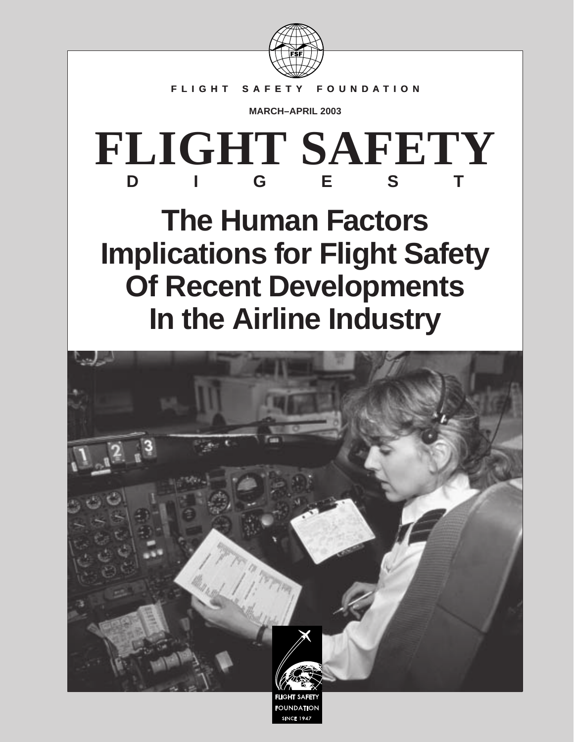

## **FLIGHT SAFETY FOUNDATION**

**MARCH–APRIL 2003**

# **FLIGHT SAFETY DIGEST**

# **The Human Factors Implications for Flight Safety Of Recent Developments In the Airline Industry**

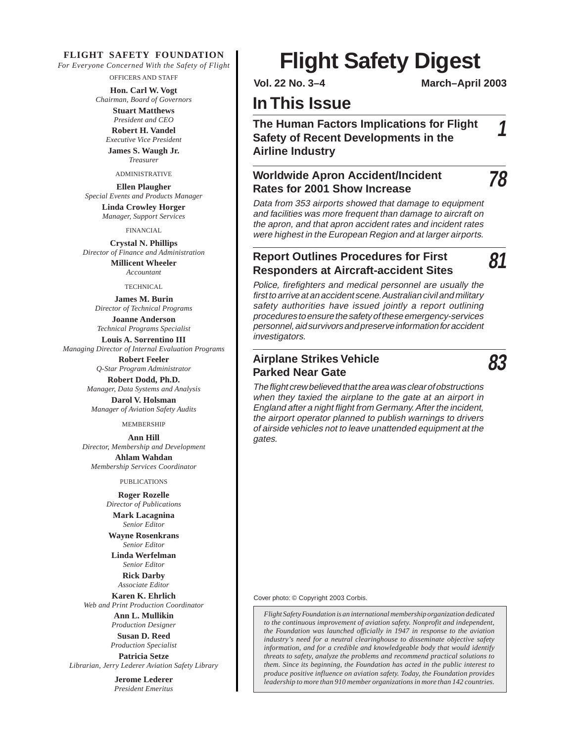#### **FLIGHT SAFETY FOUNDATION**

*For Everyone Concerned With the Safety of Flight*

OFFICERS AND STAFF

**Hon. Carl W. Vogt** *Chairman, Board of Governors*

**Stuart Matthews** *President and CEO* **Robert H. Vandel**

*Executive Vice President* **James S. Waugh Jr.** *Treasurer*

ADMINISTRATIVE

**Ellen Plaugher** *Special Events and Products Manager* **Linda Crowley Horger**

*Manager, Support Services*

FINANCIAL

**Crystal N. Phillips** *Director of Finance and Administration*

**Millicent Wheeler** *Accountant*

TECHNICAL

**James M. Burin** *Director of Technical Programs* **Joanne Anderson** *Technical Programs Specialist*

**Louis A. Sorrentino III** *Managing Director of Internal Evaluation Programs*

> **Robert Feeler** *Q-Star Program Administrator* **Robert Dodd, Ph.D.**

*Manager, Data Systems and Analysis*

**Darol V. Holsman** *Manager of Aviation Safety Audits*

**MEMBERSHIP** 

**Ann Hill** *Director, Membership and Development* **Ahlam Wahdan** *Membership Services Coordinator*

PUBLICATIONS

**Roger Rozelle**

*Director of Publications* **Mark Lacagnina**

*Senior Editor* **Wayne Rosenkrans** *Senior Editor*

**Linda Werfelman** *Senior Editor*

**Rick Darby** *Associate Editor*

**Karen K. Ehrlich** *Web and Print Production Coordinator*

> **Ann L. Mullikin** *Production Designer*

**Susan D. Reed** *Production Specialist*

**Patricia Setze** *Librarian, Jerry Lederer Aviation Safety Library*

> **Jerome Lederer** *President Emeritus*

# **Flight Safety Digest**

**Vol. 22 No. 3–4 March–April 2003**

## **In This Issue**

## **The Human Factors Implications for Flight Safety of Recent Developments in the Airline Industry**

## **Worldwide Apron Accident/Incident Rates for 2001 Show Increase**

**78**

**81**

**1**

Data from 353 airports showed that damage to equipment and facilities was more frequent than damage to aircraft on the apron, and that apron accident rates and incident rates were highest in the European Region and at larger airports.

### **Report Outlines Procedures for First Responders at Aircraft-accident Sites**

Police, firefighters and medical personnel are usually the first to arrive at an accident scene. Australian civil and military safety authorities have issued jointly a report outlining procedures to ensure the safety of these emergency-services personnel, aid survivors and preserve information for accident investigators.

## **Airplane Strikes Vehicle Parked Near Gate**

**83**

The flight crew believed that the area was clear of obstructions when they taxied the airplane to the gate at an airport in England after a night flight from Germany. After the incident, the airport operator planned to publish warnings to drivers of airside vehicles not to leave unattended equipment at the gates.

Cover photo: © Copyright 2003 Corbis.

*Flight Safety Foundation is an international membership organization dedicated to the continuous improvement of aviation safety. Nonprofit and independent, the Foundation was launched officially in 1947 in response to the aviation industry's need for a neutral clearinghouse to disseminate objective safety information, and for a credible and knowledgeable body that would identify threats to safety, analyze the problems and recommend practical solutions to them. Since its beginning, the Foundation has acted in the public interest to produce positive influence on aviation safety. Today, the Foundation provides leadership to more than 910 member organizations in more than 142 countries.*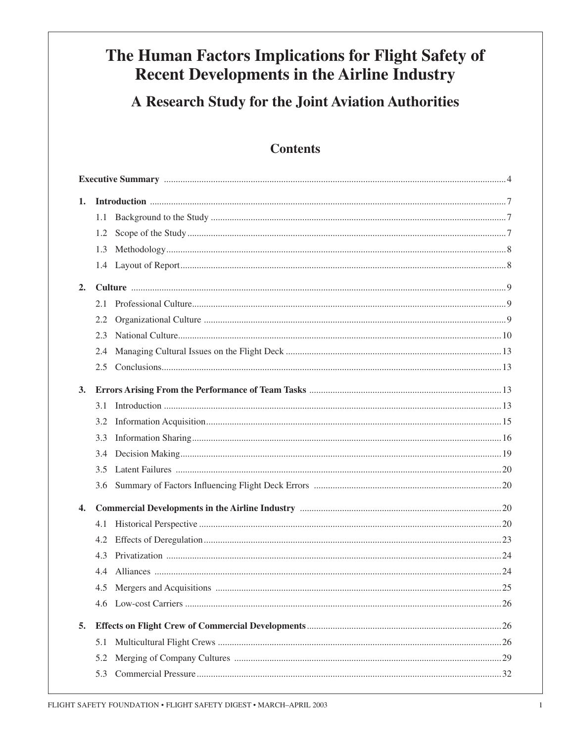## The Human Factors Implications for Flight Safety of **Recent Developments in the Airline Industry**

## A Research Study for the Joint Aviation Authorities

## **Contents**

| 1. |     |     |
|----|-----|-----|
|    | 1.1 |     |
|    | 1.2 |     |
|    | 1.3 |     |
|    |     |     |
| 2. |     |     |
|    | 2.1 |     |
|    | 2.2 |     |
|    | 2.3 |     |
|    | 2.4 |     |
|    |     |     |
| 3. |     |     |
|    | 3.1 |     |
|    | 3.2 |     |
|    | 3.3 |     |
|    | 3.4 |     |
|    | 3.5 |     |
|    |     |     |
| 4. |     |     |
|    | 4.1 |     |
|    | 4.2 |     |
|    | 4.3 |     |
|    | 4.4 |     |
|    |     | .25 |
|    |     |     |
| 5. |     |     |
|    | 5.1 |     |
|    | 5.2 |     |
|    |     |     |
|    |     |     |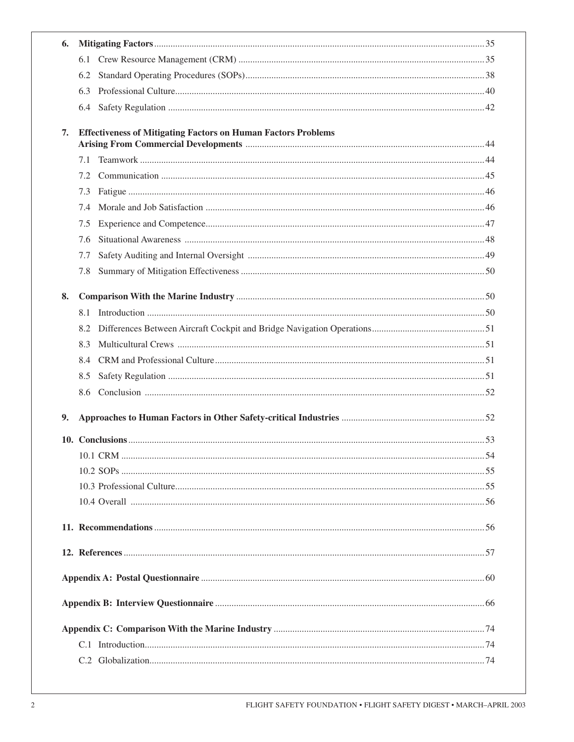| 6. |                                                                      |  |
|----|----------------------------------------------------------------------|--|
|    |                                                                      |  |
|    | 6.2                                                                  |  |
|    | 6.3                                                                  |  |
|    |                                                                      |  |
| 7. | <b>Effectiveness of Mitigating Factors on Human Factors Problems</b> |  |
|    |                                                                      |  |
|    | 7.1                                                                  |  |
|    | 7.2                                                                  |  |
|    | 7.3                                                                  |  |
|    | 7.4                                                                  |  |
|    | 7.5                                                                  |  |
|    | 7.6                                                                  |  |
|    | 7.7                                                                  |  |
|    | 7.8                                                                  |  |
| 8. |                                                                      |  |
|    | 8.1                                                                  |  |
|    | 8.2                                                                  |  |
|    | 8.3                                                                  |  |
|    | 8.4                                                                  |  |
|    | 8.5                                                                  |  |
|    | 8.6                                                                  |  |
| 9. |                                                                      |  |
|    |                                                                      |  |
|    |                                                                      |  |
|    |                                                                      |  |
|    |                                                                      |  |
|    |                                                                      |  |
|    |                                                                      |  |
|    |                                                                      |  |
|    |                                                                      |  |
|    |                                                                      |  |
|    |                                                                      |  |
|    |                                                                      |  |
|    |                                                                      |  |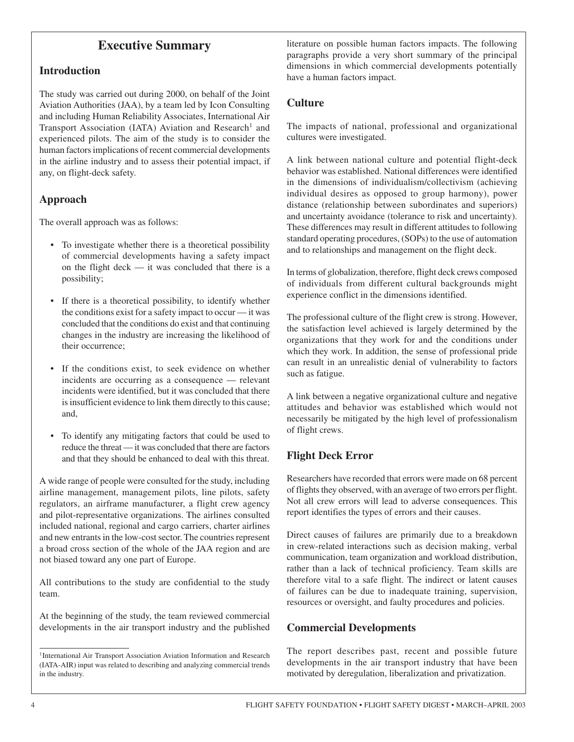## **Executive Summary**

#### **Introduction**

The study was carried out during 2000, on behalf of the Joint Aviation Authorities (JAA), by a team led by Icon Consulting and including Human Reliability Associates, International Air Transport Association (IATA) Aviation and Research<sup>1</sup> and experienced pilots. The aim of the study is to consider the human factors implications of recent commercial developments in the airline industry and to assess their potential impact, if any, on flight-deck safety.

### **Approach**

The overall approach was as follows:

- To investigate whether there is a theoretical possibility of commercial developments having a safety impact on the flight deck — it was concluded that there is a possibility;
- If there is a theoretical possibility, to identify whether the conditions exist for a safety impact to occur — it was concluded that the conditions do exist and that continuing changes in the industry are increasing the likelihood of their occurrence;
- If the conditions exist, to seek evidence on whether incidents are occurring as a consequence — relevant incidents were identified, but it was concluded that there is insufficient evidence to link them directly to this cause; and,
- To identify any mitigating factors that could be used to reduce the threat — it was concluded that there are factors and that they should be enhanced to deal with this threat.

A wide range of people were consulted for the study, including airline management, management pilots, line pilots, safety regulators, an airframe manufacturer, a flight crew agency and pilot-representative organizations. The airlines consulted included national, regional and cargo carriers, charter airlines and new entrants in the low-cost sector. The countries represent a broad cross section of the whole of the JAA region and are not biased toward any one part of Europe.

All contributions to the study are confidential to the study team.

At the beginning of the study, the team reviewed commercial developments in the air transport industry and the published literature on possible human factors impacts. The following paragraphs provide a very short summary of the principal dimensions in which commercial developments potentially have a human factors impact.

### **Culture**

The impacts of national, professional and organizational cultures were investigated.

A link between national culture and potential flight-deck behavior was established. National differences were identified in the dimensions of individualism/collectivism (achieving individual desires as opposed to group harmony), power distance (relationship between subordinates and superiors) and uncertainty avoidance (tolerance to risk and uncertainty). These differences may result in different attitudes to following standard operating procedures, (SOPs) to the use of automation and to relationships and management on the flight deck.

In terms of globalization, therefore, flight deck crews composed of individuals from different cultural backgrounds might experience conflict in the dimensions identified.

The professional culture of the flight crew is strong. However, the satisfaction level achieved is largely determined by the organizations that they work for and the conditions under which they work. In addition, the sense of professional pride can result in an unrealistic denial of vulnerability to factors such as fatigue.

A link between a negative organizational culture and negative attitudes and behavior was established which would not necessarily be mitigated by the high level of professionalism of flight crews.

## **Flight Deck Error**

Researchers have recorded that errors were made on 68 percent of flights they observed, with an average of two errors per flight. Not all crew errors will lead to adverse consequences. This report identifies the types of errors and their causes.

Direct causes of failures are primarily due to a breakdown in crew-related interactions such as decision making, verbal communication, team organization and workload distribution, rather than a lack of technical proficiency. Team skills are therefore vital to a safe flight. The indirect or latent causes of failures can be due to inadequate training, supervision, resources or oversight, and faulty procedures and policies.

#### **Commercial Developments**

The report describes past, recent and possible future developments in the air transport industry that have been motivated by deregulation, liberalization and privatization.

<sup>&</sup>lt;sup>1</sup> International Air Transport Association Aviation Information and Research (IATA-AIR) input was related to describing and analyzing commercial trends in the industry.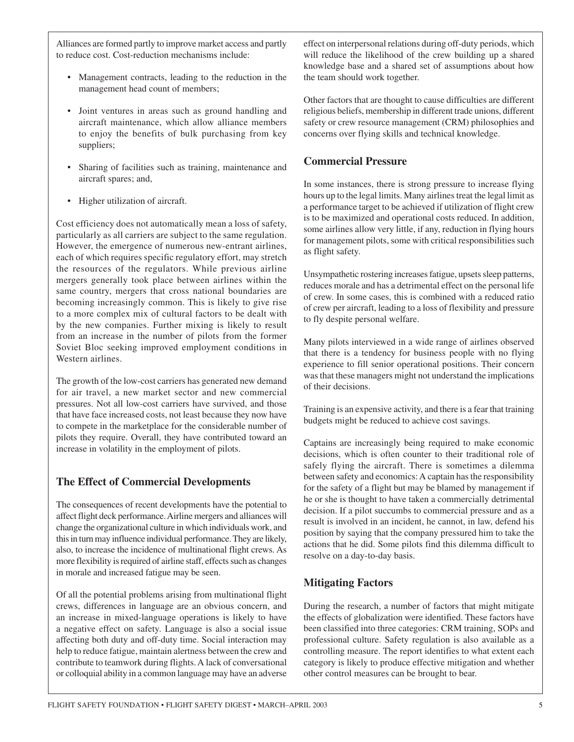Alliances are formed partly to improve market access and partly to reduce cost. Cost-reduction mechanisms include:

- Management contracts, leading to the reduction in the management head count of members;
- Joint ventures in areas such as ground handling and aircraft maintenance, which allow alliance members to enjoy the benefits of bulk purchasing from key suppliers;
- Sharing of facilities such as training, maintenance and aircraft spares; and,
- Higher utilization of aircraft.

Cost efficiency does not automatically mean a loss of safety, particularly as all carriers are subject to the same regulation. However, the emergence of numerous new-entrant airlines, each of which requires specific regulatory effort, may stretch the resources of the regulators. While previous airline mergers generally took place between airlines within the same country, mergers that cross national boundaries are becoming increasingly common. This is likely to give rise to a more complex mix of cultural factors to be dealt with by the new companies. Further mixing is likely to result from an increase in the number of pilots from the former Soviet Bloc seeking improved employment conditions in Western airlines.

The growth of the low-cost carriers has generated new demand for air travel, a new market sector and new commercial pressures. Not all low-cost carriers have survived, and those that have face increased costs, not least because they now have to compete in the marketplace for the considerable number of pilots they require. Overall, they have contributed toward an increase in volatility in the employment of pilots.

## **The Effect of Commercial Developments**

The consequences of recent developments have the potential to affect flight deck performance. Airline mergers and alliances will change the organizational culture in which individuals work, and this in turn may influence individual performance. They are likely, also, to increase the incidence of multinational flight crews. As more flexibility is required of airline staff, effects such as changes in morale and increased fatigue may be seen.

Of all the potential problems arising from multinational flight crews, differences in language are an obvious concern, and an increase in mixed-language operations is likely to have a negative effect on safety. Language is also a social issue affecting both duty and off-duty time. Social interaction may help to reduce fatigue, maintain alertness between the crew and contribute to teamwork during flights. A lack of conversational or colloquial ability in a common language may have an adverse

effect on interpersonal relations during off-duty periods, which will reduce the likelihood of the crew building up a shared knowledge base and a shared set of assumptions about how the team should work together.

Other factors that are thought to cause difficulties are different religious beliefs, membership in different trade unions, different safety or crew resource management (CRM) philosophies and concerns over flying skills and technical knowledge.

## **Commercial Pressure**

In some instances, there is strong pressure to increase flying hours up to the legal limits. Many airlines treat the legal limit as a performance target to be achieved if utilization of flight crew is to be maximized and operational costs reduced. In addition, some airlines allow very little, if any, reduction in flying hours for management pilots, some with critical responsibilities such as flight safety.

Unsympathetic rostering increases fatigue, upsets sleep patterns, reduces morale and has a detrimental effect on the personal life of crew. In some cases, this is combined with a reduced ratio of crew per aircraft, leading to a loss of flexibility and pressure to fly despite personal welfare.

Many pilots interviewed in a wide range of airlines observed that there is a tendency for business people with no flying experience to fill senior operational positions. Their concern was that these managers might not understand the implications of their decisions.

Training is an expensive activity, and there is a fear that training budgets might be reduced to achieve cost savings.

Captains are increasingly being required to make economic decisions, which is often counter to their traditional role of safely flying the aircraft. There is sometimes a dilemma between safety and economics: A captain has the responsibility for the safety of a flight but may be blamed by management if he or she is thought to have taken a commercially detrimental decision. If a pilot succumbs to commercial pressure and as a result is involved in an incident, he cannot, in law, defend his position by saying that the company pressured him to take the actions that he did. Some pilots find this dilemma difficult to resolve on a day-to-day basis.

## **Mitigating Factors**

During the research, a number of factors that might mitigate the effects of globalization were identified. These factors have been classified into three categories: CRM training, SOPs and professional culture. Safety regulation is also available as a controlling measure. The report identifies to what extent each category is likely to produce effective mitigation and whether other control measures can be brought to bear.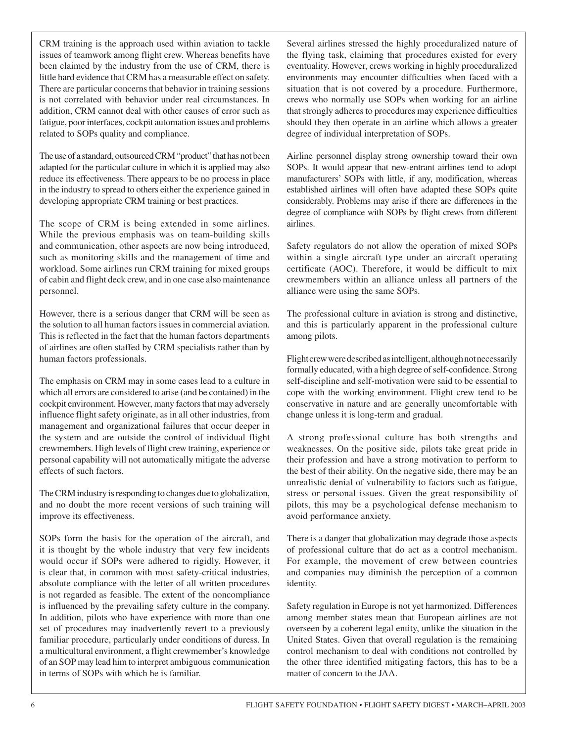CRM training is the approach used within aviation to tackle issues of teamwork among flight crew. Whereas benefits have been claimed by the industry from the use of CRM, there is little hard evidence that CRM has a measurable effect on safety. There are particular concerns that behavior in training sessions is not correlated with behavior under real circumstances. In addition, CRM cannot deal with other causes of error such as fatigue, poor interfaces, cockpit automation issues and problems related to SOPs quality and compliance.

The use of a standard, outsourced CRM "product" that has not been adapted for the particular culture in which it is applied may also reduce its effectiveness. There appears to be no process in place in the industry to spread to others either the experience gained in developing appropriate CRM training or best practices.

The scope of CRM is being extended in some airlines. While the previous emphasis was on team-building skills and communication, other aspects are now being introduced, such as monitoring skills and the management of time and workload. Some airlines run CRM training for mixed groups of cabin and flight deck crew, and in one case also maintenance personnel.

However, there is a serious danger that CRM will be seen as the solution to all human factors issues in commercial aviation. This is reflected in the fact that the human factors departments of airlines are often staffed by CRM specialists rather than by human factors professionals.

The emphasis on CRM may in some cases lead to a culture in which all errors are considered to arise (and be contained) in the cockpit environment. However, many factors that may adversely influence flight safety originate, as in all other industries, from management and organizational failures that occur deeper in the system and are outside the control of individual flight crewmembers. High levels of flight crew training, experience or personal capability will not automatically mitigate the adverse effects of such factors.

The CRM industry is responding to changes due to globalization, and no doubt the more recent versions of such training will improve its effectiveness.

SOPs form the basis for the operation of the aircraft, and it is thought by the whole industry that very few incidents would occur if SOPs were adhered to rigidly. However, it is clear that, in common with most safety-critical industries, absolute compliance with the letter of all written procedures is not regarded as feasible. The extent of the noncompliance is influenced by the prevailing safety culture in the company. In addition, pilots who have experience with more than one set of procedures may inadvertently revert to a previously familiar procedure, particularly under conditions of duress. In a multicultural environment, a flight crewmember's knowledge of an SOP may lead him to interpret ambiguous communication in terms of SOPs with which he is familiar.

Several airlines stressed the highly proceduralized nature of the flying task, claiming that procedures existed for every eventuality. However, crews working in highly proceduralized environments may encounter difficulties when faced with a situation that is not covered by a procedure. Furthermore, crews who normally use SOPs when working for an airline that strongly adheres to procedures may experience difficulties should they then operate in an airline which allows a greater degree of individual interpretation of SOPs.

Airline personnel display strong ownership toward their own SOPs. It would appear that new-entrant airlines tend to adopt manufacturers' SOPs with little, if any, modification, whereas established airlines will often have adapted these SOPs quite considerably. Problems may arise if there are differences in the degree of compliance with SOPs by flight crews from different airlines.

Safety regulators do not allow the operation of mixed SOPs within a single aircraft type under an aircraft operating certificate (AOC). Therefore, it would be difficult to mix crewmembers within an alliance unless all partners of the alliance were using the same SOPs.

The professional culture in aviation is strong and distinctive, and this is particularly apparent in the professional culture among pilots.

Flight crew were described as intelligent, although not necessarily formally educated, with a high degree of self-confidence. Strong self-discipline and self-motivation were said to be essential to cope with the working environment. Flight crew tend to be conservative in nature and are generally uncomfortable with change unless it is long-term and gradual.

A strong professional culture has both strengths and weaknesses. On the positive side, pilots take great pride in their profession and have a strong motivation to perform to the best of their ability. On the negative side, there may be an unrealistic denial of vulnerability to factors such as fatigue, stress or personal issues. Given the great responsibility of pilots, this may be a psychological defense mechanism to avoid performance anxiety.

There is a danger that globalization may degrade those aspects of professional culture that do act as a control mechanism. For example, the movement of crew between countries and companies may diminish the perception of a common identity.

Safety regulation in Europe is not yet harmonized. Differences among member states mean that European airlines are not overseen by a coherent legal entity, unlike the situation in the United States. Given that overall regulation is the remaining control mechanism to deal with conditions not controlled by the other three identified mitigating factors, this has to be a matter of concern to the JAA.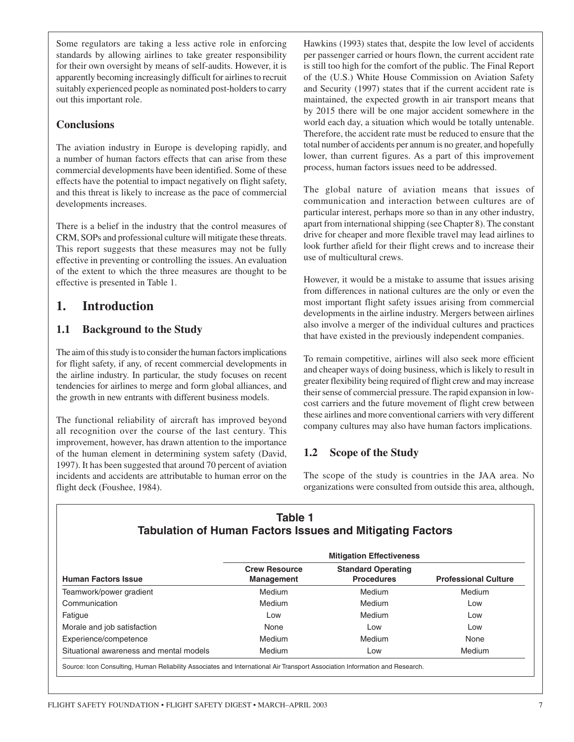Some regulators are taking a less active role in enforcing standards by allowing airlines to take greater responsibility for their own oversight by means of self-audits. However, it is apparently becoming increasingly difficult for airlines to recruit suitably experienced people as nominated post-holders to carry out this important role.

### **Conclusions**

The aviation industry in Europe is developing rapidly, and a number of human factors effects that can arise from these commercial developments have been identified. Some of these effects have the potential to impact negatively on flight safety, and this threat is likely to increase as the pace of commercial developments increases.

There is a belief in the industry that the control measures of CRM, SOPs and professional culture will mitigate these threats. This report suggests that these measures may not be fully effective in preventing or controlling the issues. An evaluation of the extent to which the three measures are thought to be effective is presented in Table 1.

## **1. Introduction**

## **1.1 Background to the Study**

The aim of this study is to consider the human factors implications for flight safety, if any, of recent commercial developments in the airline industry. In particular, the study focuses on recent tendencies for airlines to merge and form global alliances, and the growth in new entrants with different business models.

The functional reliability of aircraft has improved beyond all recognition over the course of the last century. This improvement, however, has drawn attention to the importance of the human element in determining system safety (David, 1997). It has been suggested that around 70 percent of aviation incidents and accidents are attributable to human error on the flight deck (Foushee, 1984).

Hawkins (1993) states that, despite the low level of accidents per passenger carried or hours flown, the current accident rate is still too high for the comfort of the public. The Final Report of the (U.S.) White House Commission on Aviation Safety and Security (1997) states that if the current accident rate is maintained, the expected growth in air transport means that by 2015 there will be one major accident somewhere in the world each day, a situation which would be totally untenable. Therefore, the accident rate must be reduced to ensure that the total number of accidents per annum is no greater, and hopefully lower, than current figures. As a part of this improvement process, human factors issues need to be addressed.

The global nature of aviation means that issues of communication and interaction between cultures are of particular interest, perhaps more so than in any other industry, apart from international shipping (see Chapter 8). The constant drive for cheaper and more flexible travel may lead airlines to look further afield for their flight crews and to increase their use of multicultural crews.

However, it would be a mistake to assume that issues arising from differences in national cultures are the only or even the most important flight safety issues arising from commercial developments in the airline industry. Mergers between airlines also involve a merger of the individual cultures and practices that have existed in the previously independent companies.

To remain competitive, airlines will also seek more efficient and cheaper ways of doing business, which is likely to result in greater flexibility being required of flight crew and may increase their sense of commercial pressure. The rapid expansion in lowcost carriers and the future movement of flight crew between these airlines and more conventional carriers with very different company cultures may also have human factors implications.

## **1.2 Scope of the Study**

The scope of the study is countries in the JAA area. No organizations were consulted from outside this area, although,

## **Table 1 Tabulation of Human Factors Issues and Mitigating Factors**

|                                         | <b>Mitigation Effectiveness</b>           |                                                |                             |
|-----------------------------------------|-------------------------------------------|------------------------------------------------|-----------------------------|
| <b>Human Factors Issue</b>              | <b>Crew Resource</b><br><b>Management</b> | <b>Standard Operating</b><br><b>Procedures</b> | <b>Professional Culture</b> |
| Teamwork/power gradient                 | Medium                                    | Medium                                         | Medium                      |
| Communication                           | Medium                                    | Medium                                         | Low                         |
| Fatigue                                 | Low                                       | Medium                                         | Low                         |
| Morale and job satisfaction             | None                                      | Low                                            | Low                         |
| Experience/competence                   | Medium                                    | Medium                                         | None                        |
| Situational awareness and mental models | Medium                                    | Low                                            | <b>Medium</b>               |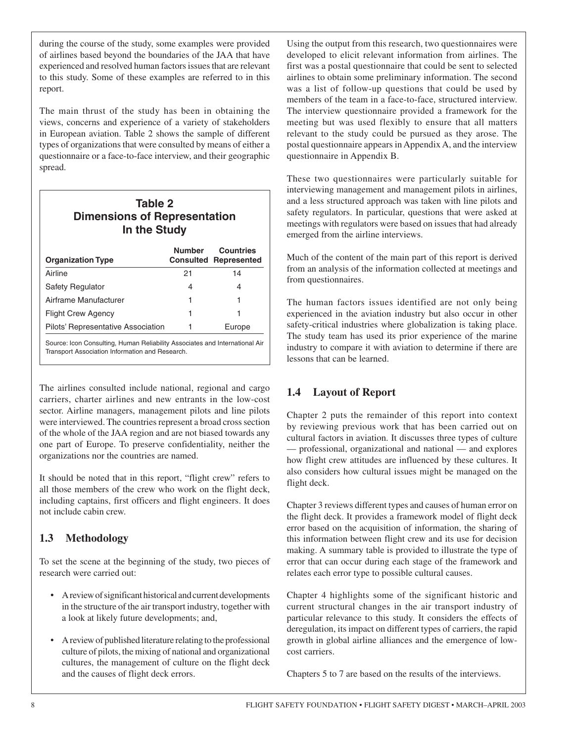during the course of the study, some examples were provided of airlines based beyond the boundaries of the JAA that have experienced and resolved human factors issues that are relevant to this study. Some of these examples are referred to in this report.

The main thrust of the study has been in obtaining the views, concerns and experience of a variety of stakeholders in European aviation. Table 2 shows the sample of different types of organizations that were consulted by means of either a questionnaire or a face-to-face interview, and their geographic spread.

| Table 2<br><b>Dimensions of Representation</b><br>In the Study |               |                                                  |
|----------------------------------------------------------------|---------------|--------------------------------------------------|
| <b>Organization Type</b>                                       | <b>Number</b> | <b>Countries</b><br><b>Consulted Represented</b> |
| Airline                                                        | 21            | 14                                               |
| Safety Regulator                                               | 4             | 4                                                |
| Airframe Manufacturer                                          | 1             | 1                                                |
| <b>Flight Crew Agency</b>                                      | 1             | 1                                                |
| Pilots' Representative Association                             |               | Europe                                           |

Source: Icon Consulting, Human Reliability Associates and International Air Transport Association Information and Research.

The airlines consulted include national, regional and cargo carriers, charter airlines and new entrants in the low-cost sector. Airline managers, management pilots and line pilots were interviewed. The countries represent a broad cross section of the whole of the JAA region and are not biased towards any one part of Europe. To preserve confidentiality, neither the organizations nor the countries are named.

It should be noted that in this report, "flight crew" refers to all those members of the crew who work on the flight deck, including captains, first officers and flight engineers. It does not include cabin crew.

## **1.3 Methodology**

To set the scene at the beginning of the study, two pieces of research were carried out:

- A review of significant historical and current developments in the structure of the air transport industry, together with a look at likely future developments; and,
- A review of published literature relating to the professional culture of pilots, the mixing of national and organizational cultures, the management of culture on the flight deck and the causes of flight deck errors.

Using the output from this research, two questionnaires were developed to elicit relevant information from airlines. The first was a postal questionnaire that could be sent to selected airlines to obtain some preliminary information. The second was a list of follow-up questions that could be used by members of the team in a face-to-face, structured interview. The interview questionnaire provided a framework for the meeting but was used flexibly to ensure that all matters relevant to the study could be pursued as they arose. The postal questionnaire appears in Appendix A, and the interview questionnaire in Appendix B.

These two questionnaires were particularly suitable for interviewing management and management pilots in airlines, and a less structured approach was taken with line pilots and safety regulators. In particular, questions that were asked at meetings with regulators were based on issues that had already emerged from the airline interviews.

Much of the content of the main part of this report is derived from an analysis of the information collected at meetings and from questionnaires.

The human factors issues identified are not only being experienced in the aviation industry but also occur in other safety-critical industries where globalization is taking place. The study team has used its prior experience of the marine industry to compare it with aviation to determine if there are lessons that can be learned.

## **1.4 Layout of Report**

Chapter 2 puts the remainder of this report into context by reviewing previous work that has been carried out on cultural factors in aviation. It discusses three types of culture — professional, organizational and national — and explores how flight crew attitudes are influenced by these cultures. It also considers how cultural issues might be managed on the flight deck.

Chapter 3 reviews different types and causes of human error on the flight deck. It provides a framework model of flight deck error based on the acquisition of information, the sharing of this information between flight crew and its use for decision making. A summary table is provided to illustrate the type of error that can occur during each stage of the framework and relates each error type to possible cultural causes.

Chapter 4 highlights some of the significant historic and current structural changes in the air transport industry of particular relevance to this study. It considers the effects of deregulation, its impact on different types of carriers, the rapid growth in global airline alliances and the emergence of lowcost carriers.

Chapters 5 to 7 are based on the results of the interviews.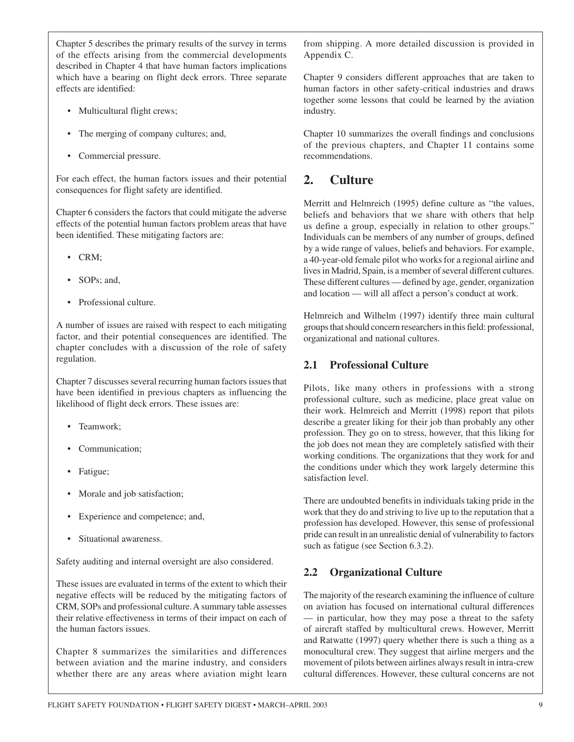Chapter 5 describes the primary results of the survey in terms of the effects arising from the commercial developments described in Chapter 4 that have human factors implications which have a bearing on flight deck errors. Three separate effects are identified:

- Multicultural flight crews;
- The merging of company cultures; and,
- Commercial pressure.

For each effect, the human factors issues and their potential consequences for flight safety are identified.

Chapter 6 considers the factors that could mitigate the adverse effects of the potential human factors problem areas that have been identified. These mitigating factors are:

- CRM;
- SOPs; and,
- Professional culture.

A number of issues are raised with respect to each mitigating factor, and their potential consequences are identified. The chapter concludes with a discussion of the role of safety regulation.

Chapter 7 discusses several recurring human factors issues that have been identified in previous chapters as influencing the likelihood of flight deck errors. These issues are:

- Teamwork;
- Communication;
- Fatigue;
- Morale and job satisfaction;
- Experience and competence; and,
- Situational awareness.

Safety auditing and internal oversight are also considered.

These issues are evaluated in terms of the extent to which their negative effects will be reduced by the mitigating factors of CRM, SOPs and professional culture. A summary table assesses their relative effectiveness in terms of their impact on each of the human factors issues.

Chapter 8 summarizes the similarities and differences between aviation and the marine industry, and considers whether there are any areas where aviation might learn

from shipping. A more detailed discussion is provided in Appendix C.

Chapter 9 considers different approaches that are taken to human factors in other safety-critical industries and draws together some lessons that could be learned by the aviation industry.

Chapter 10 summarizes the overall findings and conclusions of the previous chapters, and Chapter 11 contains some recommendations.

## **2. Culture**

Merritt and Helmreich (1995) define culture as "the values, beliefs and behaviors that we share with others that help us define a group, especially in relation to other groups." Individuals can be members of any number of groups, defined by a wide range of values, beliefs and behaviors. For example, a 40-year-old female pilot who works for a regional airline and lives in Madrid, Spain, is a member of several different cultures. These different cultures — defined by age, gender, organization and location — will all affect a person's conduct at work.

Helmreich and Wilhelm (1997) identify three main cultural groups that should concern researchers in this field: professional, organizational and national cultures.

### **2.1 Professional Culture**

Pilots, like many others in professions with a strong professional culture, such as medicine, place great value on their work. Helmreich and Merritt (1998) report that pilots describe a greater liking for their job than probably any other profession. They go on to stress, however, that this liking for the job does not mean they are completely satisfied with their working conditions. The organizations that they work for and the conditions under which they work largely determine this satisfaction level.

There are undoubted benefits in individuals taking pride in the work that they do and striving to live up to the reputation that a profession has developed. However, this sense of professional pride can result in an unrealistic denial of vulnerability to factors such as fatigue (see Section 6.3.2).

## **2.2 Organizational Culture**

The majority of the research examining the influence of culture on aviation has focused on international cultural differences — in particular, how they may pose a threat to the safety of aircraft staffed by multicultural crews. However, Merritt and Ratwatte (1997) query whether there is such a thing as a monocultural crew. They suggest that airline mergers and the movement of pilots between airlines always result in intra-crew cultural differences. However, these cultural concerns are not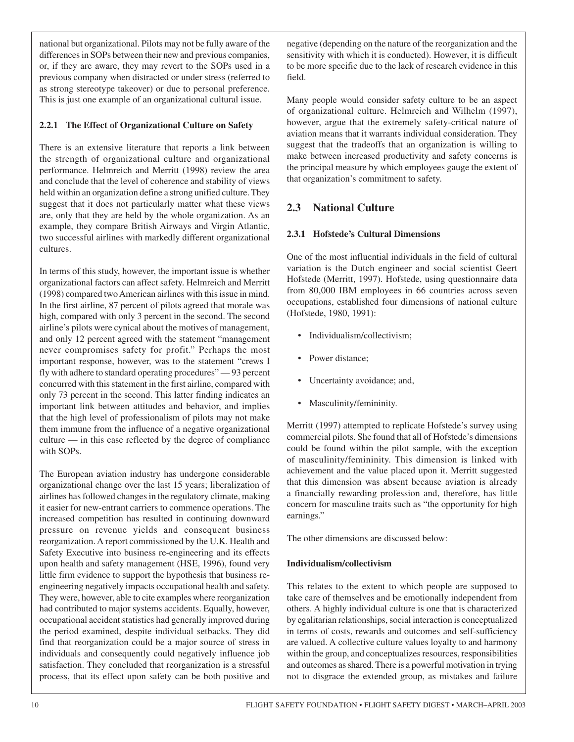national but organizational. Pilots may not be fully aware of the differences in SOPs between their new and previous companies, or, if they are aware, they may revert to the SOPs used in a previous company when distracted or under stress (referred to as strong stereotype takeover) or due to personal preference. This is just one example of an organizational cultural issue.

#### **2.2.1 The Effect of Organizational Culture on Safety**

There is an extensive literature that reports a link between the strength of organizational culture and organizational performance. Helmreich and Merritt (1998) review the area and conclude that the level of coherence and stability of views held within an organization define a strong unified culture. They suggest that it does not particularly matter what these views are, only that they are held by the whole organization. As an example, they compare British Airways and Virgin Atlantic, two successful airlines with markedly different organizational cultures.

In terms of this study, however, the important issue is whether organizational factors can affect safety. Helmreich and Merritt (1998) compared two American airlines with this issue in mind. In the first airline, 87 percent of pilots agreed that morale was high, compared with only 3 percent in the second. The second airline's pilots were cynical about the motives of management, and only 12 percent agreed with the statement "management never compromises safety for profit." Perhaps the most important response, however, was to the statement "crews I fly with adhere to standard operating procedures" — 93 percent concurred with this statement in the first airline, compared with only 73 percent in the second. This latter finding indicates an important link between attitudes and behavior, and implies that the high level of professionalism of pilots may not make them immune from the influence of a negative organizational culture — in this case reflected by the degree of compliance with SOPs.

The European aviation industry has undergone considerable organizational change over the last 15 years; liberalization of airlines has followed changes in the regulatory climate, making it easier for new-entrant carriers to commence operations. The increased competition has resulted in continuing downward pressure on revenue yields and consequent business reorganization. A report commissioned by the U.K. Health and Safety Executive into business re-engineering and its effects upon health and safety management (HSE, 1996), found very little firm evidence to support the hypothesis that business reengineering negatively impacts occupational health and safety. They were, however, able to cite examples where reorganization had contributed to major systems accidents. Equally, however, occupational accident statistics had generally improved during the period examined, despite individual setbacks. They did find that reorganization could be a major source of stress in individuals and consequently could negatively influence job satisfaction. They concluded that reorganization is a stressful process, that its effect upon safety can be both positive and

negative (depending on the nature of the reorganization and the sensitivity with which it is conducted). However, it is difficult to be more specific due to the lack of research evidence in this field.

Many people would consider safety culture to be an aspect of organizational culture. Helmreich and Wilhelm (1997), however, argue that the extremely safety-critical nature of aviation means that it warrants individual consideration. They suggest that the tradeoffs that an organization is willing to make between increased productivity and safety concerns is the principal measure by which employees gauge the extent of that organization's commitment to safety.

## **2.3 National Culture**

#### **2.3.1 Hofstede's Cultural Dimensions**

One of the most influential individuals in the field of cultural variation is the Dutch engineer and social scientist Geert Hofstede (Merritt, 1997). Hofstede, using questionnaire data from 80,000 IBM employees in 66 countries across seven occupations, established four dimensions of national culture (Hofstede, 1980, 1991):

- Individualism/collectivism;
- Power distance;
- Uncertainty avoidance; and,
- Masculinity/femininity.

Merritt (1997) attempted to replicate Hofstede's survey using commercial pilots. She found that all of Hofstede's dimensions could be found within the pilot sample, with the exception of masculinity/femininity. This dimension is linked with achievement and the value placed upon it. Merritt suggested that this dimension was absent because aviation is already a financially rewarding profession and, therefore, has little concern for masculine traits such as "the opportunity for high earnings."

The other dimensions are discussed below:

#### **Individualism/collectivism**

This relates to the extent to which people are supposed to take care of themselves and be emotionally independent from others. A highly individual culture is one that is characterized by egalitarian relationships, social interaction is conceptualized in terms of costs, rewards and outcomes and self-sufficiency are valued. A collective culture values loyalty to and harmony within the group, and conceptualizes resources, responsibilities and outcomes as shared. There is a powerful motivation in trying not to disgrace the extended group, as mistakes and failure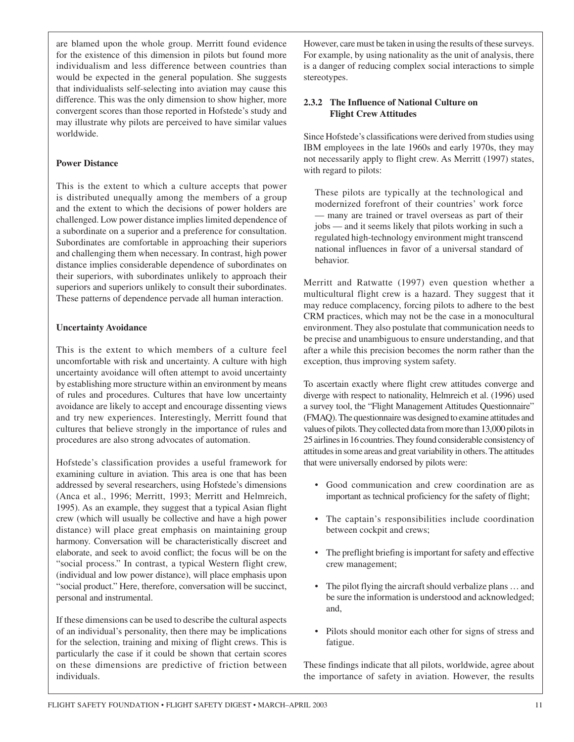are blamed upon the whole group. Merritt found evidence for the existence of this dimension in pilots but found more individualism and less difference between countries than would be expected in the general population. She suggests that individualists self-selecting into aviation may cause this difference. This was the only dimension to show higher, more convergent scores than those reported in Hofstede's study and may illustrate why pilots are perceived to have similar values worldwide.

#### **Power Distance**

This is the extent to which a culture accepts that power is distributed unequally among the members of a group and the extent to which the decisions of power holders are challenged. Low power distance implies limited dependence of a subordinate on a superior and a preference for consultation. Subordinates are comfortable in approaching their superiors and challenging them when necessary. In contrast, high power distance implies considerable dependence of subordinates on their superiors, with subordinates unlikely to approach their superiors and superiors unlikely to consult their subordinates. These patterns of dependence pervade all human interaction.

#### **Uncertainty Avoidance**

This is the extent to which members of a culture feel uncomfortable with risk and uncertainty. A culture with high uncertainty avoidance will often attempt to avoid uncertainty by establishing more structure within an environment by means of rules and procedures. Cultures that have low uncertainty avoidance are likely to accept and encourage dissenting views and try new experiences. Interestingly, Merritt found that cultures that believe strongly in the importance of rules and procedures are also strong advocates of automation.

Hofstede's classification provides a useful framework for examining culture in aviation. This area is one that has been addressed by several researchers, using Hofstede's dimensions (Anca et al., 1996; Merritt, 1993; Merritt and Helmreich, 1995). As an example, they suggest that a typical Asian flight crew (which will usually be collective and have a high power distance) will place great emphasis on maintaining group harmony. Conversation will be characteristically discreet and elaborate, and seek to avoid conflict; the focus will be on the "social process." In contrast, a typical Western flight crew, (individual and low power distance), will place emphasis upon "social product." Here, therefore, conversation will be succinct, personal and instrumental.

If these dimensions can be used to describe the cultural aspects of an individual's personality, then there may be implications for the selection, training and mixing of flight crews. This is particularly the case if it could be shown that certain scores on these dimensions are predictive of friction between individuals.

However, care must be taken in using the results of these surveys. For example, by using nationality as the unit of analysis, there is a danger of reducing complex social interactions to simple stereotypes.

#### **2.3.2 The Influence of National Culture on Flight Crew Attitudes**

Since Hofstede's classifications were derived from studies using IBM employees in the late 1960s and early 1970s, they may not necessarily apply to flight crew. As Merritt (1997) states, with regard to pilots:

These pilots are typically at the technological and modernized forefront of their countries' work force — many are trained or travel overseas as part of their jobs — and it seems likely that pilots working in such a regulated high-technology environment might transcend national influences in favor of a universal standard of behavior.

Merritt and Ratwatte (1997) even question whether a multicultural flight crew is a hazard. They suggest that it may reduce complacency, forcing pilots to adhere to the best CRM practices, which may not be the case in a monocultural environment. They also postulate that communication needs to be precise and unambiguous to ensure understanding, and that after a while this precision becomes the norm rather than the exception, thus improving system safety.

To ascertain exactly where flight crew attitudes converge and diverge with respect to nationality, Helmreich et al. (1996) used a survey tool, the "Flight Management Attitudes Questionnaire" (FMAQ). The questionnaire was designed to examine attitudes and values of pilots. They collected data from more than 13,000 pilots in 25 airlines in 16 countries. They found considerable consistency of attitudes in some areas and great variability in others. The attitudes that were universally endorsed by pilots were:

- Good communication and crew coordination are as important as technical proficiency for the safety of flight;
- The captain's responsibilities include coordination between cockpit and crews;
- The preflight briefing is important for safety and effective crew management;
- The pilot flying the aircraft should verbalize plans ... and be sure the information is understood and acknowledged; and,
- Pilots should monitor each other for signs of stress and fatigue.

These findings indicate that all pilots, worldwide, agree about the importance of safety in aviation. However, the results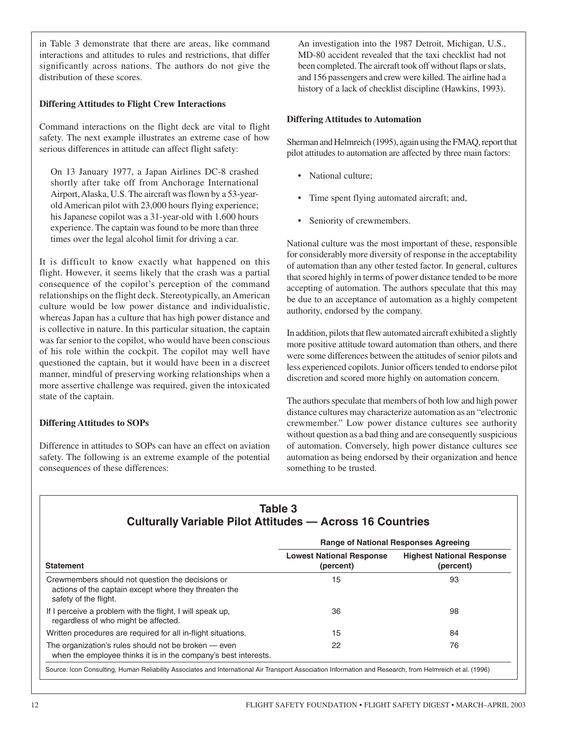in Table 3 demonstrate that there are areas, like command interactions and attitudes to rules and restrictions, that differ significantly across nations. The authors do not give the distribution of these scores.

#### **Differing Attitudes to Flight Crew Interactions**

Command interactions on the flight deck are vital to flight safety. The next example illustrates an extreme case of how serious differences in attitude can affect flight safety:

On 13 January 1977, a Japan Airlines DC-8 crashed shortly after take off from Anchorage International Airport, Alaska, U.S. The aircraft was flown by a 53-yearold American pilot with 23,000 hours flying experience; his Japanese copilot was a 31-year-old with 1,600 hours experience. The captain was found to be more than three times over the legal alcohol limit for driving a car.

It is difficult to know exactly what happened on this flight. However, it seems likely that the crash was a partial consequence of the copilot's perception of the command relationships on the flight deck. Stereotypically, an American culture would be low power distance and individualistic, whereas Japan has a culture that has high power distance and is collective in nature. In this particular situation, the captain was far senior to the copilot, who would have been conscious of his role within the cockpit. The copilot may well have questioned the captain, but it would have been in a discreet manner, mindful of preserving working relationships when a more assertive challenge was required, given the intoxicated state of the captain.

#### **Differing Attitudes to SOPs**

Difference in attitudes to SOPs can have an effect on aviation safety. The following is an extreme example of the potential consequences of these differences:

An investigation into the 1987 Detroit, Michigan, U.S., MD-80 accident revealed that the taxi checklist had not been completed. The aircraft took off without flaps or slats, and 156 passengers and crew were killed. The airline had a history of a lack of checklist discipline (Hawkins, 1993).

#### **Differing Attitudes to Automation**

Sherman and Helmreich (1995), again using the FMAQ, report that pilot attitudes to automation are affected by three main factors:

- National culture;
- Time spent flying automated aircraft; and,
- Seniority of crewmembers.

National culture was the most important of these, responsible for considerably more diversity of response in the acceptability of automation than any other tested factor. In general, cultures that scored highly in terms of power distance tended to be more accepting of automation. The authors speculate that this may be due to an acceptance of automation as a highly competent authority, endorsed by the company.

In addition, pilots that flew automated aircraft exhibited a slightly more positive attitude toward automation than others, and there were some differences between the attitudes of senior pilots and less experienced copilots. Junior officers tended to endorse pilot discretion and scored more highly on automation concern.

The authors speculate that members of both low and high power distance cultures may characterize automation as an "electronic crewmember." Low power distance cultures see authority without question as a bad thing and are consequently suspicious of automation. Conversely, high power distance cultures see automation as being endorsed by their organization and hence something to be trusted.

## **Table 3 Culturally Variable Pilot Attitudes — Across 16 Countries**

| <b>Range of National Responses Agreeing</b>                                                                                                              |                                              |                                               |
|----------------------------------------------------------------------------------------------------------------------------------------------------------|----------------------------------------------|-----------------------------------------------|
| <b>Statement</b>                                                                                                                                         | <b>Lowest National Response</b><br>(percent) | <b>Highest National Response</b><br>(percent) |
| Crewmembers should not question the decisions or<br>actions of the captain except where they threaten the<br>safety of the flight.                       | 15                                           | 93                                            |
| If I perceive a problem with the flight, I will speak up,<br>regardless of who might be affected.                                                        | 36                                           | 98                                            |
| Written procedures are required for all in-flight situations.                                                                                            | 15                                           | 84                                            |
| The organization's rules should not be broken — even<br>when the employee thinks it is in the company's best interests.                                  | 22                                           | 76                                            |
| Source: Icon Consulting, Human Reliability Associates and International Air Transport Association Information and Research, from Helmreich et al. (1996) |                                              |                                               |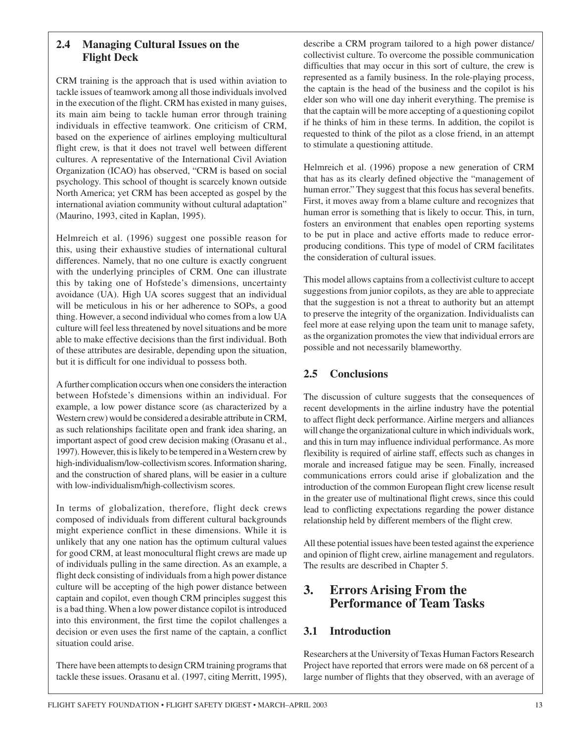#### **2.4 Managing Cultural Issues on the Flight Deck**

CRM training is the approach that is used within aviation to tackle issues of teamwork among all those individuals involved in the execution of the flight. CRM has existed in many guises, its main aim being to tackle human error through training individuals in effective teamwork. One criticism of CRM, based on the experience of airlines employing multicultural flight crew, is that it does not travel well between different cultures. A representative of the International Civil Aviation Organization (ICAO) has observed, "CRM is based on social psychology. This school of thought is scarcely known outside North America; yet CRM has been accepted as gospel by the international aviation community without cultural adaptation" (Maurino, 1993, cited in Kaplan, 1995).

Helmreich et al. (1996) suggest one possible reason for this, using their exhaustive studies of international cultural differences. Namely, that no one culture is exactly congruent with the underlying principles of CRM. One can illustrate this by taking one of Hofstede's dimensions, uncertainty avoidance (UA). High UA scores suggest that an individual will be meticulous in his or her adherence to SOPs, a good thing. However, a second individual who comes from a low UA culture will feel less threatened by novel situations and be more able to make effective decisions than the first individual. Both of these attributes are desirable, depending upon the situation, but it is difficult for one individual to possess both.

A further complication occurs when one considers the interaction between Hofstede's dimensions within an individual. For example, a low power distance score (as characterized by a Western crew) would be considered a desirable attribute in CRM, as such relationships facilitate open and frank idea sharing, an important aspect of good crew decision making (Orasanu et al., 1997). However, this is likely to be tempered in a Western crew by high-individualism/low-collectivism scores. Information sharing, and the construction of shared plans, will be easier in a culture with low-individualism/high-collectivism scores.

In terms of globalization, therefore, flight deck crews composed of individuals from different cultural backgrounds might experience conflict in these dimensions. While it is unlikely that any one nation has the optimum cultural values for good CRM, at least monocultural flight crews are made up of individuals pulling in the same direction. As an example, a flight deck consisting of individuals from a high power distance culture will be accepting of the high power distance between captain and copilot, even though CRM principles suggest this is a bad thing. When a low power distance copilot is introduced into this environment, the first time the copilot challenges a decision or even uses the first name of the captain, a conflict situation could arise.

There have been attempts to design CRM training programs that tackle these issues. Orasanu et al. (1997, citing Merritt, 1995),

describe a CRM program tailored to a high power distance/ collectivist culture. To overcome the possible communication difficulties that may occur in this sort of culture, the crew is represented as a family business. In the role-playing process, the captain is the head of the business and the copilot is his elder son who will one day inherit everything. The premise is that the captain will be more accepting of a questioning copilot if he thinks of him in these terms. In addition, the copilot is requested to think of the pilot as a close friend, in an attempt to stimulate a questioning attitude.

Helmreich et al. (1996) propose a new generation of CRM that has as its clearly defined objective the "management of human error." They suggest that this focus has several benefits. First, it moves away from a blame culture and recognizes that human error is something that is likely to occur. This, in turn, fosters an environment that enables open reporting systems to be put in place and active efforts made to reduce errorproducing conditions. This type of model of CRM facilitates the consideration of cultural issues.

This model allows captains from a collectivist culture to accept suggestions from junior copilots, as they are able to appreciate that the suggestion is not a threat to authority but an attempt to preserve the integrity of the organization. Individualists can feel more at ease relying upon the team unit to manage safety, as the organization promotes the view that individual errors are possible and not necessarily blameworthy.

## **2.5 Conclusions**

The discussion of culture suggests that the consequences of recent developments in the airline industry have the potential to affect flight deck performance. Airline mergers and alliances will change the organizational culture in which individuals work, and this in turn may influence individual performance. As more flexibility is required of airline staff, effects such as changes in morale and increased fatigue may be seen. Finally, increased communications errors could arise if globalization and the introduction of the common European flight crew license result in the greater use of multinational flight crews, since this could lead to conflicting expectations regarding the power distance relationship held by different members of the flight crew.

All these potential issues have been tested against the experience and opinion of flight crew, airline management and regulators. The results are described in Chapter 5.

## **3. Errors Arising From the Performance of Team Tasks**

## **3.1 Introduction**

Researchers at the University of Texas Human Factors Research Project have reported that errors were made on 68 percent of a large number of flights that they observed, with an average of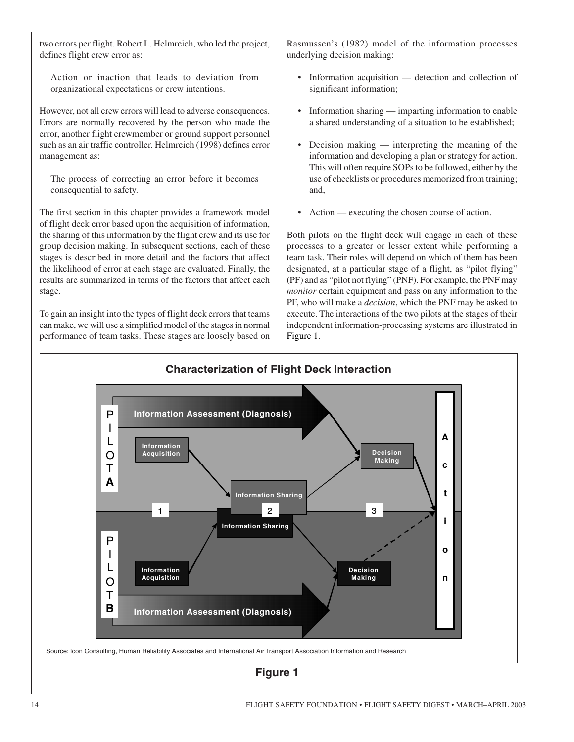two errors per flight. Robert L. Helmreich, who led the project, defines flight crew error as:

Action or inaction that leads to deviation from organizational expectations or crew intentions.

However, not all crew errors will lead to adverse consequences. Errors are normally recovered by the person who made the error, another flight crewmember or ground support personnel such as an air traffic controller. Helmreich (1998) defines error management as:

The process of correcting an error before it becomes consequential to safety.

The first section in this chapter provides a framework model of flight deck error based upon the acquisition of information, the sharing of this information by the flight crew and its use for group decision making. In subsequent sections, each of these stages is described in more detail and the factors that affect the likelihood of error at each stage are evaluated. Finally, the results are summarized in terms of the factors that affect each stage.

To gain an insight into the types of flight deck errors that teams can make, we will use a simplified model of the stages in normal performance of team tasks. These stages are loosely based on Rasmussen's (1982) model of the information processes underlying decision making:

- Information acquisition detection and collection of significant information;
- Information sharing imparting information to enable a shared understanding of a situation to be established;
- Decision making interpreting the meaning of the information and developing a plan or strategy for action. This will often require SOPs to be followed, either by the use of checklists or procedures memorized from training; and,
- Action executing the chosen course of action.

Both pilots on the flight deck will engage in each of these processes to a greater or lesser extent while performing a team task. Their roles will depend on which of them has been designated, at a particular stage of a flight, as "pilot flying" (PF) and as "pilot not flying" (PNF). For example, the PNF may *monitor* certain equipment and pass on any information to the PF, who will make a *decision*, which the PNF may be asked to execute. The interactions of the two pilots at the stages of their independent information-processing systems are illustrated in Figure 1.

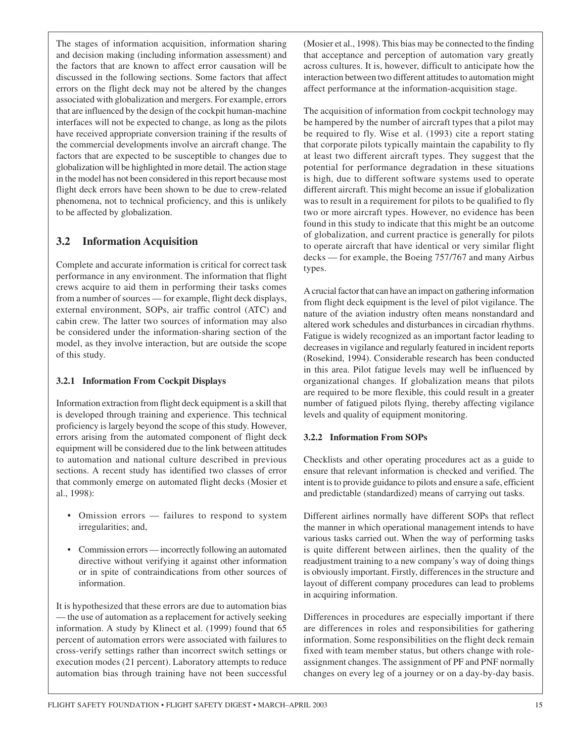The stages of information acquisition, information sharing and decision making (including information assessment) and the factors that are known to affect error causation will be discussed in the following sections. Some factors that affect errors on the flight deck may not be altered by the changes associated with globalization and mergers. For example, errors that are influenced by the design of the cockpit human-machine interfaces will not be expected to change, as long as the pilots have received appropriate conversion training if the results of the commercial developments involve an aircraft change. The factors that are expected to be susceptible to changes due to globalization will be highlighted in more detail. The action stage in the model has not been considered in this report because most flight deck errors have been shown to be due to crew-related phenomena, not to technical proficiency, and this is unlikely to be affected by globalization.

### **3.2 Information Acquisition**

Complete and accurate information is critical for correct task performance in any environment. The information that flight crews acquire to aid them in performing their tasks comes from a number of sources — for example, flight deck displays, external environment, SOPs, air traffic control (ATC) and cabin crew. The latter two sources of information may also be considered under the information-sharing section of the model, as they involve interaction, but are outside the scope of this study.

#### **3.2.1 Information From Cockpit Displays**

Information extraction from flight deck equipment is a skill that is developed through training and experience. This technical proficiency is largely beyond the scope of this study. However, errors arising from the automated component of flight deck equipment will be considered due to the link between attitudes to automation and national culture described in previous sections. A recent study has identified two classes of error that commonly emerge on automated flight decks (Mosier et al., 1998):

- Omission errors failures to respond to system irregularities; and,
- Commission errors incorrectly following an automated directive without verifying it against other information or in spite of contraindications from other sources of information.

It is hypothesized that these errors are due to automation bias — the use of automation as a replacement for actively seeking information. A study by Klinect et al. (1999) found that 65 percent of automation errors were associated with failures to cross-verify settings rather than incorrect switch settings or execution modes (21 percent). Laboratory attempts to reduce automation bias through training have not been successful

(Mosier et al., 1998). This bias may be connected to the finding that acceptance and perception of automation vary greatly across cultures. It is, however, difficult to anticipate how the interaction between two different attitudes to automation might affect performance at the information-acquisition stage.

The acquisition of information from cockpit technology may be hampered by the number of aircraft types that a pilot may be required to fly. Wise et al. (1993) cite a report stating that corporate pilots typically maintain the capability to fly at least two different aircraft types. They suggest that the potential for performance degradation in these situations is high, due to different software systems used to operate different aircraft. This might become an issue if globalization was to result in a requirement for pilots to be qualified to fly two or more aircraft types. However, no evidence has been found in this study to indicate that this might be an outcome of globalization, and current practice is generally for pilots to operate aircraft that have identical or very similar flight decks — for example, the Boeing 757/767 and many Airbus types.

A crucial factor that can have an impact on gathering information from flight deck equipment is the level of pilot vigilance. The nature of the aviation industry often means nonstandard and altered work schedules and disturbances in circadian rhythms. Fatigue is widely recognized as an important factor leading to decreases in vigilance and regularly featured in incident reports (Rosekind, 1994). Considerable research has been conducted in this area. Pilot fatigue levels may well be influenced by organizational changes. If globalization means that pilots are required to be more flexible, this could result in a greater number of fatigued pilots flying, thereby affecting vigilance levels and quality of equipment monitoring.

#### **3.2.2 Information From SOPs**

Checklists and other operating procedures act as a guide to ensure that relevant information is checked and verified. The intent is to provide guidance to pilots and ensure a safe, efficient and predictable (standardized) means of carrying out tasks.

Different airlines normally have different SOPs that reflect the manner in which operational management intends to have various tasks carried out. When the way of performing tasks is quite different between airlines, then the quality of the readjustment training to a new company's way of doing things is obviously important. Firstly, differences in the structure and layout of different company procedures can lead to problems in acquiring information.

Differences in procedures are especially important if there are differences in roles and responsibilities for gathering information. Some responsibilities on the flight deck remain fixed with team member status, but others change with roleassignment changes. The assignment of PF and PNF normally changes on every leg of a journey or on a day-by-day basis.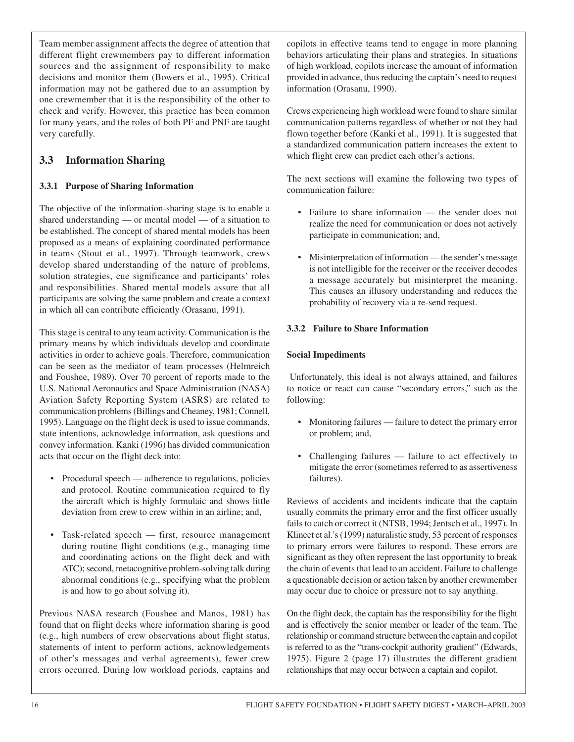Team member assignment affects the degree of attention that different flight crewmembers pay to different information sources and the assignment of responsibility to make decisions and monitor them (Bowers et al., 1995). Critical information may not be gathered due to an assumption by one crewmember that it is the responsibility of the other to check and verify. However, this practice has been common for many years, and the roles of both PF and PNF are taught very carefully.

## **3.3 Information Sharing**

#### **3.3.1 Purpose of Sharing Information**

The objective of the information-sharing stage is to enable a shared understanding — or mental model — of a situation to be established. The concept of shared mental models has been proposed as a means of explaining coordinated performance in teams (Stout et al., 1997). Through teamwork, crews develop shared understanding of the nature of problems, solution strategies, cue significance and participants' roles and responsibilities. Shared mental models assure that all participants are solving the same problem and create a context in which all can contribute efficiently (Orasanu, 1991).

This stage is central to any team activity. Communication is the primary means by which individuals develop and coordinate activities in order to achieve goals. Therefore, communication can be seen as the mediator of team processes (Helmreich and Foushee, 1989). Over 70 percent of reports made to the U.S. National Aeronautics and Space Administration (NASA) Aviation Safety Reporting System (ASRS) are related to communication problems (Billings and Cheaney, 1981; Connell, 1995). Language on the flight deck is used to issue commands, state intentions, acknowledge information, ask questions and convey information. Kanki (1996) has divided communication acts that occur on the flight deck into:

- Procedural speech adherence to regulations, policies and protocol. Routine communication required to fly the aircraft which is highly formulaic and shows little deviation from crew to crew within in an airline; and,
- Task-related speech first, resource management during routine flight conditions (e.g., managing time and coordinating actions on the flight deck and with ATC); second, metacognitive problem-solving talk during abnormal conditions (e.g., specifying what the problem is and how to go about solving it).

Previous NASA research (Foushee and Manos, 1981) has found that on flight decks where information sharing is good (e.g., high numbers of crew observations about flight status, statements of intent to perform actions, acknowledgements of other's messages and verbal agreements), fewer crew errors occurred. During low workload periods, captains and

copilots in effective teams tend to engage in more planning behaviors articulating their plans and strategies. In situations of high workload, copilots increase the amount of information provided in advance, thus reducing the captain's need to request information (Orasanu, 1990).

Crews experiencing high workload were found to share similar communication patterns regardless of whether or not they had flown together before (Kanki et al., 1991). It is suggested that a standardized communication pattern increases the extent to which flight crew can predict each other's actions.

The next sections will examine the following two types of communication failure:

- Failure to share information the sender does not realize the need for communication or does not actively participate in communication; and,
- Misinterpretation of information the sender's message is not intelligible for the receiver or the receiver decodes a message accurately but misinterpret the meaning. This causes an illusory understanding and reduces the probability of recovery via a re-send request.

#### **3.3.2 Failure to Share Information**

#### **Social Impediments**

Unfortunately, this ideal is not always attained, and failures to notice or react can cause "secondary errors," such as the following:

- Monitoring failures failure to detect the primary error or problem; and,
- Challenging failures failure to act effectively to mitigate the error (sometimes referred to as assertiveness failures).

Reviews of accidents and incidents indicate that the captain usually commits the primary error and the first officer usually fails to catch or correct it (NTSB, 1994; Jentsch et al., 1997). In Klinect et al.'s (1999) naturalistic study, 53 percent of responses to primary errors were failures to respond. These errors are significant as they often represent the last opportunity to break the chain of events that lead to an accident. Failure to challenge a questionable decision or action taken by another crewmember may occur due to choice or pressure not to say anything.

On the flight deck, the captain has the responsibility for the flight and is effectively the senior member or leader of the team. The relationship or command structure between the captain and copilot is referred to as the "trans-cockpit authority gradient" (Edwards, 1975). Figure 2 (page 17) illustrates the different gradient relationships that may occur between a captain and copilot.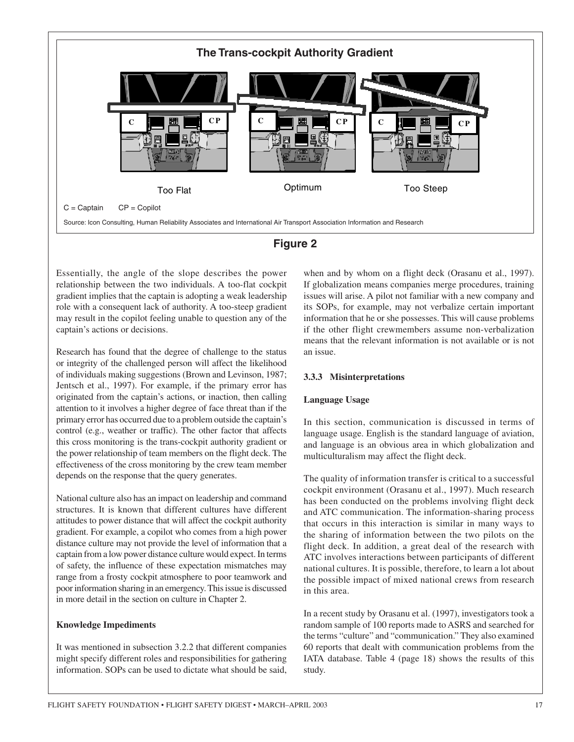



Essentially, the angle of the slope describes the power relationship between the two individuals. A too-flat cockpit gradient implies that the captain is adopting a weak leadership role with a consequent lack of authority. A too-steep gradient may result in the copilot feeling unable to question any of the captain's actions or decisions.

Research has found that the degree of challenge to the status or integrity of the challenged person will affect the likelihood of individuals making suggestions (Brown and Levinson, 1987; Jentsch et al., 1997). For example, if the primary error has originated from the captain's actions, or inaction, then calling attention to it involves a higher degree of face threat than if the primary error has occurred due to a problem outside the captain's control (e.g., weather or traffic). The other factor that affects this cross monitoring is the trans-cockpit authority gradient or the power relationship of team members on the flight deck. The effectiveness of the cross monitoring by the crew team member depends on the response that the query generates.

National culture also has an impact on leadership and command structures. It is known that different cultures have different attitudes to power distance that will affect the cockpit authority gradient. For example, a copilot who comes from a high power distance culture may not provide the level of information that a captain from a low power distance culture would expect. In terms of safety, the influence of these expectation mismatches may range from a frosty cockpit atmosphere to poor teamwork and poor information sharing in an emergency. This issue is discussed in more detail in the section on culture in Chapter 2.

#### **Knowledge Impediments**

It was mentioned in subsection 3.2.2 that different companies might specify different roles and responsibilities for gathering information. SOPs can be used to dictate what should be said, when and by whom on a flight deck (Orasanu et al., 1997). If globalization means companies merge procedures, training issues will arise. A pilot not familiar with a new company and its SOPs, for example, may not verbalize certain important information that he or she possesses. This will cause problems if the other flight crewmembers assume non-verbalization means that the relevant information is not available or is not an issue.

#### **3.3.3 Misinterpretations**

#### **Language Usage**

In this section, communication is discussed in terms of language usage. English is the standard language of aviation, and language is an obvious area in which globalization and multiculturalism may affect the flight deck.

The quality of information transfer is critical to a successful cockpit environment (Orasanu et al., 1997). Much research has been conducted on the problems involving flight deck and ATC communication. The information-sharing process that occurs in this interaction is similar in many ways to the sharing of information between the two pilots on the flight deck. In addition, a great deal of the research with ATC involves interactions between participants of different national cultures. It is possible, therefore, to learn a lot about the possible impact of mixed national crews from research in this area.

In a recent study by Orasanu et al. (1997), investigators took a random sample of 100 reports made to ASRS and searched for the terms "culture" and "communication." They also examined 60 reports that dealt with communication problems from the IATA database. Table 4 (page 18) shows the results of this study.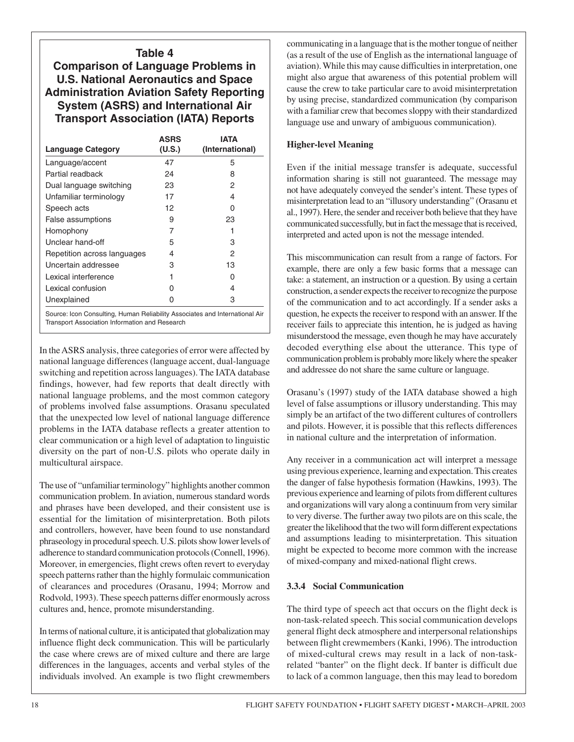#### **Table 4**

**Comparison of Language Problems in U.S. National Aeronautics and Space Administration Aviation Safety Reporting System (ASRS) and International Air Transport Association (IATA) Reports**

| <b>Language Category</b>    | ASRS<br>(U.S.)                                                             | <b>IATA</b><br>(International) |  |  |
|-----------------------------|----------------------------------------------------------------------------|--------------------------------|--|--|
| Language/accent             | 47                                                                         | 5                              |  |  |
| Partial readback            | 24                                                                         | 8                              |  |  |
| Dual language switching     | 23                                                                         | 2                              |  |  |
| Unfamiliar terminology      | 17                                                                         | 4                              |  |  |
| Speech acts                 | 12                                                                         | O                              |  |  |
| False assumptions           | 9                                                                          | 23                             |  |  |
| Homophony                   | 7                                                                          |                                |  |  |
| Unclear hand-off            | 5                                                                          | 3                              |  |  |
| Repetition across languages | 4                                                                          | 2                              |  |  |
| Uncertain addressee         | 3                                                                          | 13                             |  |  |
| Lexical interference        |                                                                            | O                              |  |  |
| Lexical confusion           | U                                                                          | 4                              |  |  |
| Unexplained                 | Ω                                                                          | 3                              |  |  |
|                             | Course: Joan Conculting Human Poliobility Associates and International Air |                                |  |  |

Source: Icon Consulting, Human Reliability Associates and International Air Transport Association Information and Research

In the ASRS analysis, three categories of error were affected by national language differences (language accent, dual-language switching and repetition across languages). The IATA database findings, however, had few reports that dealt directly with national language problems, and the most common category of problems involved false assumptions. Orasanu speculated that the unexpected low level of national language difference problems in the IATA database reflects a greater attention to clear communication or a high level of adaptation to linguistic diversity on the part of non-U.S. pilots who operate daily in multicultural airspace.

The use of "unfamiliar terminology" highlights another common communication problem. In aviation, numerous standard words and phrases have been developed, and their consistent use is essential for the limitation of misinterpretation. Both pilots and controllers, however, have been found to use nonstandard phraseology in procedural speech. U.S. pilots show lower levels of adherence to standard communication protocols (Connell, 1996). Moreover, in emergencies, flight crews often revert to everyday speech patterns rather than the highly formulaic communication of clearances and procedures (Orasanu, 1994; Morrow and Rodvold, 1993). These speech patterns differ enormously across cultures and, hence, promote misunderstanding.

In terms of national culture, it is anticipated that globalization may influence flight deck communication. This will be particularly the case where crews are of mixed culture and there are large differences in the languages, accents and verbal styles of the individuals involved. An example is two flight crewmembers communicating in a language that is the mother tongue of neither (as a result of the use of English as the international language of aviation). While this may cause difficulties in interpretation, one might also argue that awareness of this potential problem will cause the crew to take particular care to avoid misinterpretation by using precise, standardized communication (by comparison with a familiar crew that becomes sloppy with their standardized language use and unwary of ambiguous communication).

#### **Higher-level Meaning**

Even if the initial message transfer is adequate, successful information sharing is still not guaranteed. The message may not have adequately conveyed the sender's intent. These types of misinterpretation lead to an "illusory understanding" (Orasanu et al., 1997). Here, the sender and receiver both believe that they have communicated successfully, but in fact the message that is received, interpreted and acted upon is not the message intended.

This miscommunication can result from a range of factors. For example, there are only a few basic forms that a message can take: a statement, an instruction or a question. By using a certain construction, a sender expects the receiver to recognize the purpose of the communication and to act accordingly. If a sender asks a question, he expects the receiver to respond with an answer. If the receiver fails to appreciate this intention, he is judged as having misunderstood the message, even though he may have accurately decoded everything else about the utterance. This type of communication problem is probably more likely where the speaker and addressee do not share the same culture or language.

Orasanu's (1997) study of the IATA database showed a high level of false assumptions or illusory understanding. This may simply be an artifact of the two different cultures of controllers and pilots. However, it is possible that this reflects differences in national culture and the interpretation of information.

Any receiver in a communication act will interpret a message using previous experience, learning and expectation. This creates the danger of false hypothesis formation (Hawkins, 1993). The previous experience and learning of pilots from different cultures and organizations will vary along a continuum from very similar to very diverse. The further away two pilots are on this scale, the greater the likelihood that the two will form different expectations and assumptions leading to misinterpretation. This situation might be expected to become more common with the increase of mixed-company and mixed-national flight crews.

#### **3.3.4 Social Communication**

The third type of speech act that occurs on the flight deck is non-task-related speech. This social communication develops general flight deck atmosphere and interpersonal relationships between flight crewmembers (Kanki, 1996). The introduction of mixed-cultural crews may result in a lack of non-taskrelated "banter" on the flight deck. If banter is difficult due to lack of a common language, then this may lead to boredom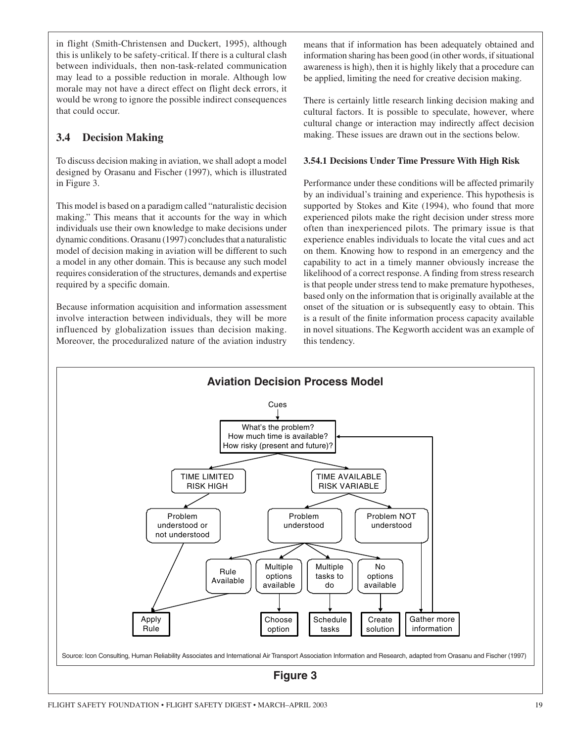in flight (Smith-Christensen and Duckert, 1995), although this is unlikely to be safety-critical. If there is a cultural clash between individuals, then non-task-related communication may lead to a possible reduction in morale. Although low morale may not have a direct effect on flight deck errors, it would be wrong to ignore the possible indirect consequences that could occur.

## **3.4 Decision Making**

To discuss decision making in aviation, we shall adopt a model designed by Orasanu and Fischer (1997), which is illustrated in Figure 3.

This model is based on a paradigm called "naturalistic decision making." This means that it accounts for the way in which individuals use their own knowledge to make decisions under dynamic conditions. Orasanu (1997) concludes that a naturalistic model of decision making in aviation will be different to such a model in any other domain. This is because any such model requires consideration of the structures, demands and expertise required by a specific domain.

Because information acquisition and information assessment involve interaction between individuals, they will be more influenced by globalization issues than decision making. Moreover, the proceduralized nature of the aviation industry

means that if information has been adequately obtained and information sharing has been good (in other words, if situational awareness is high), then it is highly likely that a procedure can be applied, limiting the need for creative decision making.

There is certainly little research linking decision making and cultural factors. It is possible to speculate, however, where cultural change or interaction may indirectly affect decision making. These issues are drawn out in the sections below.

#### **3.54.1 Decisions Under Time Pressure With High Risk**

Performance under these conditions will be affected primarily by an individual's training and experience. This hypothesis is supported by Stokes and Kite (1994), who found that more experienced pilots make the right decision under stress more often than inexperienced pilots. The primary issue is that experience enables individuals to locate the vital cues and act on them. Knowing how to respond in an emergency and the capability to act in a timely manner obviously increase the likelihood of a correct response. A finding from stress research is that people under stress tend to make premature hypotheses, based only on the information that is originally available at the onset of the situation or is subsequently easy to obtain. This is a result of the finite information process capacity available in novel situations. The Kegworth accident was an example of this tendency.

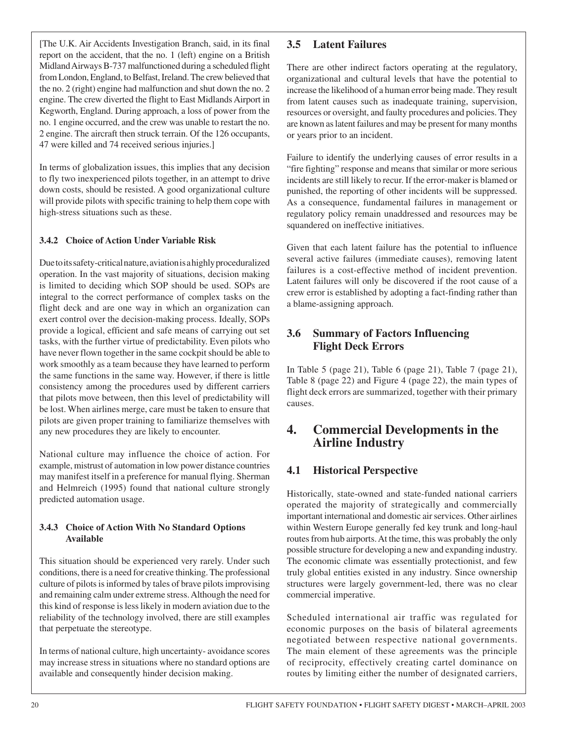[The U.K. Air Accidents Investigation Branch, said, in its final report on the accident, that the no. 1 (left) engine on a British Midland Airways B-737 malfunctioned during a scheduled flight from London, England, to Belfast, Ireland. The crew believed that the no. 2 (right) engine had malfunction and shut down the no. 2 engine. The crew diverted the flight to East Midlands Airport in Kegworth, England. During approach, a loss of power from the no. 1 engine occurred, and the crew was unable to restart the no. 2 engine. The aircraft then struck terrain. Of the 126 occupants, 47 were killed and 74 received serious injuries.]

In terms of globalization issues, this implies that any decision to fly two inexperienced pilots together, in an attempt to drive down costs, should be resisted. A good organizational culture will provide pilots with specific training to help them cope with high-stress situations such as these.

#### **3.4.2 Choice of Action Under Variable Risk**

Due to its safety-critical nature, aviation is a highly proceduralized operation. In the vast majority of situations, decision making is limited to deciding which SOP should be used. SOPs are integral to the correct performance of complex tasks on the flight deck and are one way in which an organization can exert control over the decision-making process. Ideally, SOPs provide a logical, efficient and safe means of carrying out set tasks, with the further virtue of predictability. Even pilots who have never flown together in the same cockpit should be able to work smoothly as a team because they have learned to perform the same functions in the same way. However, if there is little consistency among the procedures used by different carriers that pilots move between, then this level of predictability will be lost. When airlines merge, care must be taken to ensure that pilots are given proper training to familiarize themselves with any new procedures they are likely to encounter.

National culture may influence the choice of action. For example, mistrust of automation in low power distance countries may manifest itself in a preference for manual flying. Sherman and Helmreich (1995) found that national culture strongly predicted automation usage.

#### **3.4.3 Choice of Action With No Standard Options Available**

This situation should be experienced very rarely. Under such conditions, there is a need for creative thinking. The professional culture of pilots is informed by tales of brave pilots improvising and remaining calm under extreme stress. Although the need for this kind of response is less likely in modern aviation due to the reliability of the technology involved, there are still examples that perpetuate the stereotype.

In terms of national culture, high uncertainty- avoidance scores may increase stress in situations where no standard options are available and consequently hinder decision making.

#### **3.5 Latent Failures**

There are other indirect factors operating at the regulatory, organizational and cultural levels that have the potential to increase the likelihood of a human error being made. They result from latent causes such as inadequate training, supervision, resources or oversight, and faulty procedures and policies. They are known as latent failures and may be present for many months or years prior to an incident.

Failure to identify the underlying causes of error results in a "fire fighting" response and means that similar or more serious incidents are still likely to recur. If the error-maker is blamed or punished, the reporting of other incidents will be suppressed. As a consequence, fundamental failures in management or regulatory policy remain unaddressed and resources may be squandered on ineffective initiatives.

Given that each latent failure has the potential to influence several active failures (immediate causes), removing latent failures is a cost-effective method of incident prevention. Latent failures will only be discovered if the root cause of a crew error is established by adopting a fact-finding rather than a blame-assigning approach.

## **3.6 Summary of Factors Influencing Flight Deck Errors**

In Table 5 (page 21), Table 6 (page 21), Table 7 (page 21), Table 8 (page 22) and Figure 4 (page 22), the main types of flight deck errors are summarized, together with their primary causes.

## **4. Commercial Developments in the Airline Industry**

## **4.1 Historical Perspective**

Historically, state-owned and state-funded national carriers operated the majority of strategically and commercially important international and domestic air services. Other airlines within Western Europe generally fed key trunk and long-haul routes from hub airports. At the time, this was probably the only possible structure for developing a new and expanding industry. The economic climate was essentially protectionist, and few truly global entities existed in any industry. Since ownership structures were largely government-led, there was no clear commercial imperative.

Scheduled international air traffic was regulated for economic purposes on the basis of bilateral agreements negotiated between respective national governments. The main element of these agreements was the principle of reciprocity, effectively creating cartel dominance on routes by limiting either the number of designated carriers,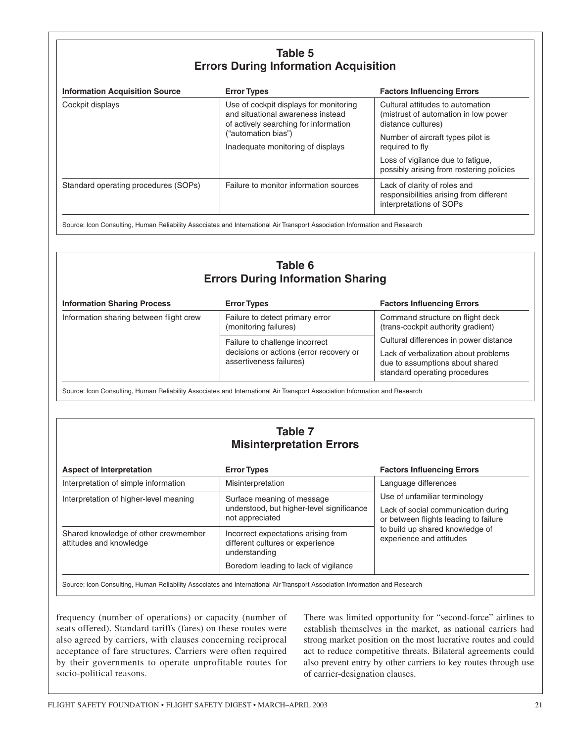## **Table 5 Errors During Information Acquisition**

| <b>Information Acquisition Source</b> | <b>Error Types</b>                                                                                                                                                               | <b>Factors Influencing Errors</b>                                                                                                                      |  |
|---------------------------------------|----------------------------------------------------------------------------------------------------------------------------------------------------------------------------------|--------------------------------------------------------------------------------------------------------------------------------------------------------|--|
| Cockpit displays                      | Use of cockpit displays for monitoring<br>and situational awareness instead<br>of actively searching for information<br>("automation bias")<br>Inadequate monitoring of displays | Cultural attitudes to automation<br>(mistrust of automation in low power<br>distance cultures)<br>Number of aircraft types pilot is<br>required to fly |  |
|                                       |                                                                                                                                                                                  | Loss of vigilance due to fatigue,<br>possibly arising from rostering policies                                                                          |  |
| Standard operating procedures (SOPs)  | Failure to monitor information sources                                                                                                                                           | Lack of clarity of roles and<br>responsibilities arising from different<br>interpretations of SOPs                                                     |  |

Source: Icon Consulting, Human Reliability Associates and International Air Transport Association Information and Research

| Table 6                                  |
|------------------------------------------|
| <b>Errors During Information Sharing</b> |

| <b>Information Sharing Process</b>      | <b>Error Types</b>                                                                                   | <b>Factors Influencing Errors</b>                                                                                                                  |
|-----------------------------------------|------------------------------------------------------------------------------------------------------|----------------------------------------------------------------------------------------------------------------------------------------------------|
| Information sharing between flight crew | Failure to detect primary error<br>(monitoring failures)                                             | Command structure on flight deck<br>(trans-cockpit authority gradient)                                                                             |
|                                         | Failure to challenge incorrect<br>decisions or actions (error recovery or<br>assertiveness failures) | Cultural differences in power distance<br>Lack of verbalization about problems<br>due to assumptions about shared<br>standard operating procedures |

Source: Icon Consulting, Human Reliability Associates and International Air Transport Association Information and Research

## **Table 7 Misinterpretation Errors**

| <b>Aspect of Interpretation</b>                                 | <b>Error Types</b>                                                                         | <b>Factors Influencing Errors</b>                                                                                                                                            |  |
|-----------------------------------------------------------------|--------------------------------------------------------------------------------------------|------------------------------------------------------------------------------------------------------------------------------------------------------------------------------|--|
| Interpretation of simple information                            | Misinterpretation                                                                          | Language differences                                                                                                                                                         |  |
| Interpretation of higher-level meaning                          | Surface meaning of message<br>understood, but higher-level significance<br>not appreciated | Use of unfamiliar terminology<br>Lack of social communication during<br>or between flights leading to failure<br>to build up shared knowledge of<br>experience and attitudes |  |
| Shared knowledge of other crewmember<br>attitudes and knowledge | Incorrect expectations arising from<br>different cultures or experience<br>understanding   |                                                                                                                                                                              |  |
|                                                                 | Boredom leading to lack of vigilance                                                       |                                                                                                                                                                              |  |

Source: Icon Consulting, Human Reliability Associates and International Air Transport Association Information and Research

frequency (number of operations) or capacity (number of seats offered). Standard tariffs (fares) on these routes were also agreed by carriers, with clauses concerning reciprocal acceptance of fare structures. Carriers were often required by their governments to operate unprofitable routes for socio-political reasons.

There was limited opportunity for "second-force" airlines to establish themselves in the market, as national carriers had strong market position on the most lucrative routes and could act to reduce competitive threats. Bilateral agreements could also prevent entry by other carriers to key routes through use of carrier-designation clauses.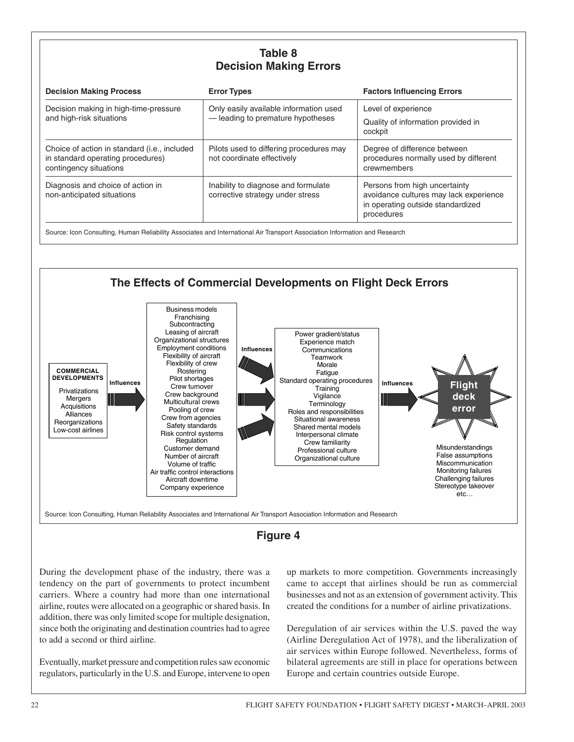## **Table 8 Decision Making Errors**

| <b>Error Types</b>                                                         | <b>Factors Influencing Errors</b>                                                                                          |
|----------------------------------------------------------------------------|----------------------------------------------------------------------------------------------------------------------------|
| Only easily available information used<br>-leading to premature hypotheses | Level of experience<br>Quality of information provided in<br>cockpit                                                       |
| Pilots used to differing procedures may<br>not coordinate effectively      | Degree of difference between<br>procedures normally used by different<br>crewmembers                                       |
| Inability to diagnose and formulate<br>corrective strategy under stress    | Persons from high uncertainty<br>avoidance cultures may lack experience<br>in operating outside standardized<br>procedures |
|                                                                            |                                                                                                                            |





During the development phase of the industry, there was a tendency on the part of governments to protect incumbent carriers. Where a country had more than one international airline, routes were allocated on a geographic or shared basis. In addition, there was only limited scope for multiple designation, since both the originating and destination countries had to agree to add a second or third airline.

Eventually, market pressure and competition rules saw economic regulators, particularly in the U.S. and Europe, intervene to open up markets to more competition. Governments increasingly came to accept that airlines should be run as commercial businesses and not as an extension of government activity. This created the conditions for a number of airline privatizations.

Deregulation of air services within the U.S. paved the way (Airline Deregulation Act of 1978), and the liberalization of air services within Europe followed. Nevertheless, forms of bilateral agreements are still in place for operations between Europe and certain countries outside Europe.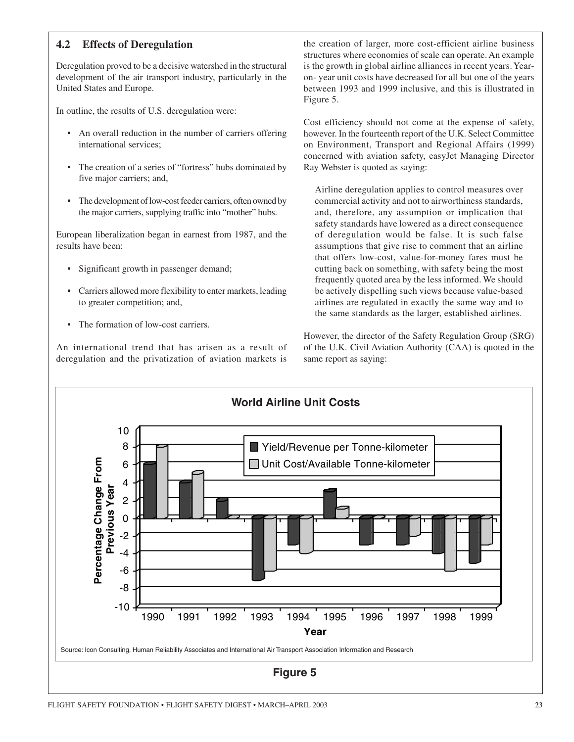## **4.2 Effects of Deregulation**

Deregulation proved to be a decisive watershed in the structural development of the air transport industry, particularly in the United States and Europe.

In outline, the results of U.S. deregulation were:

- An overall reduction in the number of carriers offering international services;
- The creation of a series of "fortress" hubs dominated by five major carriers; and,
- The development of low-cost feeder carriers, often owned by the major carriers, supplying traffic into "mother" hubs.

European liberalization began in earnest from 1987, and the results have been:

- Significant growth in passenger demand;
- Carriers allowed more flexibility to enter markets, leading to greater competition; and,
- The formation of low-cost carriers.

An international trend that has arisen as a result of deregulation and the privatization of aviation markets is

the creation of larger, more cost-efficient airline business structures where economies of scale can operate. An example is the growth in global airline alliances in recent years. Yearon- year unit costs have decreased for all but one of the years between 1993 and 1999 inclusive, and this is illustrated in Figure 5.

Cost efficiency should not come at the expense of safety, however. In the fourteenth report of the U.K. Select Committee on Environment, Transport and Regional Affairs (1999) concerned with aviation safety, easyJet Managing Director Ray Webster is quoted as saying:

Airline deregulation applies to control measures over commercial activity and not to airworthiness standards, and, therefore, any assumption or implication that safety standards have lowered as a direct consequence of deregulation would be false. It is such false assumptions that give rise to comment that an airline that offers low-cost, value-for-money fares must be cutting back on something, with safety being the most frequently quoted area by the less informed. We should be actively dispelling such views because value-based airlines are regulated in exactly the same way and to the same standards as the larger, established airlines.

However, the director of the Safety Regulation Group (SRG) of the U.K. Civil Aviation Authority (CAA) is quoted in the same report as saying:

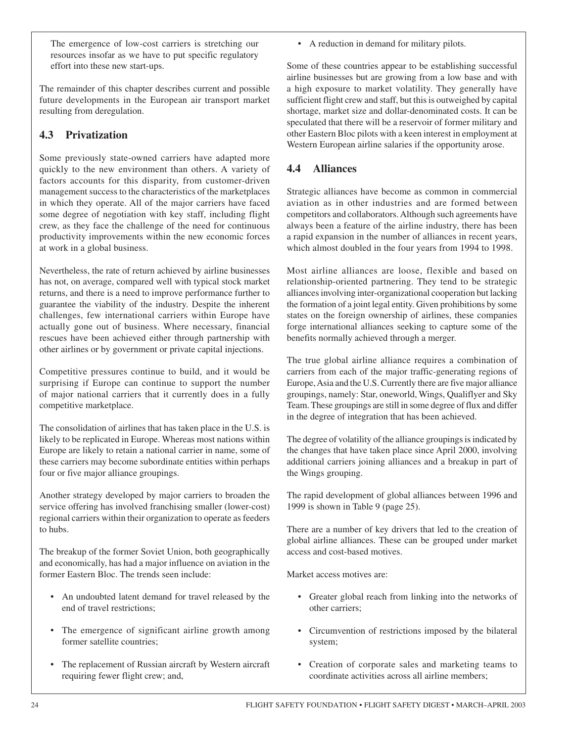The emergence of low-cost carriers is stretching our resources insofar as we have to put specific regulatory effort into these new start-ups.

The remainder of this chapter describes current and possible future developments in the European air transport market resulting from deregulation.

## **4.3 Privatization**

Some previously state-owned carriers have adapted more quickly to the new environment than others. A variety of factors accounts for this disparity, from customer-driven management success to the characteristics of the marketplaces in which they operate. All of the major carriers have faced some degree of negotiation with key staff, including flight crew, as they face the challenge of the need for continuous productivity improvements within the new economic forces at work in a global business.

Nevertheless, the rate of return achieved by airline businesses has not, on average, compared well with typical stock market returns, and there is a need to improve performance further to guarantee the viability of the industry. Despite the inherent challenges, few international carriers within Europe have actually gone out of business. Where necessary, financial rescues have been achieved either through partnership with other airlines or by government or private capital injections.

Competitive pressures continue to build, and it would be surprising if Europe can continue to support the number of major national carriers that it currently does in a fully competitive marketplace.

The consolidation of airlines that has taken place in the U.S. is likely to be replicated in Europe. Whereas most nations within Europe are likely to retain a national carrier in name, some of these carriers may become subordinate entities within perhaps four or five major alliance groupings.

Another strategy developed by major carriers to broaden the service offering has involved franchising smaller (lower-cost) regional carriers within their organization to operate as feeders to hubs.

The breakup of the former Soviet Union, both geographically and economically, has had a major influence on aviation in the former Eastern Bloc. The trends seen include:

- An undoubted latent demand for travel released by the end of travel restrictions;
- The emergence of significant airline growth among former satellite countries;
- The replacement of Russian aircraft by Western aircraft requiring fewer flight crew; and,

• A reduction in demand for military pilots.

Some of these countries appear to be establishing successful airline businesses but are growing from a low base and with a high exposure to market volatility. They generally have sufficient flight crew and staff, but this is outweighed by capital shortage, market size and dollar-denominated costs. It can be speculated that there will be a reservoir of former military and other Eastern Bloc pilots with a keen interest in employment at Western European airline salaries if the opportunity arose.

#### **4.4 Alliances**

Strategic alliances have become as common in commercial aviation as in other industries and are formed between competitors and collaborators. Although such agreements have always been a feature of the airline industry, there has been a rapid expansion in the number of alliances in recent years, which almost doubled in the four years from 1994 to 1998.

Most airline alliances are loose, flexible and based on relationship-oriented partnering. They tend to be strategic alliances involving inter-organizational cooperation but lacking the formation of a joint legal entity. Given prohibitions by some states on the foreign ownership of airlines, these companies forge international alliances seeking to capture some of the benefits normally achieved through a merger.

The true global airline alliance requires a combination of carriers from each of the major traffic-generating regions of Europe, Asia and the U.S. Currently there are five major alliance groupings, namely: Star, oneworld, Wings, Qualiflyer and Sky Team. These groupings are still in some degree of flux and differ in the degree of integration that has been achieved.

The degree of volatility of the alliance groupings is indicated by the changes that have taken place since April 2000, involving additional carriers joining alliances and a breakup in part of the Wings grouping.

The rapid development of global alliances between 1996 and 1999 is shown in Table 9 (page 25).

There are a number of key drivers that led to the creation of global airline alliances. These can be grouped under market access and cost-based motives.

Market access motives are:

- Greater global reach from linking into the networks of other carriers;
- Circumvention of restrictions imposed by the bilateral system;
- Creation of corporate sales and marketing teams to coordinate activities across all airline members;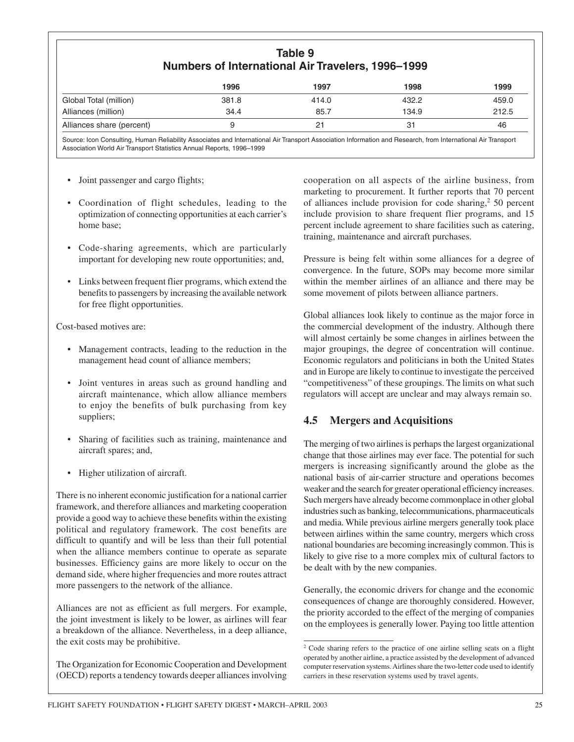## **Table 9 Numbers of International Air Travelers, 1996–1999**

|                           | 1996  | 1997  | 1998  | 1999  |
|---------------------------|-------|-------|-------|-------|
| Global Total (million)    | 381.8 | 414.0 | 432.2 | 459.0 |
| Alliances (million)       | 34.4  | 85.7  | 134.9 | 212.5 |
| Alliances share (percent) |       |       |       | 46    |

Source: Icon Consulting, Human Reliability Associates and International Air Transport Association Information and Research, from International Air Transport Association World Air Transport Statistics Annual Reports, 1996–1999

- Joint passenger and cargo flights;
- Coordination of flight schedules, leading to the optimization of connecting opportunities at each carrier's home base;
- Code-sharing agreements, which are particularly important for developing new route opportunities; and,
- Links between frequent flier programs, which extend the benefits to passengers by increasing the available network for free flight opportunities.

Cost-based motives are:

- Management contracts, leading to the reduction in the management head count of alliance members;
- Joint ventures in areas such as ground handling and aircraft maintenance, which allow alliance members to enjoy the benefits of bulk purchasing from key suppliers;
- Sharing of facilities such as training, maintenance and aircraft spares; and,
- Higher utilization of aircraft.

There is no inherent economic justification for a national carrier framework, and therefore alliances and marketing cooperation provide a good way to achieve these benefits within the existing political and regulatory framework. The cost benefits are difficult to quantify and will be less than their full potential when the alliance members continue to operate as separate businesses. Efficiency gains are more likely to occur on the demand side, where higher frequencies and more routes attract more passengers to the network of the alliance.

Alliances are not as efficient as full mergers. For example, the joint investment is likely to be lower, as airlines will fear a breakdown of the alliance. Nevertheless, in a deep alliance, the exit costs may be prohibitive.

The Organization for Economic Cooperation and Development (OECD) reports a tendency towards deeper alliances involving

cooperation on all aspects of the airline business, from marketing to procurement. It further reports that 70 percent of alliances include provision for code sharing, $250$  percent include provision to share frequent flier programs, and 15 percent include agreement to share facilities such as catering, training, maintenance and aircraft purchases.

Pressure is being felt within some alliances for a degree of convergence. In the future, SOPs may become more similar within the member airlines of an alliance and there may be some movement of pilots between alliance partners.

Global alliances look likely to continue as the major force in the commercial development of the industry. Although there will almost certainly be some changes in airlines between the major groupings, the degree of concentration will continue. Economic regulators and politicians in both the United States and in Europe are likely to continue to investigate the perceived "competitiveness" of these groupings. The limits on what such regulators will accept are unclear and may always remain so.

#### **4.5 Mergers and Acquisitions**

The merging of two airlines is perhaps the largest organizational change that those airlines may ever face. The potential for such mergers is increasing significantly around the globe as the national basis of air-carrier structure and operations becomes weaker and the search for greater operational efficiency increases. Such mergers have already become commonplace in other global industries such as banking, telecommunications, pharmaceuticals and media. While previous airline mergers generally took place between airlines within the same country, mergers which cross national boundaries are becoming increasingly common. This is likely to give rise to a more complex mix of cultural factors to be dealt with by the new companies.

Generally, the economic drivers for change and the economic consequences of change are thoroughly considered. However, the priority accorded to the effect of the merging of companies on the employees is generally lower. Paying too little attention

<sup>2</sup> Code sharing refers to the practice of one airline selling seats on a flight operated by another airline, a practice assisted by the development of advanced computer reservation systems. Airlines share the two-letter code used to identify carriers in these reservation systems used by travel agents.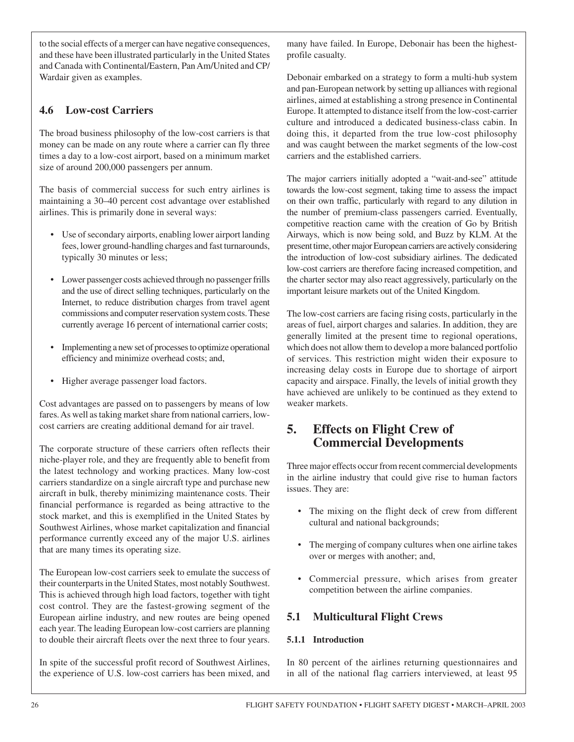to the social effects of a merger can have negative consequences, and these have been illustrated particularly in the United States and Canada with Continental/Eastern, Pan Am/United and CP/ Wardair given as examples.

## **4.6 Low-cost Carriers**

The broad business philosophy of the low-cost carriers is that money can be made on any route where a carrier can fly three times a day to a low-cost airport, based on a minimum market size of around 200,000 passengers per annum.

The basis of commercial success for such entry airlines is maintaining a 30–40 percent cost advantage over established airlines. This is primarily done in several ways:

- Use of secondary airports, enabling lower airport landing fees, lower ground-handling charges and fast turnarounds, typically 30 minutes or less;
- Lower passenger costs achieved through no passenger frills and the use of direct selling techniques, particularly on the Internet, to reduce distribution charges from travel agent commissions and computer reservation system costs. These currently average 16 percent of international carrier costs;
- Implementing a new set of processes to optimize operational efficiency and minimize overhead costs; and,
- Higher average passenger load factors.

Cost advantages are passed on to passengers by means of low fares. As well as taking market share from national carriers, lowcost carriers are creating additional demand for air travel.

The corporate structure of these carriers often reflects their niche-player role, and they are frequently able to benefit from the latest technology and working practices. Many low-cost carriers standardize on a single aircraft type and purchase new aircraft in bulk, thereby minimizing maintenance costs. Their financial performance is regarded as being attractive to the stock market, and this is exemplified in the United States by Southwest Airlines, whose market capitalization and financial performance currently exceed any of the major U.S. airlines that are many times its operating size.

The European low-cost carriers seek to emulate the success of their counterparts in the United States, most notably Southwest. This is achieved through high load factors, together with tight cost control. They are the fastest-growing segment of the European airline industry, and new routes are being opened each year. The leading European low-cost carriers are planning to double their aircraft fleets over the next three to four years.

In spite of the successful profit record of Southwest Airlines, the experience of U.S. low-cost carriers has been mixed, and many have failed. In Europe, Debonair has been the highestprofile casualty.

Debonair embarked on a strategy to form a multi-hub system and pan-European network by setting up alliances with regional airlines, aimed at establishing a strong presence in Continental Europe. It attempted to distance itself from the low-cost-carrier culture and introduced a dedicated business-class cabin. In doing this, it departed from the true low-cost philosophy and was caught between the market segments of the low-cost carriers and the established carriers.

The major carriers initially adopted a "wait-and-see" attitude towards the low-cost segment, taking time to assess the impact on their own traffic, particularly with regard to any dilution in the number of premium-class passengers carried. Eventually, competitive reaction came with the creation of Go by British Airways, which is now being sold, and Buzz by KLM. At the present time, other major European carriers are actively considering the introduction of low-cost subsidiary airlines. The dedicated low-cost carriers are therefore facing increased competition, and the charter sector may also react aggressively, particularly on the important leisure markets out of the United Kingdom.

The low-cost carriers are facing rising costs, particularly in the areas of fuel, airport charges and salaries. In addition, they are generally limited at the present time to regional operations, which does not allow them to develop a more balanced portfolio of services. This restriction might widen their exposure to increasing delay costs in Europe due to shortage of airport capacity and airspace. Finally, the levels of initial growth they have achieved are unlikely to be continued as they extend to weaker markets.

## **5. Effects on Flight Crew of Commercial Developments**

Three major effects occur from recent commercial developments in the airline industry that could give rise to human factors issues. They are:

- The mixing on the flight deck of crew from different cultural and national backgrounds;
- The merging of company cultures when one airline takes over or merges with another; and,
- Commercial pressure, which arises from greater competition between the airline companies.

#### **5.1 Multicultural Flight Crews**

#### **5.1.1 Introduction**

In 80 percent of the airlines returning questionnaires and in all of the national flag carriers interviewed, at least 95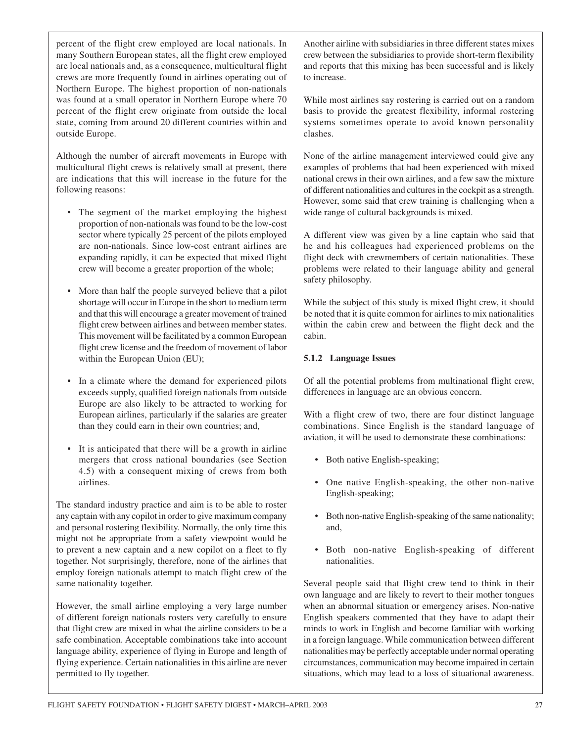percent of the flight crew employed are local nationals. In many Southern European states, all the flight crew employed are local nationals and, as a consequence, multicultural flight crews are more frequently found in airlines operating out of Northern Europe. The highest proportion of non-nationals was found at a small operator in Northern Europe where 70 percent of the flight crew originate from outside the local state, coming from around 20 different countries within and outside Europe.

Although the number of aircraft movements in Europe with multicultural flight crews is relatively small at present, there are indications that this will increase in the future for the following reasons:

- The segment of the market employing the highest proportion of non-nationals was found to be the low-cost sector where typically 25 percent of the pilots employed are non-nationals. Since low-cost entrant airlines are expanding rapidly, it can be expected that mixed flight crew will become a greater proportion of the whole;
- More than half the people surveyed believe that a pilot shortage will occur in Europe in the short to medium term and that this will encourage a greater movement of trained flight crew between airlines and between member states. This movement will be facilitated by a common European flight crew license and the freedom of movement of labor within the European Union (EU);
- In a climate where the demand for experienced pilots exceeds supply, qualified foreign nationals from outside Europe are also likely to be attracted to working for European airlines, particularly if the salaries are greater than they could earn in their own countries; and,
- It is anticipated that there will be a growth in airline mergers that cross national boundaries (see Section 4.5) with a consequent mixing of crews from both airlines.

The standard industry practice and aim is to be able to roster any captain with any copilot in order to give maximum company and personal rostering flexibility. Normally, the only time this might not be appropriate from a safety viewpoint would be to prevent a new captain and a new copilot on a fleet to fly together. Not surprisingly, therefore, none of the airlines that employ foreign nationals attempt to match flight crew of the same nationality together.

However, the small airline employing a very large number of different foreign nationals rosters very carefully to ensure that flight crew are mixed in what the airline considers to be a safe combination. Acceptable combinations take into account language ability, experience of flying in Europe and length of flying experience. Certain nationalities in this airline are never permitted to fly together.

Another airline with subsidiaries in three different states mixes crew between the subsidiaries to provide short-term flexibility and reports that this mixing has been successful and is likely to increase.

While most airlines say rostering is carried out on a random basis to provide the greatest flexibility, informal rostering systems sometimes operate to avoid known personality clashes.

None of the airline management interviewed could give any examples of problems that had been experienced with mixed national crews in their own airlines, and a few saw the mixture of different nationalities and cultures in the cockpit as a strength. However, some said that crew training is challenging when a wide range of cultural backgrounds is mixed.

A different view was given by a line captain who said that he and his colleagues had experienced problems on the flight deck with crewmembers of certain nationalities. These problems were related to their language ability and general safety philosophy.

While the subject of this study is mixed flight crew, it should be noted that it is quite common for airlines to mix nationalities within the cabin crew and between the flight deck and the cabin.

#### **5.1.2 Language Issues**

Of all the potential problems from multinational flight crew, differences in language are an obvious concern.

With a flight crew of two, there are four distinct language combinations. Since English is the standard language of aviation, it will be used to demonstrate these combinations:

- Both native English-speaking;
- One native English-speaking, the other non-native English-speaking;
- Both non-native English-speaking of the same nationality; and,
- Both non-native English-speaking of different nationalities.

Several people said that flight crew tend to think in their own language and are likely to revert to their mother tongues when an abnormal situation or emergency arises. Non-native English speakers commented that they have to adapt their minds to work in English and become familiar with working in a foreign language. While communication between different nationalities may be perfectly acceptable under normal operating circumstances, communication may become impaired in certain situations, which may lead to a loss of situational awareness.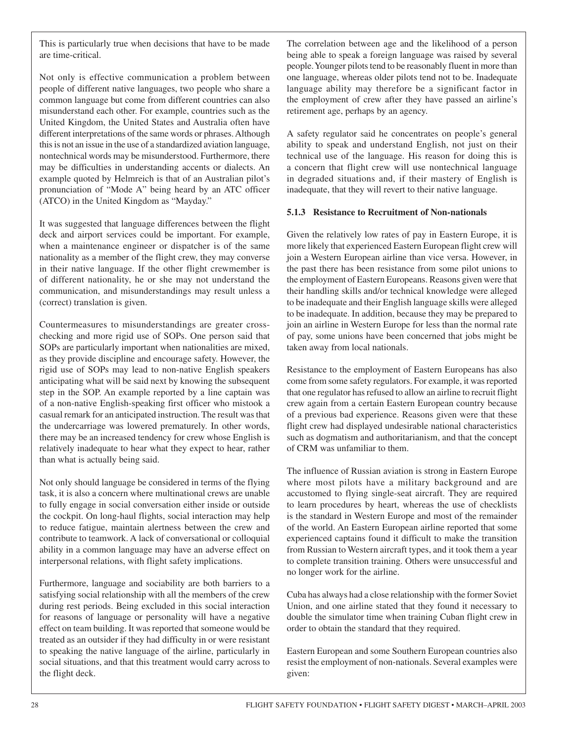This is particularly true when decisions that have to be made are time-critical.

Not only is effective communication a problem between people of different native languages, two people who share a common language but come from different countries can also misunderstand each other. For example, countries such as the United Kingdom, the United States and Australia often have different interpretations of the same words or phrases. Although this is not an issue in the use of a standardized aviation language, nontechnical words may be misunderstood. Furthermore, there may be difficulties in understanding accents or dialects. An example quoted by Helmreich is that of an Australian pilot's pronunciation of "Mode A" being heard by an ATC officer (ATCO) in the United Kingdom as "Mayday."

It was suggested that language differences between the flight deck and airport services could be important. For example, when a maintenance engineer or dispatcher is of the same nationality as a member of the flight crew, they may converse in their native language. If the other flight crewmember is of different nationality, he or she may not understand the communication, and misunderstandings may result unless a (correct) translation is given.

Countermeasures to misunderstandings are greater crosschecking and more rigid use of SOPs. One person said that SOPs are particularly important when nationalities are mixed, as they provide discipline and encourage safety. However, the rigid use of SOPs may lead to non-native English speakers anticipating what will be said next by knowing the subsequent step in the SOP. An example reported by a line captain was of a non-native English-speaking first officer who mistook a casual remark for an anticipated instruction. The result was that the undercarriage was lowered prematurely. In other words, there may be an increased tendency for crew whose English is relatively inadequate to hear what they expect to hear, rather than what is actually being said.

Not only should language be considered in terms of the flying task, it is also a concern where multinational crews are unable to fully engage in social conversation either inside or outside the cockpit. On long-haul flights, social interaction may help to reduce fatigue, maintain alertness between the crew and contribute to teamwork. A lack of conversational or colloquial ability in a common language may have an adverse effect on interpersonal relations, with flight safety implications.

Furthermore, language and sociability are both barriers to a satisfying social relationship with all the members of the crew during rest periods. Being excluded in this social interaction for reasons of language or personality will have a negative effect on team building. It was reported that someone would be treated as an outsider if they had difficulty in or were resistant to speaking the native language of the airline, particularly in social situations, and that this treatment would carry across to the flight deck.

The correlation between age and the likelihood of a person being able to speak a foreign language was raised by several people. Younger pilots tend to be reasonably fluent in more than one language, whereas older pilots tend not to be. Inadequate language ability may therefore be a significant factor in the employment of crew after they have passed an airline's retirement age, perhaps by an agency.

A safety regulator said he concentrates on people's general ability to speak and understand English, not just on their technical use of the language. His reason for doing this is a concern that flight crew will use nontechnical language in degraded situations and, if their mastery of English is inadequate, that they will revert to their native language.

#### **5.1.3 Resistance to Recruitment of Non-nationals**

Given the relatively low rates of pay in Eastern Europe, it is more likely that experienced Eastern European flight crew will join a Western European airline than vice versa. However, in the past there has been resistance from some pilot unions to the employment of Eastern Europeans. Reasons given were that their handling skills and/or technical knowledge were alleged to be inadequate and their English language skills were alleged to be inadequate. In addition, because they may be prepared to join an airline in Western Europe for less than the normal rate of pay, some unions have been concerned that jobs might be taken away from local nationals.

Resistance to the employment of Eastern Europeans has also come from some safety regulators. For example, it was reported that one regulator has refused to allow an airline to recruit flight crew again from a certain Eastern European country because of a previous bad experience. Reasons given were that these flight crew had displayed undesirable national characteristics such as dogmatism and authoritarianism, and that the concept of CRM was unfamiliar to them.

The influence of Russian aviation is strong in Eastern Europe where most pilots have a military background and are accustomed to flying single-seat aircraft. They are required to learn procedures by heart, whereas the use of checklists is the standard in Western Europe and most of the remainder of the world. An Eastern European airline reported that some experienced captains found it difficult to make the transition from Russian to Western aircraft types, and it took them a year to complete transition training. Others were unsuccessful and no longer work for the airline.

Cuba has always had a close relationship with the former Soviet Union, and one airline stated that they found it necessary to double the simulator time when training Cuban flight crew in order to obtain the standard that they required.

Eastern European and some Southern European countries also resist the employment of non-nationals. Several examples were given: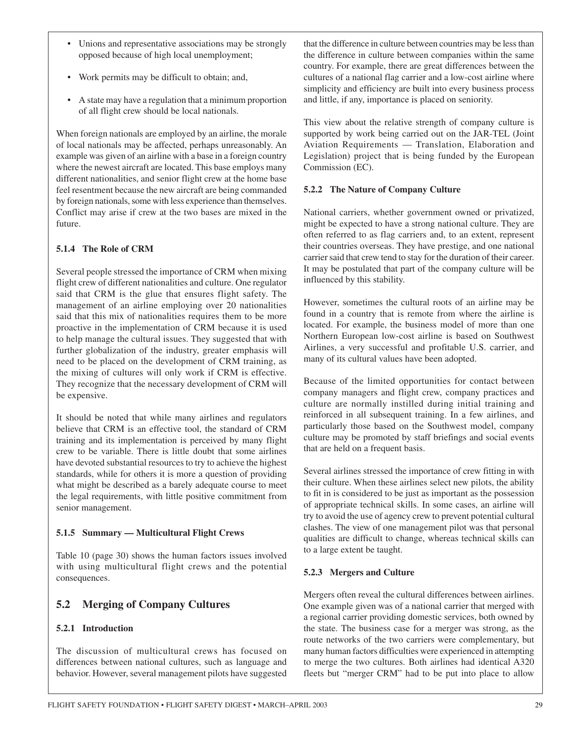- Unions and representative associations may be strongly opposed because of high local unemployment;
- Work permits may be difficult to obtain; and,
- A state may have a regulation that a minimum proportion of all flight crew should be local nationals.

When foreign nationals are employed by an airline, the morale of local nationals may be affected, perhaps unreasonably. An example was given of an airline with a base in a foreign country where the newest aircraft are located. This base employs many different nationalities, and senior flight crew at the home base feel resentment because the new aircraft are being commanded by foreign nationals, some with less experience than themselves. Conflict may arise if crew at the two bases are mixed in the future.

#### **5.1.4 The Role of CRM**

Several people stressed the importance of CRM when mixing flight crew of different nationalities and culture. One regulator said that CRM is the glue that ensures flight safety. The management of an airline employing over 20 nationalities said that this mix of nationalities requires them to be more proactive in the implementation of CRM because it is used to help manage the cultural issues. They suggested that with further globalization of the industry, greater emphasis will need to be placed on the development of CRM training, as the mixing of cultures will only work if CRM is effective. They recognize that the necessary development of CRM will be expensive.

It should be noted that while many airlines and regulators believe that CRM is an effective tool, the standard of CRM training and its implementation is perceived by many flight crew to be variable. There is little doubt that some airlines have devoted substantial resources to try to achieve the highest standards, while for others it is more a question of providing what might be described as a barely adequate course to meet the legal requirements, with little positive commitment from senior management.

#### **5.1.5 Summary — Multicultural Flight Crews**

Table 10 (page 30) shows the human factors issues involved with using multicultural flight crews and the potential consequences.

## **5.2 Merging of Company Cultures**

#### **5.2.1 Introduction**

The discussion of multicultural crews has focused on differences between national cultures, such as language and behavior. However, several management pilots have suggested that the difference in culture between countries may be less than the difference in culture between companies within the same country. For example, there are great differences between the cultures of a national flag carrier and a low-cost airline where simplicity and efficiency are built into every business process and little, if any, importance is placed on seniority.

This view about the relative strength of company culture is supported by work being carried out on the JAR-TEL (Joint Aviation Requirements — Translation, Elaboration and Legislation) project that is being funded by the European Commission (EC).

#### **5.2.2 The Nature of Company Culture**

National carriers, whether government owned or privatized, might be expected to have a strong national culture. They are often referred to as flag carriers and, to an extent, represent their countries overseas. They have prestige, and one national carrier said that crew tend to stay for the duration of their career. It may be postulated that part of the company culture will be influenced by this stability.

However, sometimes the cultural roots of an airline may be found in a country that is remote from where the airline is located. For example, the business model of more than one Northern European low-cost airline is based on Southwest Airlines, a very successful and profitable U.S. carrier, and many of its cultural values have been adopted.

Because of the limited opportunities for contact between company managers and flight crew, company practices and culture are normally instilled during initial training and reinforced in all subsequent training. In a few airlines, and particularly those based on the Southwest model, company culture may be promoted by staff briefings and social events that are held on a frequent basis.

Several airlines stressed the importance of crew fitting in with their culture. When these airlines select new pilots, the ability to fit in is considered to be just as important as the possession of appropriate technical skills. In some cases, an airline will try to avoid the use of agency crew to prevent potential cultural clashes. The view of one management pilot was that personal qualities are difficult to change, whereas technical skills can to a large extent be taught.

#### **5.2.3 Mergers and Culture**

Mergers often reveal the cultural differences between airlines. One example given was of a national carrier that merged with a regional carrier providing domestic services, both owned by the state. The business case for a merger was strong, as the route networks of the two carriers were complementary, but many human factors difficulties were experienced in attempting to merge the two cultures. Both airlines had identical A320 fleets but "merger CRM" had to be put into place to allow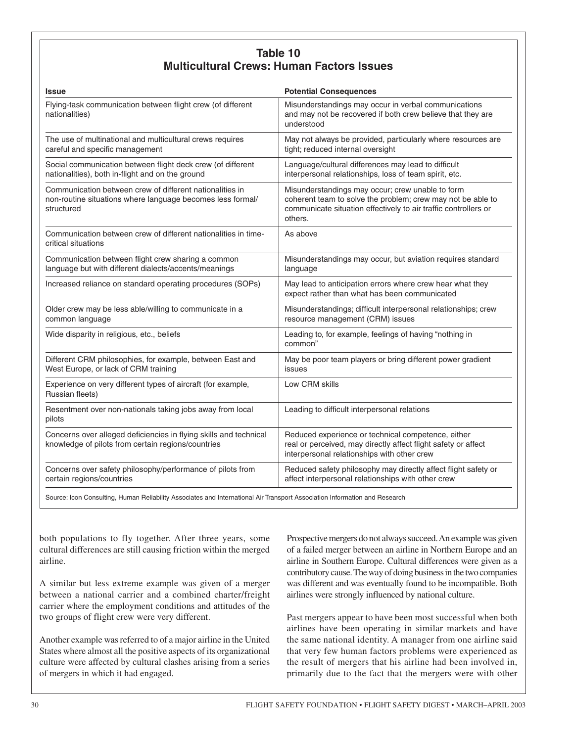| Table 10                                         |
|--------------------------------------------------|
| <b>Multicultural Crews: Human Factors Issues</b> |

| <b>Issue</b>                                                                                                                         | <b>Potential Consequences</b>                                                                                                                                                                 |
|--------------------------------------------------------------------------------------------------------------------------------------|-----------------------------------------------------------------------------------------------------------------------------------------------------------------------------------------------|
| Flying-task communication between flight crew (of different<br>nationalities)                                                        | Misunderstandings may occur in verbal communications<br>and may not be recovered if both crew believe that they are<br>understood                                                             |
| The use of multinational and multicultural crews requires<br>careful and specific management                                         | May not always be provided, particularly where resources are<br>tight; reduced internal oversight                                                                                             |
| Social communication between flight deck crew (of different<br>nationalities), both in-flight and on the ground                      | Language/cultural differences may lead to difficult<br>interpersonal relationships, loss of team spirit, etc.                                                                                 |
| Communication between crew of different nationalities in<br>non-routine situations where language becomes less formal/<br>structured | Misunderstandings may occur; crew unable to form<br>coherent team to solve the problem; crew may not be able to<br>communicate situation effectively to air traffic controllers or<br>others. |
| Communication between crew of different nationalities in time-<br>critical situations                                                | As above                                                                                                                                                                                      |
| Communication between flight crew sharing a common<br>language but with different dialects/accents/meanings                          | Misunderstandings may occur, but aviation requires standard<br>language                                                                                                                       |
| Increased reliance on standard operating procedures (SOPs)                                                                           | May lead to anticipation errors where crew hear what they<br>expect rather than what has been communicated                                                                                    |
| Older crew may be less able/willing to communicate in a<br>common language                                                           | Misunderstandings; difficult interpersonal relationships; crew<br>resource management (CRM) issues                                                                                            |
| Wide disparity in religious, etc., beliefs                                                                                           | Leading to, for example, feelings of having "nothing in<br>common"                                                                                                                            |
| Different CRM philosophies, for example, between East and<br>West Europe, or lack of CRM training                                    | May be poor team players or bring different power gradient<br>issues                                                                                                                          |
| Experience on very different types of aircraft (for example,<br>Russian fleets)                                                      | Low CRM skills                                                                                                                                                                                |
| Resentment over non-nationals taking jobs away from local<br>pilots                                                                  | Leading to difficult interpersonal relations                                                                                                                                                  |
| Concerns over alleged deficiencies in flying skills and technical<br>knowledge of pilots from certain regions/countries              | Reduced experience or technical competence, either<br>real or perceived, may directly affect flight safety or affect<br>interpersonal relationships with other crew                           |
| Concerns over safety philosophy/performance of pilots from<br>certain regions/countries                                              | Reduced safety philosophy may directly affect flight safety or<br>affect interpersonal relationships with other crew                                                                          |

Source: Icon Consulting, Human Reliability Associates and International Air Transport Association Information and Research

both populations to fly together. After three years, some cultural differences are still causing friction within the merged airline.

A similar but less extreme example was given of a merger between a national carrier and a combined charter/freight carrier where the employment conditions and attitudes of the two groups of flight crew were very different.

Another example was referred to of a major airline in the United States where almost all the positive aspects of its organizational culture were affected by cultural clashes arising from a series of mergers in which it had engaged.

Prospective mergers do not always succeed. An example was given of a failed merger between an airline in Northern Europe and an airline in Southern Europe. Cultural differences were given as a contributory cause. The way of doing business in the two companies was different and was eventually found to be incompatible. Both airlines were strongly influenced by national culture.

Past mergers appear to have been most successful when both airlines have been operating in similar markets and have the same national identity. A manager from one airline said that very few human factors problems were experienced as the result of mergers that his airline had been involved in, primarily due to the fact that the mergers were with other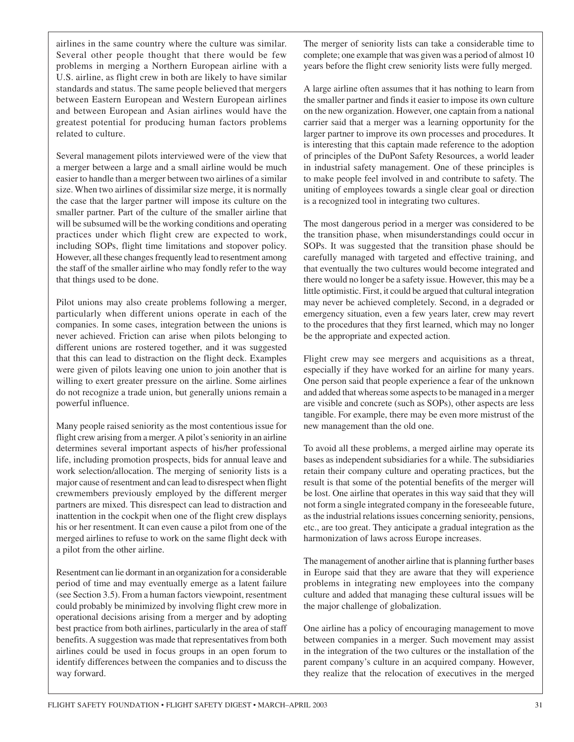airlines in the same country where the culture was similar. Several other people thought that there would be few problems in merging a Northern European airline with a U.S. airline, as flight crew in both are likely to have similar standards and status. The same people believed that mergers between Eastern European and Western European airlines and between European and Asian airlines would have the greatest potential for producing human factors problems related to culture.

Several management pilots interviewed were of the view that a merger between a large and a small airline would be much easier to handle than a merger between two airlines of a similar size. When two airlines of dissimilar size merge, it is normally the case that the larger partner will impose its culture on the smaller partner. Part of the culture of the smaller airline that will be subsumed will be the working conditions and operating practices under which flight crew are expected to work, including SOPs, flight time limitations and stopover policy. However, all these changes frequently lead to resentment among the staff of the smaller airline who may fondly refer to the way that things used to be done.

Pilot unions may also create problems following a merger, particularly when different unions operate in each of the companies. In some cases, integration between the unions is never achieved. Friction can arise when pilots belonging to different unions are rostered together, and it was suggested that this can lead to distraction on the flight deck. Examples were given of pilots leaving one union to join another that is willing to exert greater pressure on the airline. Some airlines do not recognize a trade union, but generally unions remain a powerful influence.

Many people raised seniority as the most contentious issue for flight crew arising from a merger. A pilot's seniority in an airline determines several important aspects of his/her professional life, including promotion prospects, bids for annual leave and work selection/allocation. The merging of seniority lists is a major cause of resentment and can lead to disrespect when flight crewmembers previously employed by the different merger partners are mixed. This disrespect can lead to distraction and inattention in the cockpit when one of the flight crew displays his or her resentment. It can even cause a pilot from one of the merged airlines to refuse to work on the same flight deck with a pilot from the other airline.

Resentment can lie dormant in an organization for a considerable period of time and may eventually emerge as a latent failure (see Section 3.5). From a human factors viewpoint, resentment could probably be minimized by involving flight crew more in operational decisions arising from a merger and by adopting best practice from both airlines, particularly in the area of staff benefits. A suggestion was made that representatives from both airlines could be used in focus groups in an open forum to identify differences between the companies and to discuss the way forward.

The merger of seniority lists can take a considerable time to complete; one example that was given was a period of almost 10 years before the flight crew seniority lists were fully merged.

A large airline often assumes that it has nothing to learn from the smaller partner and finds it easier to impose its own culture on the new organization. However, one captain from a national carrier said that a merger was a learning opportunity for the larger partner to improve its own processes and procedures. It is interesting that this captain made reference to the adoption of principles of the DuPont Safety Resources, a world leader in industrial safety management. One of these principles is to make people feel involved in and contribute to safety. The uniting of employees towards a single clear goal or direction is a recognized tool in integrating two cultures.

The most dangerous period in a merger was considered to be the transition phase, when misunderstandings could occur in SOPs. It was suggested that the transition phase should be carefully managed with targeted and effective training, and that eventually the two cultures would become integrated and there would no longer be a safety issue. However, this may be a little optimistic. First, it could be argued that cultural integration may never be achieved completely. Second, in a degraded or emergency situation, even a few years later, crew may revert to the procedures that they first learned, which may no longer be the appropriate and expected action.

Flight crew may see mergers and acquisitions as a threat, especially if they have worked for an airline for many years. One person said that people experience a fear of the unknown and added that whereas some aspects to be managed in a merger are visible and concrete (such as SOPs), other aspects are less tangible. For example, there may be even more mistrust of the new management than the old one.

To avoid all these problems, a merged airline may operate its bases as independent subsidiaries for a while. The subsidiaries retain their company culture and operating practices, but the result is that some of the potential benefits of the merger will be lost. One airline that operates in this way said that they will not form a single integrated company in the foreseeable future, as the industrial relations issues concerning seniority, pensions, etc., are too great. They anticipate a gradual integration as the harmonization of laws across Europe increases.

The management of another airline that is planning further bases in Europe said that they are aware that they will experience problems in integrating new employees into the company culture and added that managing these cultural issues will be the major challenge of globalization.

One airline has a policy of encouraging management to move between companies in a merger. Such movement may assist in the integration of the two cultures or the installation of the parent company's culture in an acquired company. However, they realize that the relocation of executives in the merged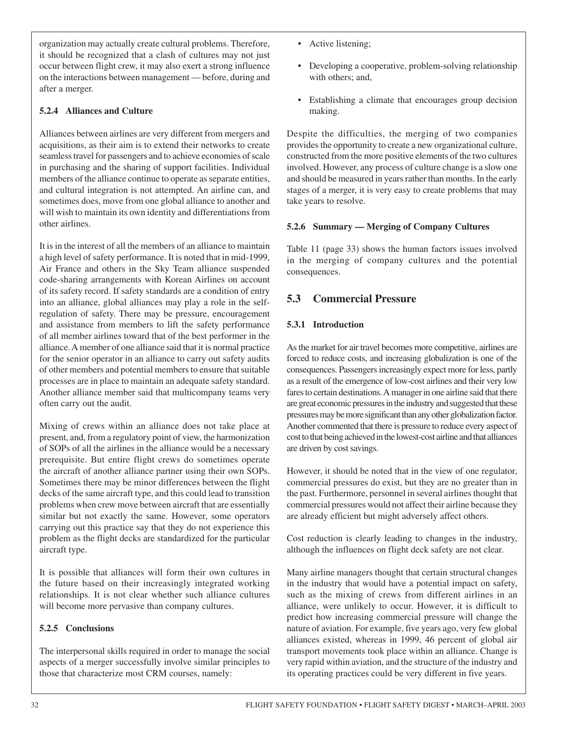organization may actually create cultural problems. Therefore, it should be recognized that a clash of cultures may not just occur between flight crew, it may also exert a strong influence on the interactions between management — before, during and after a merger.

#### **5.2.4 Alliances and Culture**

Alliances between airlines are very different from mergers and acquisitions, as their aim is to extend their networks to create seamless travel for passengers and to achieve economies of scale in purchasing and the sharing of support facilities. Individual members of the alliance continue to operate as separate entities, and cultural integration is not attempted. An airline can, and sometimes does, move from one global alliance to another and will wish to maintain its own identity and differentiations from other airlines.

It is in the interest of all the members of an alliance to maintain a high level of safety performance. It is noted that in mid-1999, Air France and others in the Sky Team alliance suspended code-sharing arrangements with Korean Airlines on account of its safety record. If safety standards are a condition of entry into an alliance, global alliances may play a role in the selfregulation of safety. There may be pressure, encouragement and assistance from members to lift the safety performance of all member airlines toward that of the best performer in the alliance. A member of one alliance said that it is normal practice for the senior operator in an alliance to carry out safety audits of other members and potential members to ensure that suitable processes are in place to maintain an adequate safety standard. Another alliance member said that multicompany teams very often carry out the audit.

Mixing of crews within an alliance does not take place at present, and, from a regulatory point of view, the harmonization of SOPs of all the airlines in the alliance would be a necessary prerequisite. But entire flight crews do sometimes operate the aircraft of another alliance partner using their own SOPs. Sometimes there may be minor differences between the flight decks of the same aircraft type, and this could lead to transition problems when crew move between aircraft that are essentially similar but not exactly the same. However, some operators carrying out this practice say that they do not experience this problem as the flight decks are standardized for the particular aircraft type.

It is possible that alliances will form their own cultures in the future based on their increasingly integrated working relationships. It is not clear whether such alliance cultures will become more pervasive than company cultures.

#### **5.2.5 Conclusions**

The interpersonal skills required in order to manage the social aspects of a merger successfully involve similar principles to those that characterize most CRM courses, namely:

- Active listening;
- Developing a cooperative, problem-solving relationship with others; and,
- Establishing a climate that encourages group decision making.

Despite the difficulties, the merging of two companies provides the opportunity to create a new organizational culture, constructed from the more positive elements of the two cultures involved. However, any process of culture change is a slow one and should be measured in years rather than months. In the early stages of a merger, it is very easy to create problems that may take years to resolve.

#### **5.2.6 Summary — Merging of Company Cultures**

Table 11 (page 33) shows the human factors issues involved in the merging of company cultures and the potential consequences.

## **5.3 Commercial Pressure**

#### **5.3.1 Introduction**

As the market for air travel becomes more competitive, airlines are forced to reduce costs, and increasing globalization is one of the consequences. Passengers increasingly expect more for less, partly as a result of the emergence of low-cost airlines and their very low fares to certain destinations. A manager in one airline said that there are great economic pressures in the industry and suggested that these pressures may be more significant than any other globalization factor. Another commented that there is pressure to reduce every aspect of cost to that being achieved in the lowest-cost airline and that alliances are driven by cost savings.

However, it should be noted that in the view of one regulator, commercial pressures do exist, but they are no greater than in the past. Furthermore, personnel in several airlines thought that commercial pressures would not affect their airline because they are already efficient but might adversely affect others.

Cost reduction is clearly leading to changes in the industry, although the influences on flight deck safety are not clear.

Many airline managers thought that certain structural changes in the industry that would have a potential impact on safety, such as the mixing of crews from different airlines in an alliance, were unlikely to occur. However, it is difficult to predict how increasing commercial pressure will change the nature of aviation. For example, five years ago, very few global alliances existed, whereas in 1999, 46 percent of global air transport movements took place within an alliance. Change is very rapid within aviation, and the structure of the industry and its operating practices could be very different in five years.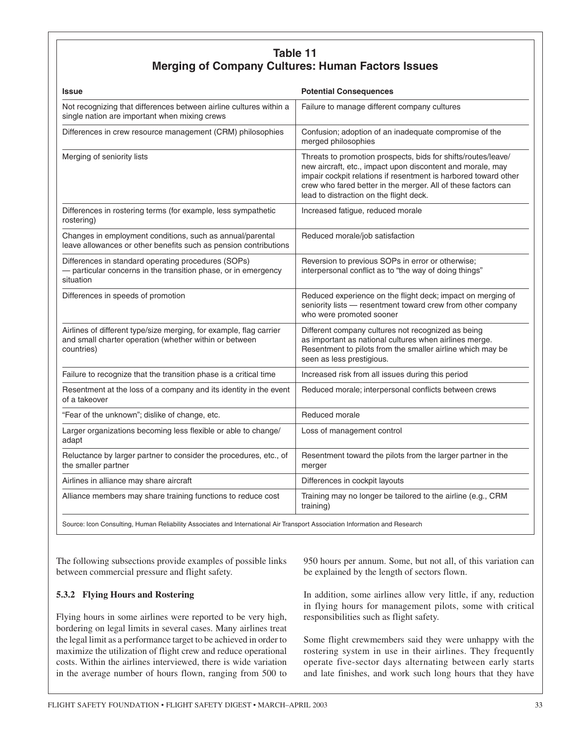## **Table 11 Merging of Company Cultures: Human Factors Issues**

| <b>Issue</b>                                                                                                                               | <b>Potential Consequences</b>                                                                                                                                                                                                                                                                              |
|--------------------------------------------------------------------------------------------------------------------------------------------|------------------------------------------------------------------------------------------------------------------------------------------------------------------------------------------------------------------------------------------------------------------------------------------------------------|
| Not recognizing that differences between airline cultures within a<br>single nation are important when mixing crews                        | Failure to manage different company cultures                                                                                                                                                                                                                                                               |
| Differences in crew resource management (CRM) philosophies                                                                                 | Confusion; adoption of an inadequate compromise of the<br>merged philosophies                                                                                                                                                                                                                              |
| Merging of seniority lists                                                                                                                 | Threats to promotion prospects, bids for shifts/routes/leave/<br>new aircraft, etc., impact upon discontent and morale, may<br>impair cockpit relations if resentment is harbored toward other<br>crew who fared better in the merger. All of these factors can<br>lead to distraction on the flight deck. |
| Differences in rostering terms (for example, less sympathetic<br>rostering)                                                                | Increased fatigue, reduced morale                                                                                                                                                                                                                                                                          |
| Changes in employment conditions, such as annual/parental<br>leave allowances or other benefits such as pension contributions              | Reduced morale/job satisfaction                                                                                                                                                                                                                                                                            |
| Differences in standard operating procedures (SOPs)<br>- particular concerns in the transition phase, or in emergency<br>situation         | Reversion to previous SOPs in error or otherwise;<br>interpersonal conflict as to "the way of doing things"                                                                                                                                                                                                |
| Differences in speeds of promotion                                                                                                         | Reduced experience on the flight deck; impact on merging of<br>seniority lists - resentment toward crew from other company<br>who were promoted sooner                                                                                                                                                     |
| Airlines of different type/size merging, for example, flag carrier<br>and small charter operation (whether within or between<br>countries) | Different company cultures not recognized as being<br>as important as national cultures when airlines merge.<br>Resentment to pilots from the smaller airline which may be<br>seen as less prestigious.                                                                                                    |
| Failure to recognize that the transition phase is a critical time                                                                          | Increased risk from all issues during this period                                                                                                                                                                                                                                                          |
| Resentment at the loss of a company and its identity in the event<br>of a takeover                                                         | Reduced morale; interpersonal conflicts between crews                                                                                                                                                                                                                                                      |
| "Fear of the unknown"; dislike of change, etc.                                                                                             | Reduced morale                                                                                                                                                                                                                                                                                             |
| Larger organizations becoming less flexible or able to change/<br>adapt                                                                    | Loss of management control                                                                                                                                                                                                                                                                                 |
| Reluctance by larger partner to consider the procedures, etc., of<br>the smaller partner                                                   | Resentment toward the pilots from the larger partner in the<br>merger                                                                                                                                                                                                                                      |
| Airlines in alliance may share aircraft                                                                                                    | Differences in cockpit layouts                                                                                                                                                                                                                                                                             |
| Alliance members may share training functions to reduce cost                                                                               | Training may no longer be tailored to the airline (e.g., CRM<br>training)                                                                                                                                                                                                                                  |
|                                                                                                                                            |                                                                                                                                                                                                                                                                                                            |

Source: Icon Consulting, Human Reliability Associates and International Air Transport Association Information and Research

The following subsections provide examples of possible links between commercial pressure and flight safety.

#### **5.3.2 Flying Hours and Rostering**

Flying hours in some airlines were reported to be very high, bordering on legal limits in several cases. Many airlines treat the legal limit as a performance target to be achieved in order to maximize the utilization of flight crew and reduce operational costs. Within the airlines interviewed, there is wide variation in the average number of hours flown, ranging from 500 to

950 hours per annum. Some, but not all, of this variation can be explained by the length of sectors flown.

In addition, some airlines allow very little, if any, reduction in flying hours for management pilots, some with critical responsibilities such as flight safety.

Some flight crewmembers said they were unhappy with the rostering system in use in their airlines. They frequently operate five-sector days alternating between early starts and late finishes, and work such long hours that they have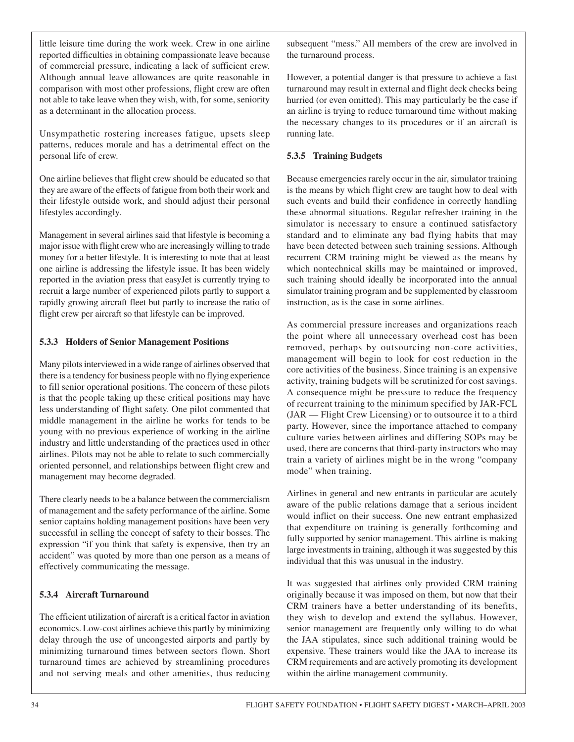little leisure time during the work week. Crew in one airline reported difficulties in obtaining compassionate leave because of commercial pressure, indicating a lack of sufficient crew. Although annual leave allowances are quite reasonable in comparison with most other professions, flight crew are often not able to take leave when they wish, with, for some, seniority as a determinant in the allocation process.

Unsympathetic rostering increases fatigue, upsets sleep patterns, reduces morale and has a detrimental effect on the personal life of crew.

One airline believes that flight crew should be educated so that they are aware of the effects of fatigue from both their work and their lifestyle outside work, and should adjust their personal lifestyles accordingly.

Management in several airlines said that lifestyle is becoming a major issue with flight crew who are increasingly willing to trade money for a better lifestyle. It is interesting to note that at least one airline is addressing the lifestyle issue. It has been widely reported in the aviation press that easyJet is currently trying to recruit a large number of experienced pilots partly to support a rapidly growing aircraft fleet but partly to increase the ratio of flight crew per aircraft so that lifestyle can be improved.

#### **5.3.3 Holders of Senior Management Positions**

Many pilots interviewed in a wide range of airlines observed that there is a tendency for business people with no flying experience to fill senior operational positions. The concern of these pilots is that the people taking up these critical positions may have less understanding of flight safety. One pilot commented that middle management in the airline he works for tends to be young with no previous experience of working in the airline industry and little understanding of the practices used in other airlines. Pilots may not be able to relate to such commercially oriented personnel, and relationships between flight crew and management may become degraded.

There clearly needs to be a balance between the commercialism of management and the safety performance of the airline. Some senior captains holding management positions have been very successful in selling the concept of safety to their bosses. The expression "if you think that safety is expensive, then try an accident" was quoted by more than one person as a means of effectively communicating the message.

#### **5.3.4 Aircraft Turnaround**

The efficient utilization of aircraft is a critical factor in aviation economics. Low-cost airlines achieve this partly by minimizing delay through the use of uncongested airports and partly by minimizing turnaround times between sectors flown. Short turnaround times are achieved by streamlining procedures and not serving meals and other amenities, thus reducing

subsequent "mess." All members of the crew are involved in the turnaround process.

However, a potential danger is that pressure to achieve a fast turnaround may result in external and flight deck checks being hurried (or even omitted). This may particularly be the case if an airline is trying to reduce turnaround time without making the necessary changes to its procedures or if an aircraft is running late.

#### **5.3.5 Training Budgets**

Because emergencies rarely occur in the air, simulator training is the means by which flight crew are taught how to deal with such events and build their confidence in correctly handling these abnormal situations. Regular refresher training in the simulator is necessary to ensure a continued satisfactory standard and to eliminate any bad flying habits that may have been detected between such training sessions. Although recurrent CRM training might be viewed as the means by which nontechnical skills may be maintained or improved, such training should ideally be incorporated into the annual simulator training program and be supplemented by classroom instruction, as is the case in some airlines.

As commercial pressure increases and organizations reach the point where all unnecessary overhead cost has been removed, perhaps by outsourcing non-core activities, management will begin to look for cost reduction in the core activities of the business. Since training is an expensive activity, training budgets will be scrutinized for cost savings. A consequence might be pressure to reduce the frequency of recurrent training to the minimum specified by JAR-FCL (JAR — Flight Crew Licensing) or to outsource it to a third party. However, since the importance attached to company culture varies between airlines and differing SOPs may be used, there are concerns that third-party instructors who may train a variety of airlines might be in the wrong "company mode" when training.

Airlines in general and new entrants in particular are acutely aware of the public relations damage that a serious incident would inflict on their success. One new entrant emphasized that expenditure on training is generally forthcoming and fully supported by senior management. This airline is making large investments in training, although it was suggested by this individual that this was unusual in the industry.

It was suggested that airlines only provided CRM training originally because it was imposed on them, but now that their CRM trainers have a better understanding of its benefits, they wish to develop and extend the syllabus. However, senior management are frequently only willing to do what the JAA stipulates, since such additional training would be expensive. These trainers would like the JAA to increase its CRM requirements and are actively promoting its development within the airline management community.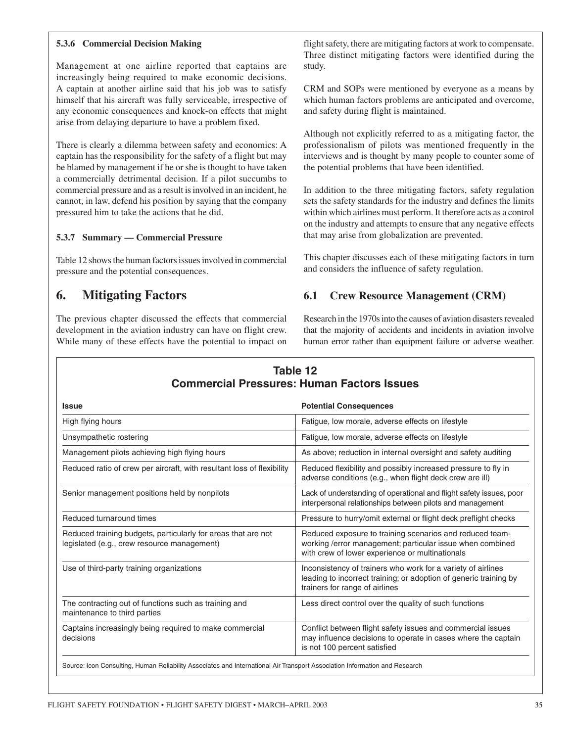#### **5.3.6 Commercial Decision Making**

Management at one airline reported that captains are increasingly being required to make economic decisions. A captain at another airline said that his job was to satisfy himself that his aircraft was fully serviceable, irrespective of any economic consequences and knock-on effects that might arise from delaying departure to have a problem fixed.

There is clearly a dilemma between safety and economics: A captain has the responsibility for the safety of a flight but may be blamed by management if he or she is thought to have taken a commercially detrimental decision. If a pilot succumbs to commercial pressure and as a result is involved in an incident, he cannot, in law, defend his position by saying that the company pressured him to take the actions that he did.

#### **5.3.7 Summary — Commercial Pressure**

Table 12 shows the human factors issues involved in commercial pressure and the potential consequences.

## **6. Mitigating Factors**

The previous chapter discussed the effects that commercial development in the aviation industry can have on flight crew. While many of these effects have the potential to impact on flight safety, there are mitigating factors at work to compensate. Three distinct mitigating factors were identified during the study.

CRM and SOPs were mentioned by everyone as a means by which human factors problems are anticipated and overcome, and safety during flight is maintained.

Although not explicitly referred to as a mitigating factor, the professionalism of pilots was mentioned frequently in the interviews and is thought by many people to counter some of the potential problems that have been identified.

In addition to the three mitigating factors, safety regulation sets the safety standards for the industry and defines the limits within which airlines must perform. It therefore acts as a control on the industry and attempts to ensure that any negative effects that may arise from globalization are prevented.

This chapter discusses each of these mitigating factors in turn and considers the influence of safety regulation.

#### **6.1 Crew Resource Management (CRM)**

Research in the 1970s into the causes of aviation disasters revealed that the majority of accidents and incidents in aviation involve human error rather than equipment failure or adverse weather.

| Table 12                                          |
|---------------------------------------------------|
| <b>Commercial Pressures: Human Factors Issues</b> |

| <b>Issue</b>                                                                                                 | <b>Potential Consequences</b>                                                                                                                                            |
|--------------------------------------------------------------------------------------------------------------|--------------------------------------------------------------------------------------------------------------------------------------------------------------------------|
| High flying hours                                                                                            | Fatigue, low morale, adverse effects on lifestyle                                                                                                                        |
| Unsympathetic rostering                                                                                      | Fatigue, low morale, adverse effects on lifestyle                                                                                                                        |
| Management pilots achieving high flying hours                                                                | As above; reduction in internal oversight and safety auditing                                                                                                            |
| Reduced ratio of crew per aircraft, with resultant loss of flexibility                                       | Reduced flexibility and possibly increased pressure to fly in<br>adverse conditions (e.g., when flight deck crew are ill)                                                |
| Senior management positions held by nonpilots                                                                | Lack of understanding of operational and flight safety issues, poor<br>interpersonal relationships between pilots and management                                         |
| Reduced turnaround times                                                                                     | Pressure to hurry/omit external or flight deck preflight checks                                                                                                          |
| Reduced training budgets, particularly for areas that are not<br>legislated (e.g., crew resource management) | Reduced exposure to training scenarios and reduced team-<br>working /error management; particular issue when combined<br>with crew of lower experience or multinationals |
| Use of third-party training organizations                                                                    | Inconsistency of trainers who work for a variety of airlines<br>leading to incorrect training; or adoption of generic training by<br>trainers for range of airlines      |
| The contracting out of functions such as training and<br>maintenance to third parties                        | Less direct control over the quality of such functions                                                                                                                   |
| Captains increasingly being required to make commercial<br>decisions                                         | Conflict between flight safety issues and commercial issues<br>may influence decisions to operate in cases where the captain<br>is not 100 percent satisfied             |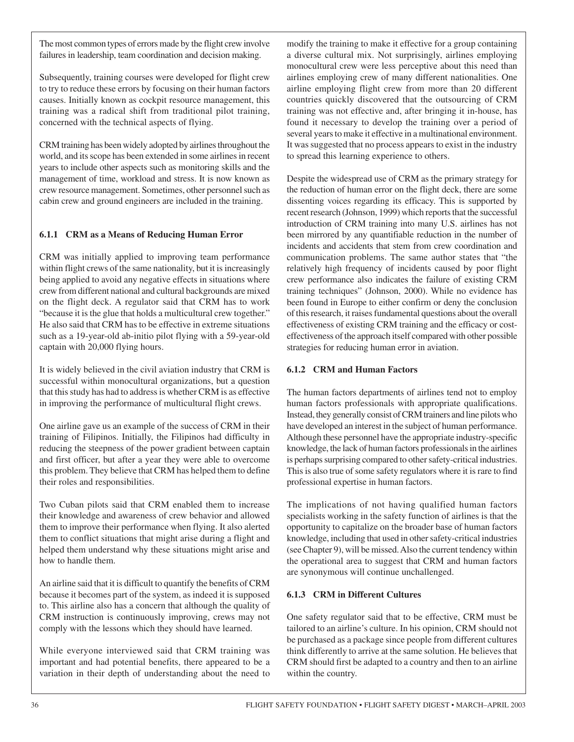The most common types of errors made by the flight crew involve failures in leadership, team coordination and decision making.

Subsequently, training courses were developed for flight crew to try to reduce these errors by focusing on their human factors causes. Initially known as cockpit resource management, this training was a radical shift from traditional pilot training, concerned with the technical aspects of flying.

CRM training has been widely adopted by airlines throughout the world, and its scope has been extended in some airlines in recent years to include other aspects such as monitoring skills and the management of time, workload and stress. It is now known as crew resource management. Sometimes, other personnel such as cabin crew and ground engineers are included in the training.

#### **6.1.1 CRM as a Means of Reducing Human Error**

CRM was initially applied to improving team performance within flight crews of the same nationality, but it is increasingly being applied to avoid any negative effects in situations where crew from different national and cultural backgrounds are mixed on the flight deck. A regulator said that CRM has to work "because it is the glue that holds a multicultural crew together." He also said that CRM has to be effective in extreme situations such as a 19-year-old ab-initio pilot flying with a 59-year-old captain with 20,000 flying hours.

It is widely believed in the civil aviation industry that CRM is successful within monocultural organizations, but a question that this study has had to address is whether CRM is as effective in improving the performance of multicultural flight crews.

One airline gave us an example of the success of CRM in their training of Filipinos. Initially, the Filipinos had difficulty in reducing the steepness of the power gradient between captain and first officer, but after a year they were able to overcome this problem. They believe that CRM has helped them to define their roles and responsibilities.

Two Cuban pilots said that CRM enabled them to increase their knowledge and awareness of crew behavior and allowed them to improve their performance when flying. It also alerted them to conflict situations that might arise during a flight and helped them understand why these situations might arise and how to handle them.

An airline said that it is difficult to quantify the benefits of CRM because it becomes part of the system, as indeed it is supposed to. This airline also has a concern that although the quality of CRM instruction is continuously improving, crews may not comply with the lessons which they should have learned.

While everyone interviewed said that CRM training was important and had potential benefits, there appeared to be a variation in their depth of understanding about the need to modify the training to make it effective for a group containing a diverse cultural mix. Not surprisingly, airlines employing monocultural crew were less perceptive about this need than airlines employing crew of many different nationalities. One airline employing flight crew from more than 20 different countries quickly discovered that the outsourcing of CRM training was not effective and, after bringing it in-house, has found it necessary to develop the training over a period of several years to make it effective in a multinational environment. It was suggested that no process appears to exist in the industry to spread this learning experience to others.

Despite the widespread use of CRM as the primary strategy for the reduction of human error on the flight deck, there are some dissenting voices regarding its efficacy. This is supported by recent research (Johnson, 1999) which reports that the successful introduction of CRM training into many U.S. airlines has not been mirrored by any quantifiable reduction in the number of incidents and accidents that stem from crew coordination and communication problems. The same author states that "the relatively high frequency of incidents caused by poor flight crew performance also indicates the failure of existing CRM training techniques" (Johnson, 2000). While no evidence has been found in Europe to either confirm or deny the conclusion of this research, it raises fundamental questions about the overall effectiveness of existing CRM training and the efficacy or costeffectiveness of the approach itself compared with other possible strategies for reducing human error in aviation.

#### **6.1.2 CRM and Human Factors**

The human factors departments of airlines tend not to employ human factors professionals with appropriate qualifications. Instead, they generally consist of CRM trainers and line pilots who have developed an interest in the subject of human performance. Although these personnel have the appropriate industry-specific knowledge, the lack of human factors professionals in the airlines is perhaps surprising compared to other safety-critical industries. This is also true of some safety regulators where it is rare to find professional expertise in human factors.

The implications of not having qualified human factors specialists working in the safety function of airlines is that the opportunity to capitalize on the broader base of human factors knowledge, including that used in other safety-critical industries (see Chapter 9), will be missed. Also the current tendency within the operational area to suggest that CRM and human factors are synonymous will continue unchallenged.

#### **6.1.3 CRM in Different Cultures**

One safety regulator said that to be effective, CRM must be tailored to an airline's culture. In his opinion, CRM should not be purchased as a package since people from different cultures think differently to arrive at the same solution. He believes that CRM should first be adapted to a country and then to an airline within the country.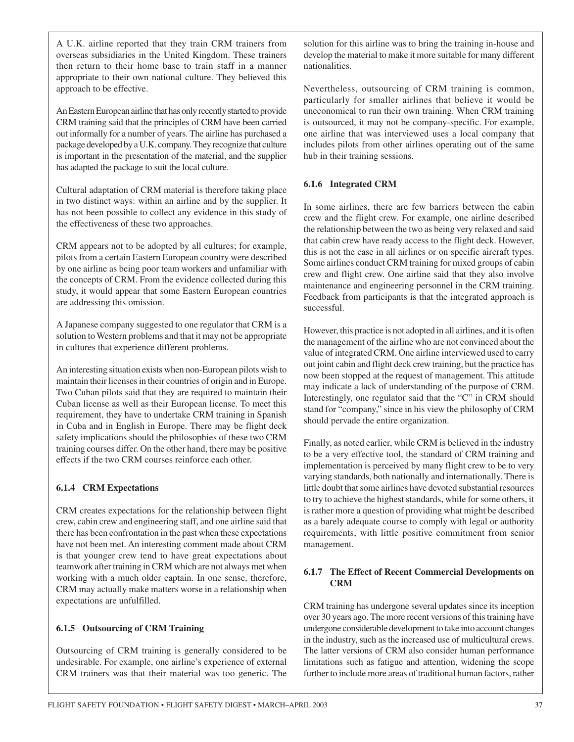A U.K. airline reported that they train CRM trainers from overseas subsidiaries in the United Kingdom. These trainers then return to their home base to train staff in a manner appropriate to their own national culture. They believed this approach to be effective.

An Eastern European airline that has only recently started to provide CRM training said that the principles of CRM have been carried out informally for a number of years. The airline has purchased a package developed by a U.K. company. They recognize that culture is important in the presentation of the material, and the supplier has adapted the package to suit the local culture.

Cultural adaptation of CRM material is therefore taking place in two distinct ways: within an airline and by the supplier. It has not been possible to collect any evidence in this study of the effectiveness of these two approaches.

CRM appears not to be adopted by all cultures; for example, pilots from a certain Eastern European country were described by one airline as being poor team workers and unfamiliar with the concepts of CRM. From the evidence collected during this study, it would appear that some Eastern European countries are addressing this omission.

A Japanese company suggested to one regulator that CRM is a solution to Western problems and that it may not be appropriate in cultures that experience different problems.

An interesting situation exists when non-European pilots wish to maintain their licenses in their countries of origin and in Europe. Two Cuban pilots said that they are required to maintain their Cuban license as well as their European license. To meet this requirement, they have to undertake CRM training in Spanish in Cuba and in English in Europe. There may be flight deck safety implications should the philosophies of these two CRM training courses differ. On the other hand, there may be positive effects if the two CRM courses reinforce each other.

#### **6.1.4 CRM Expectations**

CRM creates expectations for the relationship between flight crew, cabin crew and engineering staff, and one airline said that there has been confrontation in the past when these expectations have not been met. An interesting comment made about CRM is that younger crew tend to have great expectations about teamwork after training in CRM which are not always met when working with a much older captain. In one sense, therefore, CRM may actually make matters worse in a relationship when expectations are unfulfilled.

#### **6.1.5 Outsourcing of CRM Training**

Outsourcing of CRM training is generally considered to be undesirable. For example, one airline's experience of external CRM trainers was that their material was too generic. The solution for this airline was to bring the training in-house and develop the material to make it more suitable for many different nationalities.

Nevertheless, outsourcing of CRM training is common, particularly for smaller airlines that believe it would be uneconomical to run their own training. When CRM training is outsourced, it may not be company-specific. For example, one airline that was interviewed uses a local company that includes pilots from other airlines operating out of the same hub in their training sessions.

#### **6.1.6 Integrated CRM**

In some airlines, there are few barriers between the cabin crew and the flight crew. For example, one airline described the relationship between the two as being very relaxed and said that cabin crew have ready access to the flight deck. However, this is not the case in all airlines or on specific aircraft types. Some airlines conduct CRM training for mixed groups of cabin crew and flight crew. One airline said that they also involve maintenance and engineering personnel in the CRM training. Feedback from participants is that the integrated approach is successful.

However, this practice is not adopted in all airlines, and it is often the management of the airline who are not convinced about the value of integrated CRM. One airline interviewed used to carry out joint cabin and flight deck crew training, but the practice has now been stopped at the request of management. This attitude may indicate a lack of understanding of the purpose of CRM. Interestingly, one regulator said that the "C" in CRM should stand for "company," since in his view the philosophy of CRM should pervade the entire organization.

Finally, as noted earlier, while CRM is believed in the industry to be a very effective tool, the standard of CRM training and implementation is perceived by many flight crew to be to very varying standards, both nationally and internationally. There is little doubt that some airlines have devoted substantial resources to try to achieve the highest standards, while for some others, it is rather more a question of providing what might be described as a barely adequate course to comply with legal or authority requirements, with little positive commitment from senior management.

#### **6.1.7 The Effect of Recent Commercial Developments on CRM**

CRM training has undergone several updates since its inception over 30 years ago. The more recent versions of this training have undergone considerable development to take into account changes in the industry, such as the increased use of multicultural crews. The latter versions of CRM also consider human performance limitations such as fatigue and attention, widening the scope further to include more areas of traditional human factors, rather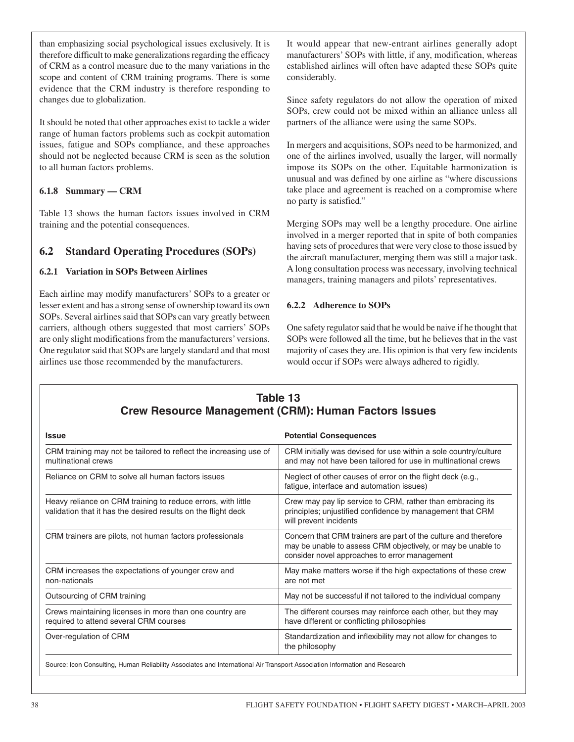than emphasizing social psychological issues exclusively. It is therefore difficult to make generalizations regarding the efficacy of CRM as a control measure due to the many variations in the scope and content of CRM training programs. There is some evidence that the CRM industry is therefore responding to changes due to globalization.

It should be noted that other approaches exist to tackle a wider range of human factors problems such as cockpit automation issues, fatigue and SOPs compliance, and these approaches should not be neglected because CRM is seen as the solution to all human factors problems.

#### **6.1.8 Summary — CRM**

Table 13 shows the human factors issues involved in CRM training and the potential consequences.

## **6.2 Standard Operating Procedures (SOPs)**

#### **6.2.1 Variation in SOPs Between Airlines**

Each airline may modify manufacturers' SOPs to a greater or lesser extent and has a strong sense of ownership toward its own SOPs. Several airlines said that SOPs can vary greatly between carriers, although others suggested that most carriers' SOPs are only slight modifications from the manufacturers' versions. One regulator said that SOPs are largely standard and that most airlines use those recommended by the manufacturers.

It would appear that new-entrant airlines generally adopt manufacturers' SOPs with little, if any, modification, whereas established airlines will often have adapted these SOPs quite considerably.

Since safety regulators do not allow the operation of mixed SOPs, crew could not be mixed within an alliance unless all partners of the alliance were using the same SOPs.

In mergers and acquisitions, SOPs need to be harmonized, and one of the airlines involved, usually the larger, will normally impose its SOPs on the other. Equitable harmonization is unusual and was defined by one airline as "where discussions take place and agreement is reached on a compromise where no party is satisfied."

Merging SOPs may well be a lengthy procedure. One airline involved in a merger reported that in spite of both companies having sets of procedures that were very close to those issued by the aircraft manufacturer, merging them was still a major task. A long consultation process was necessary, involving technical managers, training managers and pilots' representatives.

#### **6.2.2 Adherence to SOPs**

One safety regulator said that he would be naive if he thought that SOPs were followed all the time, but he believes that in the vast majority of cases they are. His opinion is that very few incidents would occur if SOPs were always adhered to rigidly.

| Table 13<br><b>Crew Resource Management (CRM): Human Factors Issues</b>                                                       |                                                                                                                                                                                  |  |
|-------------------------------------------------------------------------------------------------------------------------------|----------------------------------------------------------------------------------------------------------------------------------------------------------------------------------|--|
| <b>Issue</b>                                                                                                                  | <b>Potential Consequences</b>                                                                                                                                                    |  |
| CRM training may not be tailored to reflect the increasing use of<br>multinational crews                                      | CRM initially was devised for use within a sole country/culture<br>and may not have been tailored for use in multinational crews                                                 |  |
| Reliance on CRM to solve all human factors issues                                                                             | Neglect of other causes of error on the flight deck (e.g.,<br>fatigue, interface and automation issues)                                                                          |  |
| Heavy reliance on CRM training to reduce errors, with little<br>validation that it has the desired results on the flight deck | Crew may pay lip service to CRM, rather than embracing its<br>principles; unjustified confidence by management that CRM<br>will prevent incidents                                |  |
| CRM trainers are pilots, not human factors professionals                                                                      | Concern that CRM trainers are part of the culture and therefore<br>may be unable to assess CRM objectively, or may be unable to<br>consider novel approaches to error management |  |
| CRM increases the expectations of younger crew and<br>non-nationals                                                           | May make matters worse if the high expectations of these crew<br>are not met                                                                                                     |  |
| Outsourcing of CRM training                                                                                                   | May not be successful if not tailored to the individual company                                                                                                                  |  |
| Crews maintaining licenses in more than one country are<br>required to attend several CRM courses                             | The different courses may reinforce each other, but they may<br>have different or conflicting philosophies                                                                       |  |
| Over-regulation of CRM                                                                                                        | Standardization and inflexibility may not allow for changes to<br>the philosophy                                                                                                 |  |
| Source: Icon Consulting, Human Reliability Associates and International Air Transport Association Information and Research    |                                                                                                                                                                                  |  |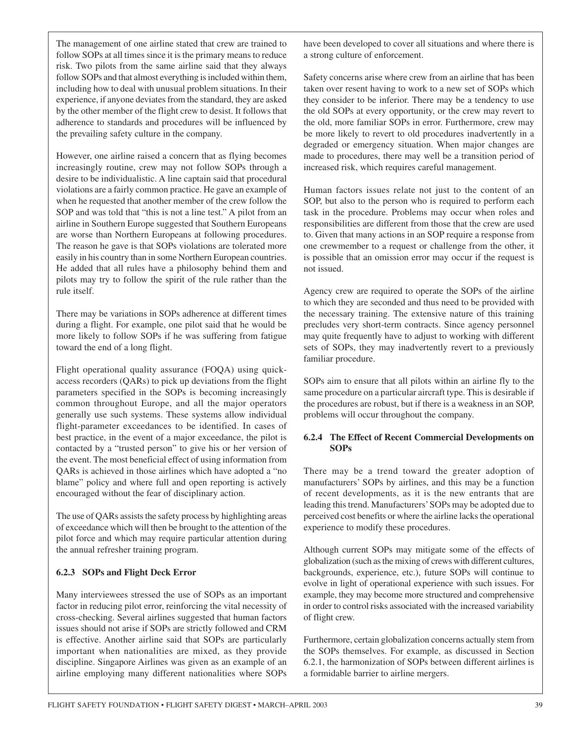The management of one airline stated that crew are trained to follow SOPs at all times since it is the primary means to reduce risk. Two pilots from the same airline said that they always follow SOPs and that almost everything is included within them, including how to deal with unusual problem situations. In their experience, if anyone deviates from the standard, they are asked by the other member of the flight crew to desist. It follows that adherence to standards and procedures will be influenced by the prevailing safety culture in the company.

However, one airline raised a concern that as flying becomes increasingly routine, crew may not follow SOPs through a desire to be individualistic. A line captain said that procedural violations are a fairly common practice. He gave an example of when he requested that another member of the crew follow the SOP and was told that "this is not a line test." A pilot from an airline in Southern Europe suggested that Southern Europeans are worse than Northern Europeans at following procedures. The reason he gave is that SOPs violations are tolerated more easily in his country than in some Northern European countries. He added that all rules have a philosophy behind them and pilots may try to follow the spirit of the rule rather than the rule itself.

There may be variations in SOPs adherence at different times during a flight. For example, one pilot said that he would be more likely to follow SOPs if he was suffering from fatigue toward the end of a long flight.

Flight operational quality assurance (FOQA) using quickaccess recorders (QARs) to pick up deviations from the flight parameters specified in the SOPs is becoming increasingly common throughout Europe, and all the major operators generally use such systems. These systems allow individual flight-parameter exceedances to be identified. In cases of best practice, in the event of a major exceedance, the pilot is contacted by a "trusted person" to give his or her version of the event. The most beneficial effect of using information from QARs is achieved in those airlines which have adopted a "no blame" policy and where full and open reporting is actively encouraged without the fear of disciplinary action.

The use of QARs assists the safety process by highlighting areas of exceedance which will then be brought to the attention of the pilot force and which may require particular attention during the annual refresher training program.

#### **6.2.3 SOPs and Flight Deck Error**

Many interviewees stressed the use of SOPs as an important factor in reducing pilot error, reinforcing the vital necessity of cross-checking. Several airlines suggested that human factors issues should not arise if SOPs are strictly followed and CRM is effective. Another airline said that SOPs are particularly important when nationalities are mixed, as they provide discipline. Singapore Airlines was given as an example of an airline employing many different nationalities where SOPs have been developed to cover all situations and where there is a strong culture of enforcement.

Safety concerns arise where crew from an airline that has been taken over resent having to work to a new set of SOPs which they consider to be inferior. There may be a tendency to use the old SOPs at every opportunity, or the crew may revert to the old, more familiar SOPs in error. Furthermore, crew may be more likely to revert to old procedures inadvertently in a degraded or emergency situation. When major changes are made to procedures, there may well be a transition period of increased risk, which requires careful management.

Human factors issues relate not just to the content of an SOP, but also to the person who is required to perform each task in the procedure. Problems may occur when roles and responsibilities are different from those that the crew are used to. Given that many actions in an SOP require a response from one crewmember to a request or challenge from the other, it is possible that an omission error may occur if the request is not issued.

Agency crew are required to operate the SOPs of the airline to which they are seconded and thus need to be provided with the necessary training. The extensive nature of this training precludes very short-term contracts. Since agency personnel may quite frequently have to adjust to working with different sets of SOPs, they may inadvertently revert to a previously familiar procedure.

SOPs aim to ensure that all pilots within an airline fly to the same procedure on a particular aircraft type. This is desirable if the procedures are robust, but if there is a weakness in an SOP, problems will occur throughout the company.

#### **6.2.4 The Effect of Recent Commercial Developments on SOPs**

There may be a trend toward the greater adoption of manufacturers' SOPs by airlines, and this may be a function of recent developments, as it is the new entrants that are leading this trend. Manufacturers' SOPs may be adopted due to perceived cost benefits or where the airline lacks the operational experience to modify these procedures.

Although current SOPs may mitigate some of the effects of globalization (such as the mixing of crews with different cultures, backgrounds, experience, etc.), future SOPs will continue to evolve in light of operational experience with such issues. For example, they may become more structured and comprehensive in order to control risks associated with the increased variability of flight crew.

Furthermore, certain globalization concerns actually stem from the SOPs themselves. For example, as discussed in Section 6.2.1, the harmonization of SOPs between different airlines is a formidable barrier to airline mergers.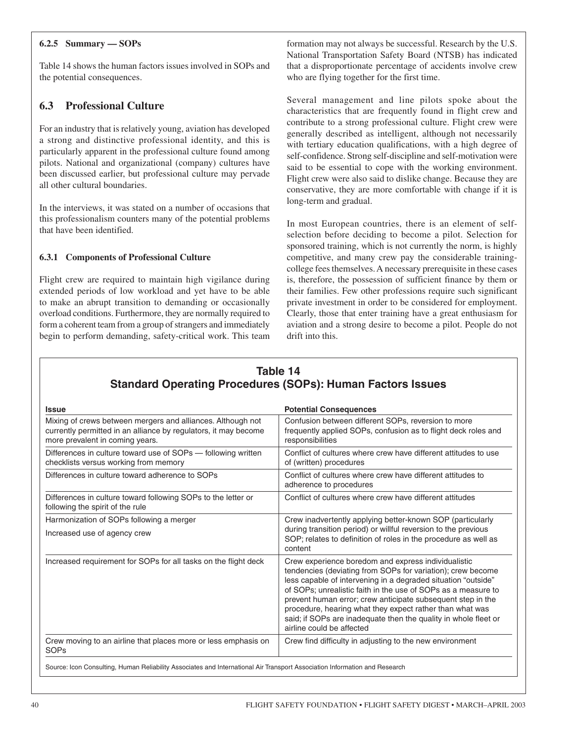#### **6.2.5 Summary — SOPs**

Table 14 shows the human factors issues involved in SOPs and the potential consequences.

## **6.3 Professional Culture**

For an industry that is relatively young, aviation has developed a strong and distinctive professional identity, and this is particularly apparent in the professional culture found among pilots. National and organizational (company) cultures have been discussed earlier, but professional culture may pervade all other cultural boundaries.

In the interviews, it was stated on a number of occasions that this professionalism counters many of the potential problems that have been identified.

#### **6.3.1 Components of Professional Culture**

Flight crew are required to maintain high vigilance during extended periods of low workload and yet have to be able to make an abrupt transition to demanding or occasionally overload conditions. Furthermore, they are normally required to form a coherent team from a group of strangers and immediately begin to perform demanding, safety-critical work. This team formation may not always be successful. Research by the U.S. National Transportation Safety Board (NTSB) has indicated that a disproportionate percentage of accidents involve crew who are flying together for the first time.

Several management and line pilots spoke about the characteristics that are frequently found in flight crew and contribute to a strong professional culture. Flight crew were generally described as intelligent, although not necessarily with tertiary education qualifications, with a high degree of self-confidence. Strong self-discipline and self-motivation were said to be essential to cope with the working environment. Flight crew were also said to dislike change. Because they are conservative, they are more comfortable with change if it is long-term and gradual.

In most European countries, there is an element of selfselection before deciding to become a pilot. Selection for sponsored training, which is not currently the norm, is highly competitive, and many crew pay the considerable trainingcollege fees themselves. A necessary prerequisite in these cases is, therefore, the possession of sufficient finance by them or their families. Few other professions require such significant private investment in order to be considered for employment. Clearly, those that enter training have a great enthusiasm for aviation and a strong desire to become a pilot. People do not drift into this.

| <b>Issue</b>                                                                                                                                                      | <b>Potential Consequences</b>                                                                                                                                                                                                                                                                                                                                                                                                                                                   |
|-------------------------------------------------------------------------------------------------------------------------------------------------------------------|---------------------------------------------------------------------------------------------------------------------------------------------------------------------------------------------------------------------------------------------------------------------------------------------------------------------------------------------------------------------------------------------------------------------------------------------------------------------------------|
| Mixing of crews between mergers and alliances. Although not<br>currently permitted in an alliance by regulators, it may become<br>more prevalent in coming years. | Confusion between different SOPs, reversion to more<br>frequently applied SOPs, confusion as to flight deck roles and<br>responsibilities                                                                                                                                                                                                                                                                                                                                       |
| Differences in culture toward use of SOPs - following written<br>checklists versus working from memory                                                            | Conflict of cultures where crew have different attitudes to use<br>of (written) procedures                                                                                                                                                                                                                                                                                                                                                                                      |
| Differences in culture toward adherence to SOPs                                                                                                                   | Conflict of cultures where crew have different attitudes to<br>adherence to procedures                                                                                                                                                                                                                                                                                                                                                                                          |
| Differences in culture toward following SOPs to the letter or<br>following the spirit of the rule                                                                 | Conflict of cultures where crew have different attitudes                                                                                                                                                                                                                                                                                                                                                                                                                        |
| Harmonization of SOPs following a merger<br>Increased use of agency crew                                                                                          | Crew inadvertently applying better-known SOP (particularly<br>during transition period) or willful reversion to the previous<br>SOP; relates to definition of roles in the procedure as well as<br>content                                                                                                                                                                                                                                                                      |
| Increased requirement for SOPs for all tasks on the flight deck                                                                                                   | Crew experience boredom and express individualistic<br>tendencies (deviating from SOPs for variation); crew become<br>less capable of intervening in a degraded situation "outside"<br>of SOPs; unrealistic faith in the use of SOPs as a measure to<br>prevent human error; crew anticipate subsequent step in the<br>procedure, hearing what they expect rather than what was<br>said; if SOPs are inadequate then the quality in whole fleet or<br>airline could be affected |
| Crew moving to an airline that places more or less emphasis on<br><b>SOPs</b>                                                                                     | Crew find difficulty in adjusting to the new environment                                                                                                                                                                                                                                                                                                                                                                                                                        |

# **Table 14**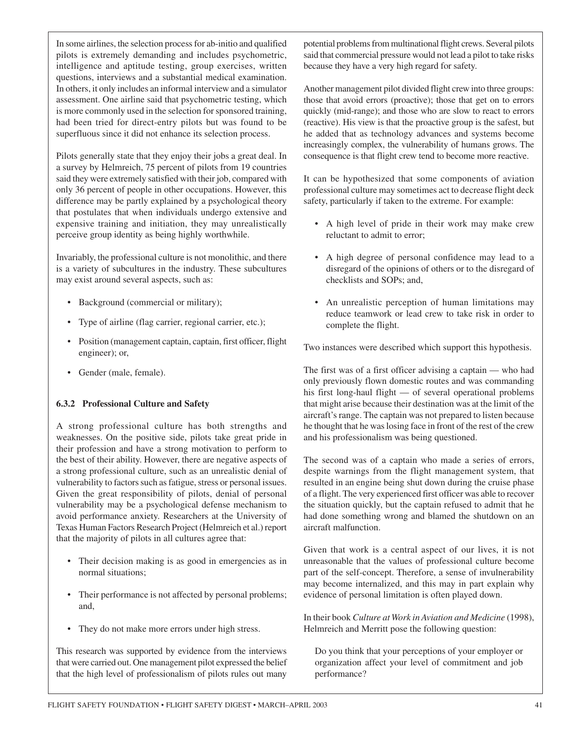In some airlines, the selection process for ab-initio and qualified pilots is extremely demanding and includes psychometric, intelligence and aptitude testing, group exercises, written questions, interviews and a substantial medical examination. In others, it only includes an informal interview and a simulator assessment. One airline said that psychometric testing, which is more commonly used in the selection for sponsored training, had been tried for direct-entry pilots but was found to be superfluous since it did not enhance its selection process.

Pilots generally state that they enjoy their jobs a great deal. In a survey by Helmreich, 75 percent of pilots from 19 countries said they were extremely satisfied with their job, compared with only 36 percent of people in other occupations. However, this difference may be partly explained by a psychological theory that postulates that when individuals undergo extensive and expensive training and initiation, they may unrealistically perceive group identity as being highly worthwhile.

Invariably, the professional culture is not monolithic, and there is a variety of subcultures in the industry. These subcultures may exist around several aspects, such as:

- Background (commercial or military);
- Type of airline (flag carrier, regional carrier, etc.);
- Position (management captain, captain, first officer, flight engineer); or,
- Gender (male, female).

#### **6.3.2 Professional Culture and Safety**

A strong professional culture has both strengths and weaknesses. On the positive side, pilots take great pride in their profession and have a strong motivation to perform to the best of their ability. However, there are negative aspects of a strong professional culture, such as an unrealistic denial of vulnerability to factors such as fatigue, stress or personal issues. Given the great responsibility of pilots, denial of personal vulnerability may be a psychological defense mechanism to avoid performance anxiety. Researchers at the University of Texas Human Factors Research Project (Helmreich et al.) report that the majority of pilots in all cultures agree that:

- Their decision making is as good in emergencies as in normal situations;
- Their performance is not affected by personal problems; and,
- They do not make more errors under high stress.

This research was supported by evidence from the interviews that were carried out. One management pilot expressed the belief that the high level of professionalism of pilots rules out many potential problems from multinational flight crews. Several pilots said that commercial pressure would not lead a pilot to take risks because they have a very high regard for safety.

Another management pilot divided flight crew into three groups: those that avoid errors (proactive); those that get on to errors quickly (mid-range); and those who are slow to react to errors (reactive). His view is that the proactive group is the safest, but he added that as technology advances and systems become increasingly complex, the vulnerability of humans grows. The consequence is that flight crew tend to become more reactive.

It can be hypothesized that some components of aviation professional culture may sometimes act to decrease flight deck safety, particularly if taken to the extreme. For example:

- A high level of pride in their work may make crew reluctant to admit to error;
- A high degree of personal confidence may lead to a disregard of the opinions of others or to the disregard of checklists and SOPs; and,
- An unrealistic perception of human limitations may reduce teamwork or lead crew to take risk in order to complete the flight.

Two instances were described which support this hypothesis.

The first was of a first officer advising a captain — who had only previously flown domestic routes and was commanding his first long-haul flight — of several operational problems that might arise because their destination was at the limit of the aircraft's range. The captain was not prepared to listen because he thought that he was losing face in front of the rest of the crew and his professionalism was being questioned.

The second was of a captain who made a series of errors, despite warnings from the flight management system, that resulted in an engine being shut down during the cruise phase of a flight. The very experienced first officer was able to recover the situation quickly, but the captain refused to admit that he had done something wrong and blamed the shutdown on an aircraft malfunction.

Given that work is a central aspect of our lives, it is not unreasonable that the values of professional culture become part of the self-concept. Therefore, a sense of invulnerability may become internalized, and this may in part explain why evidence of personal limitation is often played down.

In their book *Culture at Work in Aviation and Medicine* (1998), Helmreich and Merritt pose the following question:

Do you think that your perceptions of your employer or organization affect your level of commitment and job performance?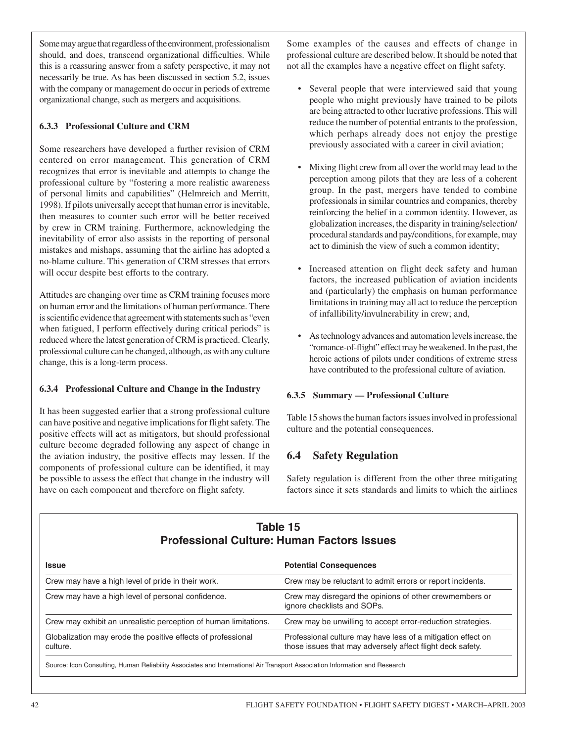Some may argue that regardless of the environment, professionalism should, and does, transcend organizational difficulties. While this is a reassuring answer from a safety perspective, it may not necessarily be true. As has been discussed in section 5.2, issues with the company or management do occur in periods of extreme organizational change, such as mergers and acquisitions.

#### **6.3.3 Professional Culture and CRM**

Some researchers have developed a further revision of CRM centered on error management. This generation of CRM recognizes that error is inevitable and attempts to change the professional culture by "fostering a more realistic awareness of personal limits and capabilities" (Helmreich and Merritt, 1998). If pilots universally accept that human error is inevitable, then measures to counter such error will be better received by crew in CRM training. Furthermore, acknowledging the inevitability of error also assists in the reporting of personal mistakes and mishaps, assuming that the airline has adopted a no-blame culture. This generation of CRM stresses that errors will occur despite best efforts to the contrary.

Attitudes are changing over time as CRM training focuses more on human error and the limitations of human performance. There is scientific evidence that agreement with statements such as "even when fatigued, I perform effectively during critical periods" is reduced where the latest generation of CRM is practiced. Clearly, professional culture can be changed, although, as with any culture change, this is a long-term process.

#### **6.3.4 Professional Culture and Change in the Industry**

It has been suggested earlier that a strong professional culture can have positive and negative implications for flight safety. The positive effects will act as mitigators, but should professional culture become degraded following any aspect of change in the aviation industry, the positive effects may lessen. If the components of professional culture can be identified, it may be possible to assess the effect that change in the industry will have on each component and therefore on flight safety.

Some examples of the causes and effects of change in professional culture are described below. It should be noted that not all the examples have a negative effect on flight safety.

- Several people that were interviewed said that young people who might previously have trained to be pilots are being attracted to other lucrative professions. This will reduce the number of potential entrants to the profession, which perhaps already does not enjoy the prestige previously associated with a career in civil aviation;
- Mixing flight crew from all over the world may lead to the perception among pilots that they are less of a coherent group. In the past, mergers have tended to combine professionals in similar countries and companies, thereby reinforcing the belief in a common identity. However, as globalization increases, the disparity in training/selection/ procedural standards and pay/conditions, for example, may act to diminish the view of such a common identity;
- Increased attention on flight deck safety and human factors, the increased publication of aviation incidents and (particularly) the emphasis on human performance limitations in training may all act to reduce the perception of infallibility/invulnerability in crew; and,
- As technology advances and automation levels increase, the "romance-of-flight" effect may be weakened. In the past, the heroic actions of pilots under conditions of extreme stress have contributed to the professional culture of aviation.

#### **6.3.5 Summary — Professional Culture**

Table 15 shows the human factors issues involved in professional culture and the potential consequences.

## **6.4 Safety Regulation**

Safety regulation is different from the other three mitigating factors since it sets standards and limits to which the airlines

## **Table 15 Professional Culture: Human Factors Issues**

| <b>Issue</b>                                                                                                                                                                                           | <b>Potential Consequences</b>                                                          |
|--------------------------------------------------------------------------------------------------------------------------------------------------------------------------------------------------------|----------------------------------------------------------------------------------------|
| Crew may have a high level of pride in their work.                                                                                                                                                     | Crew may be reluctant to admit errors or report incidents.                             |
| Crew may have a high level of personal confidence.                                                                                                                                                     | Crew may disregard the opinions of other crewmembers or<br>ignore checklists and SOPs. |
| Crew may exhibit an unrealistic perception of human limitations.                                                                                                                                       | Crew may be unwilling to accept error-reduction strategies.                            |
| Globalization may erode the positive effects of professional<br>Professional culture may have less of a mitigation effect on<br>those issues that may adversely affect flight deck safety.<br>culture. |                                                                                        |
| Source: Icon Consulting, Human Reliability Associates and International Air Transport Association Information and Research                                                                             |                                                                                        |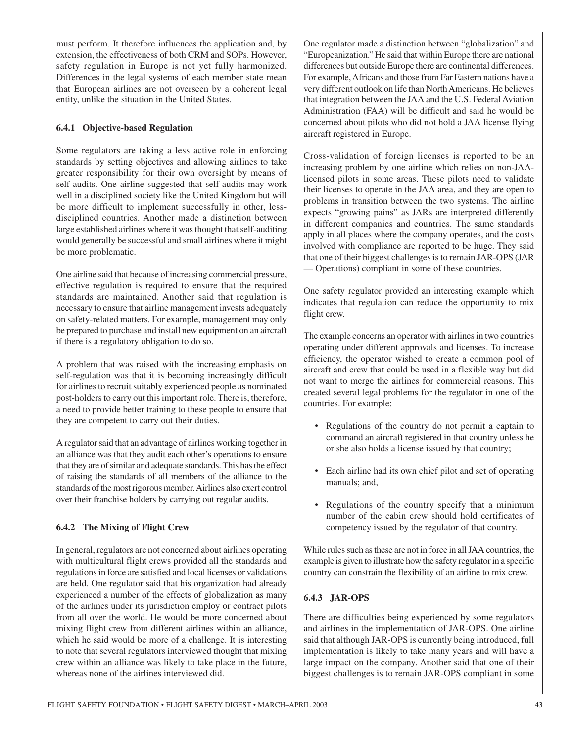must perform. It therefore influences the application and, by extension, the effectiveness of both CRM and SOPs. However, safety regulation in Europe is not yet fully harmonized. Differences in the legal systems of each member state mean that European airlines are not overseen by a coherent legal entity, unlike the situation in the United States.

#### **6.4.1 Objective-based Regulation**

Some regulators are taking a less active role in enforcing standards by setting objectives and allowing airlines to take greater responsibility for their own oversight by means of self-audits. One airline suggested that self-audits may work well in a disciplined society like the United Kingdom but will be more difficult to implement successfully in other, lessdisciplined countries. Another made a distinction between large established airlines where it was thought that self-auditing would generally be successful and small airlines where it might be more problematic.

One airline said that because of increasing commercial pressure, effective regulation is required to ensure that the required standards are maintained. Another said that regulation is necessary to ensure that airline management invests adequately on safety-related matters. For example, management may only be prepared to purchase and install new equipment on an aircraft if there is a regulatory obligation to do so.

A problem that was raised with the increasing emphasis on self-regulation was that it is becoming increasingly difficult for airlines to recruit suitably experienced people as nominated post-holders to carry out this important role. There is, therefore, a need to provide better training to these people to ensure that they are competent to carry out their duties.

A regulator said that an advantage of airlines working together in an alliance was that they audit each other's operations to ensure that they are of similar and adequate standards. This has the effect of raising the standards of all members of the alliance to the standards of the most rigorous member. Airlines also exert control over their franchise holders by carrying out regular audits.

#### **6.4.2 The Mixing of Flight Crew**

In general, regulators are not concerned about airlines operating with multicultural flight crews provided all the standards and regulations in force are satisfied and local licenses or validations are held. One regulator said that his organization had already experienced a number of the effects of globalization as many of the airlines under its jurisdiction employ or contract pilots from all over the world. He would be more concerned about mixing flight crew from different airlines within an alliance, which he said would be more of a challenge. It is interesting to note that several regulators interviewed thought that mixing crew within an alliance was likely to take place in the future, whereas none of the airlines interviewed did.

One regulator made a distinction between "globalization" and "Europeanization." He said that within Europe there are national differences but outside Europe there are continental differences. For example, Africans and those from Far Eastern nations have a very different outlook on life than North Americans. He believes that integration between the JAA and the U.S. Federal Aviation Administration (FAA) will be difficult and said he would be concerned about pilots who did not hold a JAA license flying aircraft registered in Europe.

Cross-validation of foreign licenses is reported to be an increasing problem by one airline which relies on non-JAAlicensed pilots in some areas. These pilots need to validate their licenses to operate in the JAA area, and they are open to problems in transition between the two systems. The airline expects "growing pains" as JARs are interpreted differently in different companies and countries. The same standards apply in all places where the company operates, and the costs involved with compliance are reported to be huge. They said that one of their biggest challenges is to remain JAR-OPS (JAR — Operations) compliant in some of these countries.

One safety regulator provided an interesting example which indicates that regulation can reduce the opportunity to mix flight crew.

The example concerns an operator with airlines in two countries operating under different approvals and licenses. To increase efficiency, the operator wished to create a common pool of aircraft and crew that could be used in a flexible way but did not want to merge the airlines for commercial reasons. This created several legal problems for the regulator in one of the countries. For example:

- Regulations of the country do not permit a captain to command an aircraft registered in that country unless he or she also holds a license issued by that country;
- Each airline had its own chief pilot and set of operating manuals; and,
- Regulations of the country specify that a minimum number of the cabin crew should hold certificates of competency issued by the regulator of that country.

While rules such as these are not in force in all JAA countries, the example is given to illustrate how the safety regulator in a specific country can constrain the flexibility of an airline to mix crew.

#### **6.4.3 JAR-OPS**

There are difficulties being experienced by some regulators and airlines in the implementation of JAR-OPS. One airline said that although JAR-OPS is currently being introduced, full implementation is likely to take many years and will have a large impact on the company. Another said that one of their biggest challenges is to remain JAR-OPS compliant in some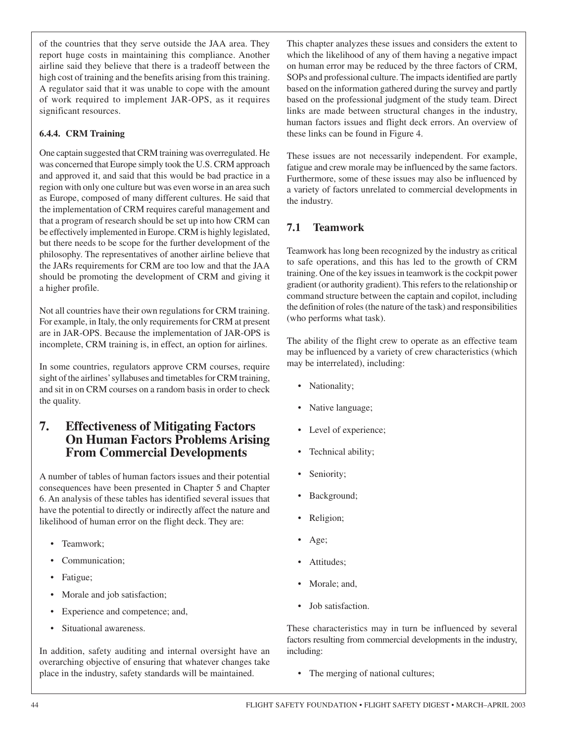of the countries that they serve outside the JAA area. They report huge costs in maintaining this compliance. Another airline said they believe that there is a tradeoff between the high cost of training and the benefits arising from this training. A regulator said that it was unable to cope with the amount of work required to implement JAR-OPS, as it requires significant resources.

#### **6.4.4. CRM Training**

One captain suggested that CRM training was overregulated. He was concerned that Europe simply took the U.S. CRM approach and approved it, and said that this would be bad practice in a region with only one culture but was even worse in an area such as Europe, composed of many different cultures. He said that the implementation of CRM requires careful management and that a program of research should be set up into how CRM can be effectively implemented in Europe. CRM is highly legislated, but there needs to be scope for the further development of the philosophy. The representatives of another airline believe that the JARs requirements for CRM are too low and that the JAA should be promoting the development of CRM and giving it a higher profile.

Not all countries have their own regulations for CRM training. For example, in Italy, the only requirements for CRM at present are in JAR-OPS. Because the implementation of JAR-OPS is incomplete, CRM training is, in effect, an option for airlines.

In some countries, regulators approve CRM courses, require sight of the airlines' syllabuses and timetables for CRM training, and sit in on CRM courses on a random basis in order to check the quality.

## **7. Effectiveness of Mitigating Factors On Human Factors Problems Arising From Commercial Developments**

A number of tables of human factors issues and their potential consequences have been presented in Chapter 5 and Chapter 6. An analysis of these tables has identified several issues that have the potential to directly or indirectly affect the nature and likelihood of human error on the flight deck. They are:

- Teamwork:
- Communication;
- Fatigue;
- Morale and job satisfaction;
- Experience and competence; and,
- Situational awareness.

In addition, safety auditing and internal oversight have an overarching objective of ensuring that whatever changes take place in the industry, safety standards will be maintained.

This chapter analyzes these issues and considers the extent to which the likelihood of any of them having a negative impact on human error may be reduced by the three factors of CRM, SOPs and professional culture. The impacts identified are partly based on the information gathered during the survey and partly based on the professional judgment of the study team. Direct links are made between structural changes in the industry, human factors issues and flight deck errors. An overview of these links can be found in Figure 4.

These issues are not necessarily independent. For example, fatigue and crew morale may be influenced by the same factors. Furthermore, some of these issues may also be influenced by a variety of factors unrelated to commercial developments in the industry.

## **7.1 Teamwork**

Teamwork has long been recognized by the industry as critical to safe operations, and this has led to the growth of CRM training. One of the key issues in teamwork is the cockpit power gradient (or authority gradient). This refers to the relationship or command structure between the captain and copilot, including the definition of roles (the nature of the task) and responsibilities (who performs what task).

The ability of the flight crew to operate as an effective team may be influenced by a variety of crew characteristics (which may be interrelated), including:

- Nationality;
- Native language;
- Level of experience;
- Technical ability;
- Seniority;
- Background;
- Religion;
- Age;
- Attitudes;
- Morale; and,
- Job satisfaction.

These characteristics may in turn be influenced by several factors resulting from commercial developments in the industry, including:

• The merging of national cultures;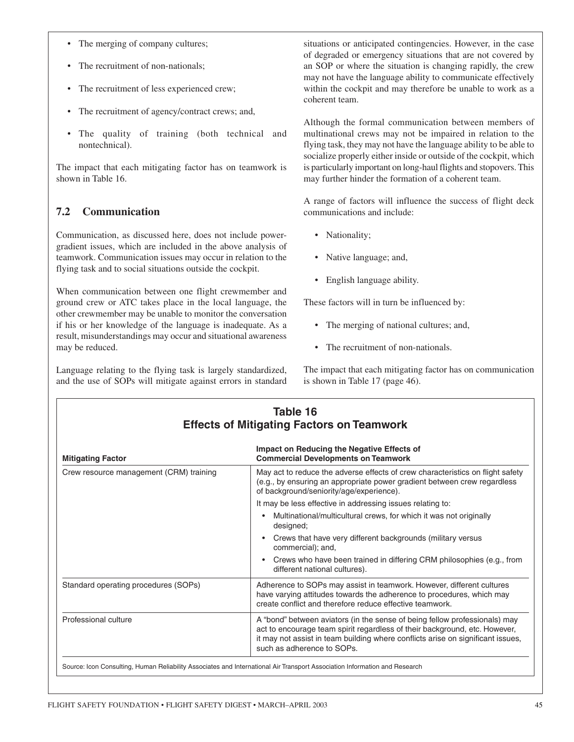- The merging of company cultures;
- The recruitment of non-nationals;
- The recruitment of less experienced crew;
- The recruitment of agency/contract crews; and,
- The quality of training (both technical and nontechnical).

The impact that each mitigating factor has on teamwork is shown in Table 16.

## **7.2 Communication**

Communication, as discussed here, does not include powergradient issues, which are included in the above analysis of teamwork. Communication issues may occur in relation to the flying task and to social situations outside the cockpit.

When communication between one flight crewmember and ground crew or ATC takes place in the local language, the other crewmember may be unable to monitor the conversation if his or her knowledge of the language is inadequate. As a result, misunderstandings may occur and situational awareness may be reduced.

Language relating to the flying task is largely standardized, and the use of SOPs will mitigate against errors in standard situations or anticipated contingencies. However, in the case of degraded or emergency situations that are not covered by an SOP or where the situation is changing rapidly, the crew may not have the language ability to communicate effectively within the cockpit and may therefore be unable to work as a coherent team.

Although the formal communication between members of multinational crews may not be impaired in relation to the flying task, they may not have the language ability to be able to socialize properly either inside or outside of the cockpit, which is particularly important on long-haul flights and stopovers. This may further hinder the formation of a coherent team.

A range of factors will influence the success of flight deck communications and include:

- Nationality;
- Native language; and,
- English language ability.

These factors will in turn be influenced by:

- The merging of national cultures; and,
- The recruitment of non-nationals.

The impact that each mitigating factor has on communication is shown in Table 17 (page 46).

| Table 16<br><b>Effects of Mitigating Factors on Teamwork</b>                                                               |                                                                                                                                                                                                                                                                           |
|----------------------------------------------------------------------------------------------------------------------------|---------------------------------------------------------------------------------------------------------------------------------------------------------------------------------------------------------------------------------------------------------------------------|
| <b>Mitigating Factor</b>                                                                                                   | Impact on Reducing the Negative Effects of<br><b>Commercial Developments on Teamwork</b>                                                                                                                                                                                  |
| Crew resource management (CRM) training                                                                                    | May act to reduce the adverse effects of crew characteristics on flight safety<br>(e.g., by ensuring an appropriate power gradient between crew regardless<br>of background/seniority/age/experience).                                                                    |
|                                                                                                                            | It may be less effective in addressing issues relating to:                                                                                                                                                                                                                |
|                                                                                                                            | Multinational/multicultural crews, for which it was not originally<br>$\bullet$<br>designed;                                                                                                                                                                              |
|                                                                                                                            | Crews that have very different backgrounds (military versus<br>$\bullet$<br>commercial); and,                                                                                                                                                                             |
|                                                                                                                            | Crews who have been trained in differing CRM philosophies (e.g., from<br>$\bullet$<br>different national cultures).                                                                                                                                                       |
| Standard operating procedures (SOPs)                                                                                       | Adherence to SOPs may assist in teamwork. However, different cultures<br>have varying attitudes towards the adherence to procedures, which may<br>create conflict and therefore reduce effective teamwork.                                                                |
| Professional culture                                                                                                       | A "bond" between aviators (in the sense of being fellow professionals) may<br>act to encourage team spirit regardless of their background, etc. However,<br>it may not assist in team building where conflicts arise on significant issues,<br>such as adherence to SOPs. |
| Source: Icon Consulting, Human Reliability Associates and International Air Transport Association Information and Research |                                                                                                                                                                                                                                                                           |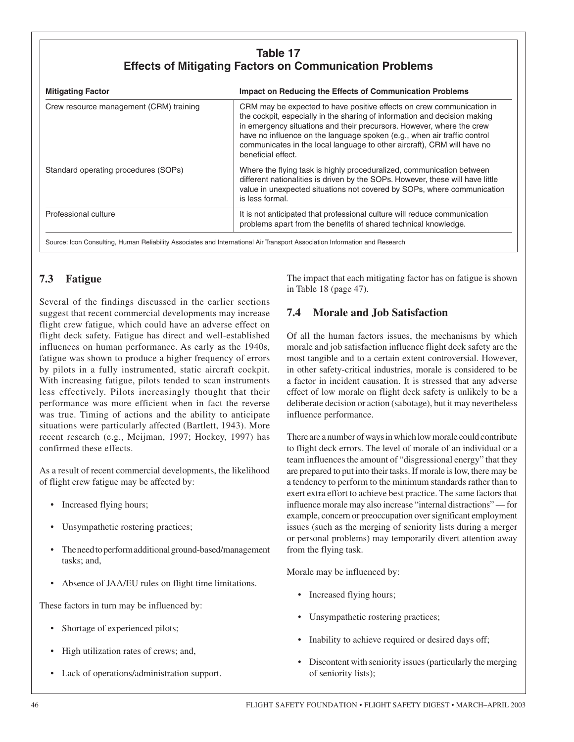## **Table 17 Effects of Mitigating Factors on Communication Problems**

| <b>Mitigating Factor</b>                | Impact on Reducing the Effects of Communication Problems                                                                                                                                                                                                                                                                                                                                                 |
|-----------------------------------------|----------------------------------------------------------------------------------------------------------------------------------------------------------------------------------------------------------------------------------------------------------------------------------------------------------------------------------------------------------------------------------------------------------|
| Crew resource management (CRM) training | CRM may be expected to have positive effects on crew communication in<br>the cockpit, especially in the sharing of information and decision making<br>in emergency situations and their precursors. However, where the crew<br>have no influence on the language spoken (e.g., when air traffic control<br>communicates in the local language to other aircraft), CRM will have no<br>beneficial effect. |
| Standard operating procedures (SOPs)    | Where the flying task is highly proceduralized, communication between<br>different nationalities is driven by the SOPs. However, these will have little<br>value in unexpected situations not covered by SOPs, where communication<br>is less formal.                                                                                                                                                    |
| Professional culture                    | It is not anticipated that professional culture will reduce communication<br>problems apart from the benefits of shared technical knowledge.                                                                                                                                                                                                                                                             |

Source: Icon Consulting, Human Reliability Associates and International Air Transport Association Information and Research

## **7.3 Fatigue**

Several of the findings discussed in the earlier sections suggest that recent commercial developments may increase flight crew fatigue, which could have an adverse effect on flight deck safety. Fatigue has direct and well-established influences on human performance. As early as the 1940s, fatigue was shown to produce a higher frequency of errors by pilots in a fully instrumented, static aircraft cockpit. With increasing fatigue, pilots tended to scan instruments less effectively. Pilots increasingly thought that their performance was more efficient when in fact the reverse was true. Timing of actions and the ability to anticipate situations were particularly affected (Bartlett, 1943). More recent research (e.g., Meijman, 1997; Hockey, 1997) has confirmed these effects.

As a result of recent commercial developments, the likelihood of flight crew fatigue may be affected by:

- Increased flying hours;
- Unsympathetic rostering practices;
- The need to perform additional ground-based/management tasks; and,
- Absence of JAA/EU rules on flight time limitations.

These factors in turn may be influenced by:

- Shortage of experienced pilots;
- High utilization rates of crews; and,
- Lack of operations/administration support.

The impact that each mitigating factor has on fatigue is shown in Table 18 (page 47).

## **7.4 Morale and Job Satisfaction**

Of all the human factors issues, the mechanisms by which morale and job satisfaction influence flight deck safety are the most tangible and to a certain extent controversial. However, in other safety-critical industries, morale is considered to be a factor in incident causation. It is stressed that any adverse effect of low morale on flight deck safety is unlikely to be a deliberate decision or action (sabotage), but it may nevertheless influence performance.

There are a number of ways in which low morale could contribute to flight deck errors. The level of morale of an individual or a team influences the amount of "disgressional energy" that they are prepared to put into their tasks. If morale is low, there may be a tendency to perform to the minimum standards rather than to exert extra effort to achieve best practice. The same factors that influence morale may also increase "internal distractions" — for example, concern or preoccupation over significant employment issues (such as the merging of seniority lists during a merger or personal problems) may temporarily divert attention away from the flying task.

Morale may be influenced by:

- Increased flying hours;
- Unsympathetic rostering practices;
- Inability to achieve required or desired days off;
- Discontent with seniority issues (particularly the merging of seniority lists);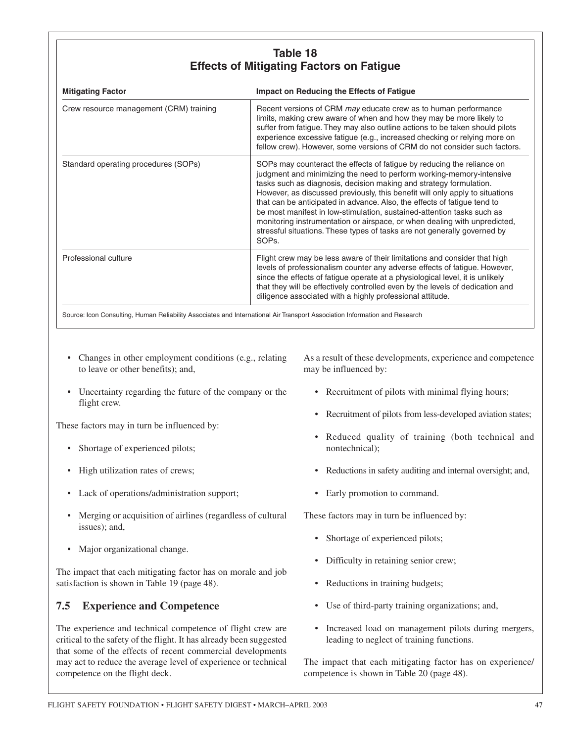## **Table 18 Effects of Mitigating Factors on Fatigue**

| <b>Mitigating Factor</b>                | Impact on Reducing the Effects of Fatigue                                                                                                                                                                                                                                                                                                                                                                                                                                                                                                                                                                                                 |
|-----------------------------------------|-------------------------------------------------------------------------------------------------------------------------------------------------------------------------------------------------------------------------------------------------------------------------------------------------------------------------------------------------------------------------------------------------------------------------------------------------------------------------------------------------------------------------------------------------------------------------------------------------------------------------------------------|
| Crew resource management (CRM) training | Recent versions of CRM may educate crew as to human performance<br>limits, making crew aware of when and how they may be more likely to<br>suffer from fatigue. They may also outline actions to be taken should pilots<br>experience excessive fatigue (e.g., increased checking or relying more on<br>fellow crew). However, some versions of CRM do not consider such factors.                                                                                                                                                                                                                                                         |
| Standard operating procedures (SOPs)    | SOPs may counteract the effects of fatigue by reducing the reliance on<br>judgment and minimizing the need to perform working-memory-intensive<br>tasks such as diagnosis, decision making and strategy formulation.<br>However, as discussed previously, this benefit will only apply to situations<br>that can be anticipated in advance. Also, the effects of fatigue tend to<br>be most manifest in low-stimulation, sustained-attention tasks such as<br>monitoring instrumentation or airspace, or when dealing with unpredicted,<br>stressful situations. These types of tasks are not generally governed by<br>SOP <sub>s</sub> . |
| Professional culture                    | Flight crew may be less aware of their limitations and consider that high<br>levels of professionalism counter any adverse effects of fatigue. However,<br>since the effects of fatigue operate at a physiological level, it is unlikely<br>that they will be effectively controlled even by the levels of dedication and<br>diligence associated with a highly professional attitude.                                                                                                                                                                                                                                                    |

- Changes in other employment conditions (e.g., relating to leave or other benefits); and,
- Uncertainty regarding the future of the company or the flight crew.

These factors may in turn be influenced by:

- Shortage of experienced pilots;
- High utilization rates of crews;
- Lack of operations/administration support;
- Merging or acquisition of airlines (regardless of cultural issues); and,
- Major organizational change.

The impact that each mitigating factor has on morale and job satisfaction is shown in Table 19 (page 48).

#### **7.5 Experience and Competence**

The experience and technical competence of flight crew are critical to the safety of the flight. It has already been suggested that some of the effects of recent commercial developments may act to reduce the average level of experience or technical competence on the flight deck.

As a result of these developments, experience and competence may be influenced by:

- Recruitment of pilots with minimal flying hours;
- Recruitment of pilots from less-developed aviation states;
- Reduced quality of training (both technical and nontechnical);
- Reductions in safety auditing and internal oversight; and,
- Early promotion to command.

These factors may in turn be influenced by:

- Shortage of experienced pilots;
- Difficulty in retaining senior crew;
- Reductions in training budgets;
- Use of third-party training organizations; and,
- Increased load on management pilots during mergers, leading to neglect of training functions.

The impact that each mitigating factor has on experience/ competence is shown in Table 20 (page 48).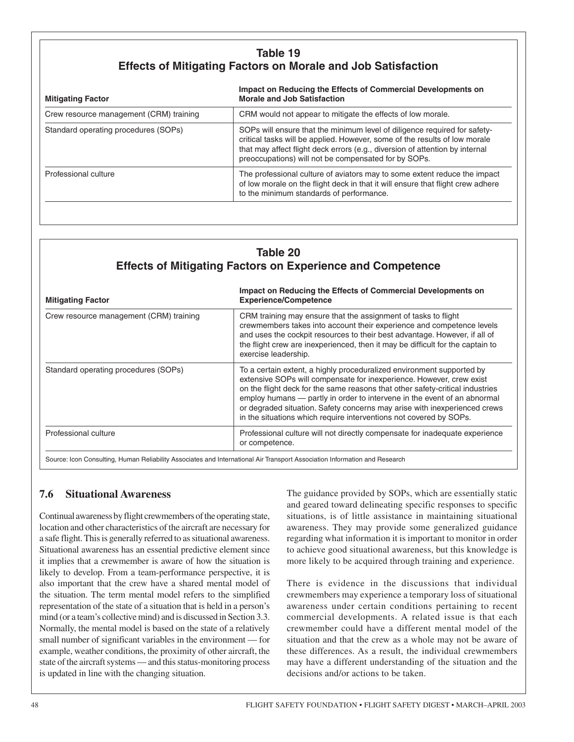## **Table 19 Effects of Mitigating Factors on Morale and Job Satisfaction**

| <b>Mitigating Factor</b>                | Impact on Reducing the Effects of Commercial Developments on<br><b>Morale and Job Satisfaction</b>                                                                                                                                                                                              |
|-----------------------------------------|-------------------------------------------------------------------------------------------------------------------------------------------------------------------------------------------------------------------------------------------------------------------------------------------------|
| Crew resource management (CRM) training | CRM would not appear to mitigate the effects of low morale.                                                                                                                                                                                                                                     |
| Standard operating procedures (SOPs)    | SOPs will ensure that the minimum level of diligence required for safety-<br>critical tasks will be applied. However, some of the results of low morale<br>that may affect flight deck errors (e.g., diversion of attention by internal<br>preoccupations) will not be compensated for by SOPs. |
| Professional culture                    | The professional culture of aviators may to some extent reduce the impact<br>of low morale on the flight deck in that it will ensure that flight crew adhere<br>to the minimum standards of performance.                                                                                        |

## **Table 20 Effects of Mitigating Factors on Experience and Competence**

| <b>Mitigating Factor</b>                | Impact on Reducing the Effects of Commercial Developments on<br><b>Experience/Competence</b>                                                                                                                                                                                                                                                                                                                                                                  |
|-----------------------------------------|---------------------------------------------------------------------------------------------------------------------------------------------------------------------------------------------------------------------------------------------------------------------------------------------------------------------------------------------------------------------------------------------------------------------------------------------------------------|
| Crew resource management (CRM) training | CRM training may ensure that the assignment of tasks to flight<br>crewmembers takes into account their experience and competence levels<br>and uses the cockpit resources to their best advantage. However, if all of<br>the flight crew are inexperienced, then it may be difficult for the captain to<br>exercise leadership.                                                                                                                               |
| Standard operating procedures (SOPs)    | To a certain extent, a highly proceduralized environment supported by<br>extensive SOPs will compensate for inexperience. However, crew exist<br>on the flight deck for the same reasons that other safety-critical industries<br>employ humans - partly in order to intervene in the event of an abnormal<br>or degraded situation. Safety concerns may arise with inexperienced crews<br>in the situations which require interventions not covered by SOPs. |
| Professional culture                    | Professional culture will not directly compensate for inadequate experience<br>or competence.                                                                                                                                                                                                                                                                                                                                                                 |

## **7.6 Situational Awareness**

Continual awareness by flight crewmembers of the operating state, location and other characteristics of the aircraft are necessary for a safe flight. This is generally referred to as situational awareness. Situational awareness has an essential predictive element since it implies that a crewmember is aware of how the situation is likely to develop. From a team-performance perspective, it is also important that the crew have a shared mental model of the situation. The term mental model refers to the simplified representation of the state of a situation that is held in a person's mind (or a team's collective mind) and is discussed in Section 3.3. Normally, the mental model is based on the state of a relatively small number of significant variables in the environment — for example, weather conditions, the proximity of other aircraft, the state of the aircraft systems — and this status-monitoring process is updated in line with the changing situation.

The guidance provided by SOPs, which are essentially static and geared toward delineating specific responses to specific situations, is of little assistance in maintaining situational awareness. They may provide some generalized guidance regarding what information it is important to monitor in order to achieve good situational awareness, but this knowledge is more likely to be acquired through training and experience.

There is evidence in the discussions that individual crewmembers may experience a temporary loss of situational awareness under certain conditions pertaining to recent commercial developments. A related issue is that each crewmember could have a different mental model of the situation and that the crew as a whole may not be aware of these differences. As a result, the individual crewmembers may have a different understanding of the situation and the decisions and/or actions to be taken.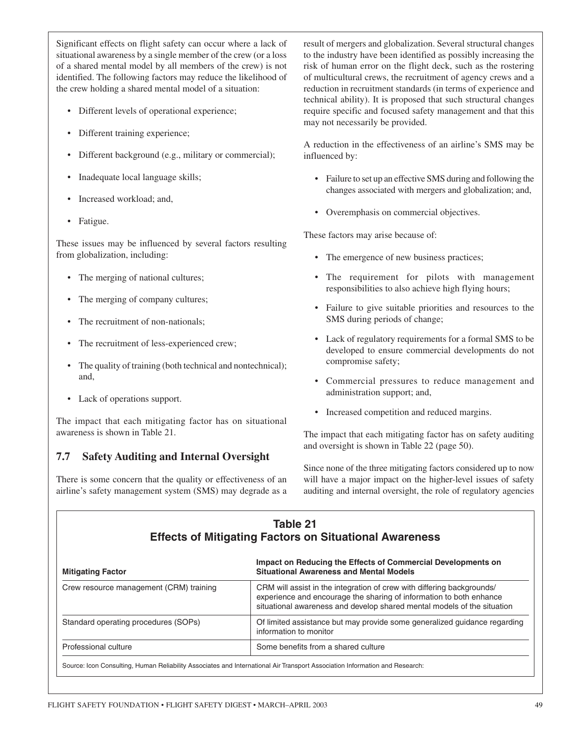Significant effects on flight safety can occur where a lack of situational awareness by a single member of the crew (or a loss of a shared mental model by all members of the crew) is not identified. The following factors may reduce the likelihood of the crew holding a shared mental model of a situation:

- Different levels of operational experience;
- Different training experience;
- Different background (e.g., military or commercial);
- Inadequate local language skills;
- Increased workload; and,
- Fatigue.

These issues may be influenced by several factors resulting from globalization, including:

- The merging of national cultures;
- The merging of company cultures;
- The recruitment of non-nationals:
- The recruitment of less-experienced crew;
- The quality of training (both technical and nontechnical); and,
- Lack of operations support.

The impact that each mitigating factor has on situational awareness is shown in Table 21.

## **7.7 Safety Auditing and Internal Oversight**

There is some concern that the quality or effectiveness of an airline's safety management system (SMS) may degrade as a result of mergers and globalization. Several structural changes to the industry have been identified as possibly increasing the risk of human error on the flight deck, such as the rostering of multicultural crews, the recruitment of agency crews and a reduction in recruitment standards (in terms of experience and technical ability). It is proposed that such structural changes require specific and focused safety management and that this may not necessarily be provided.

A reduction in the effectiveness of an airline's SMS may be influenced by:

- Failure to set up an effective SMS during and following the changes associated with mergers and globalization; and,
- Overemphasis on commercial objectives.

These factors may arise because of:

- The emergence of new business practices;
- The requirement for pilots with management responsibilities to also achieve high flying hours;
- Failure to give suitable priorities and resources to the SMS during periods of change;
- Lack of regulatory requirements for a formal SMS to be developed to ensure commercial developments do not compromise safety;
- Commercial pressures to reduce management and administration support; and,
- Increased competition and reduced margins.

The impact that each mitigating factor has on safety auditing and oversight is shown in Table 22 (page 50).

Since none of the three mitigating factors considered up to now will have a major impact on the higher-level issues of safety auditing and internal oversight, the role of regulatory agencies

| Table 21<br><b>Effects of Mitigating Factors on Situational Awareness</b>                                                   |                                                                                                                                                                                                                          |  |
|-----------------------------------------------------------------------------------------------------------------------------|--------------------------------------------------------------------------------------------------------------------------------------------------------------------------------------------------------------------------|--|
| <b>Mitigating Factor</b>                                                                                                    | Impact on Reducing the Effects of Commercial Developments on<br><b>Situational Awareness and Mental Models</b>                                                                                                           |  |
| Crew resource management (CRM) training                                                                                     | CRM will assist in the integration of crew with differing backgrounds/<br>experience and encourage the sharing of information to both enhance<br>situational awareness and develop shared mental models of the situation |  |
| Standard operating procedures (SOPs)                                                                                        | Of limited assistance but may provide some generalized guidance regarding<br>information to monitor                                                                                                                      |  |
| Professional culture                                                                                                        | Some benefits from a shared culture                                                                                                                                                                                      |  |
| Source: Icon Consulting, Human Reliability Associates and International Air Transport Association Information and Research: |                                                                                                                                                                                                                          |  |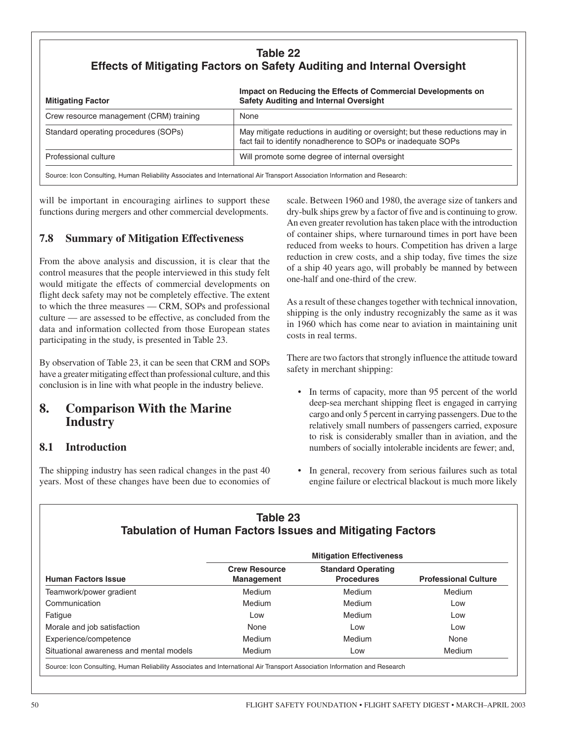## **Table 22 Effects of Mitigating Factors on Safety Auditing and Internal Oversight**

| <b>Mitigating Factor</b>                | Impact on Reducing the Effects of Commercial Developments on<br><b>Safety Auditing and Internal Oversight</b>                                  |
|-----------------------------------------|------------------------------------------------------------------------------------------------------------------------------------------------|
| Crew resource management (CRM) training | None                                                                                                                                           |
| Standard operating procedures (SOPs)    | May mitigate reductions in auditing or oversight; but these reductions may in<br>fact fail to identify nonadherence to SOPs or inadequate SOPs |
| Professional culture                    | Will promote some degree of internal oversight                                                                                                 |
|                                         | Source: Icon Consulting, Human Reliability Associates and International Air Transport Association Information and Research:                    |

will be important in encouraging airlines to support these functions during mergers and other commercial developments.

#### **7.8 Summary of Mitigation Effectiveness**

From the above analysis and discussion, it is clear that the control measures that the people interviewed in this study felt would mitigate the effects of commercial developments on flight deck safety may not be completely effective. The extent to which the three measures — CRM, SOPs and professional culture — are assessed to be effective, as concluded from the data and information collected from those European states participating in the study, is presented in Table 23.

By observation of Table 23, it can be seen that CRM and SOPs have a greater mitigating effect than professional culture, and this conclusion is in line with what people in the industry believe.

## **8. Comparison With the Marine Industry**

## **8.1 Introduction**

The shipping industry has seen radical changes in the past 40 years. Most of these changes have been due to economies of scale. Between 1960 and 1980, the average size of tankers and dry-bulk ships grew by a factor of five and is continuing to grow. An even greater revolution has taken place with the introduction of container ships, where turnaround times in port have been reduced from weeks to hours. Competition has driven a large reduction in crew costs, and a ship today, five times the size of a ship 40 years ago, will probably be manned by between one-half and one-third of the crew.

As a result of these changes together with technical innovation, shipping is the only industry recognizably the same as it was in 1960 which has come near to aviation in maintaining unit costs in real terms.

There are two factors that strongly influence the attitude toward safety in merchant shipping:

- In terms of capacity, more than 95 percent of the world deep-sea merchant shipping fleet is engaged in carrying cargo and only 5 percent in carrying passengers. Due to the relatively small numbers of passengers carried, exposure to risk is considerably smaller than in aviation, and the numbers of socially intolerable incidents are fewer; and,
- In general, recovery from serious failures such as total engine failure or electrical blackout is much more likely

#### **Table 23 Tabulation of Human Factors Issues and Mitigating Factors**

| <b>Human Factors Issue</b>              | <b>Crew Resource</b><br><b>Management</b> | <b>Standard Operating</b><br><b>Procedures</b> | <b>Professional Culture</b> |
|-----------------------------------------|-------------------------------------------|------------------------------------------------|-----------------------------|
| Teamwork/power gradient                 | Medium                                    | Medium                                         | Medium                      |
| Communication                           | Medium                                    | Medium                                         | Low                         |
| Fatigue                                 | Low                                       | Medium                                         | Low                         |
| Morale and job satisfaction             | None                                      | Low                                            | Low                         |
| Experience/competence                   | Medium                                    | Medium                                         | None                        |
| Situational awareness and mental models | Medium                                    | Low                                            | <b>Medium</b>               |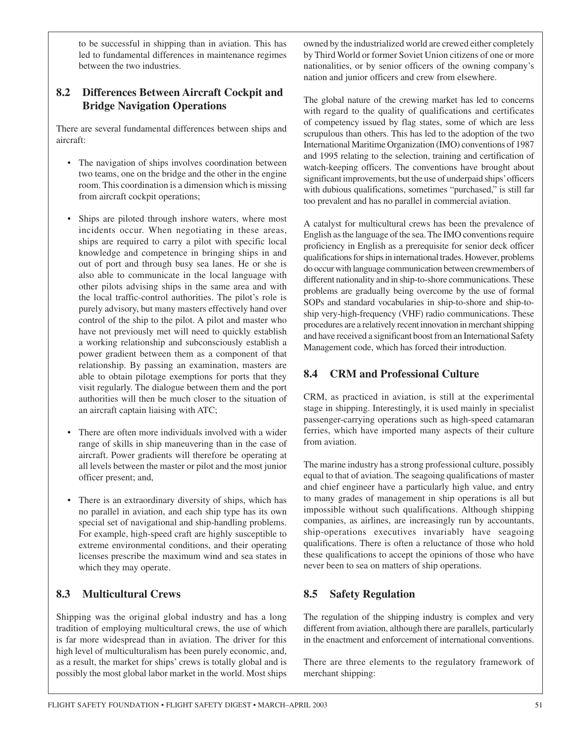to be successful in shipping than in aviation. This has led to fundamental differences in maintenance regimes between the two industries.

#### **8.2 Differences Between Aircraft Cockpit and Bridge Navigation Operations**

There are several fundamental differences between ships and aircraft:

- The navigation of ships involves coordination between two teams, one on the bridge and the other in the engine room. This coordination is a dimension which is missing from aircraft cockpit operations;
- Ships are piloted through inshore waters, where most incidents occur. When negotiating in these areas, ships are required to carry a pilot with specific local knowledge and competence in bringing ships in and out of port and through busy sea lanes. He or she is also able to communicate in the local language with other pilots advising ships in the same area and with the local traffic-control authorities. The pilot's role is purely advisory, but many masters effectively hand over control of the ship to the pilot. A pilot and master who have not previously met will need to quickly establish a working relationship and subconsciously establish a power gradient between them as a component of that relationship. By passing an examination, masters are able to obtain pilotage exemptions for ports that they visit regularly. The dialogue between them and the port authorities will then be much closer to the situation of an aircraft captain liaising with ATC;
- There are often more individuals involved with a wider range of skills in ship maneuvering than in the case of aircraft. Power gradients will therefore be operating at all levels between the master or pilot and the most junior officer present; and,
- There is an extraordinary diversity of ships, which has no parallel in aviation, and each ship type has its own special set of navigational and ship-handling problems. For example, high-speed craft are highly susceptible to extreme environmental conditions, and their operating licenses prescribe the maximum wind and sea states in which they may operate.

## **8.3 Multicultural Crews**

Shipping was the original global industry and has a long tradition of employing multicultural crews, the use of which is far more widespread than in aviation. The driver for this high level of multiculturalism has been purely economic, and, as a result, the market for ships' crews is totally global and is possibly the most global labor market in the world. Most ships owned by the industrialized world are crewed either completely by Third World or former Soviet Union citizens of one or more nationalities, or by senior officers of the owning company's nation and junior officers and crew from elsewhere.

The global nature of the crewing market has led to concerns with regard to the quality of qualifications and certificates of competency issued by flag states, some of which are less scrupulous than others. This has led to the adoption of the two International Maritime Organization (IMO) conventions of 1987 and 1995 relating to the selection, training and certification of watch-keeping officers. The conventions have brought about significant improvements, but the use of underpaid ships' officers with dubious qualifications, sometimes "purchased," is still far too prevalent and has no parallel in commercial aviation.

A catalyst for multicultural crews has been the prevalence of English as the language of the sea. The IMO conventions require proficiency in English as a prerequisite for senior deck officer qualifications for ships in international trades. However, problems do occur with language communication between crewmembers of different nationality and in ship-to-shore communications. These problems are gradually being overcome by the use of formal SOPs and standard vocabularies in ship-to-shore and ship-toship very-high-frequency (VHF) radio communications. These procedures are a relatively recent innovation in merchant shipping and have received a significant boost from an International Safety Management code, which has forced their introduction.

## **8.4 CRM and Professional Culture**

CRM, as practiced in aviation, is still at the experimental stage in shipping. Interestingly, it is used mainly in specialist passenger-carrying operations such as high-speed catamaran ferries, which have imported many aspects of their culture from aviation.

The marine industry has a strong professional culture, possibly equal to that of aviation. The seagoing qualifications of master and chief engineer have a particularly high value, and entry to many grades of management in ship operations is all but impossible without such qualifications. Although shipping companies, as airlines, are increasingly run by accountants, ship-operations executives invariably have seagoing qualifications. There is often a reluctance of those who hold these qualifications to accept the opinions of those who have never been to sea on matters of ship operations.

## **8.5 Safety Regulation**

The regulation of the shipping industry is complex and very different from aviation, although there are parallels, particularly in the enactment and enforcement of international conventions.

There are three elements to the regulatory framework of merchant shipping: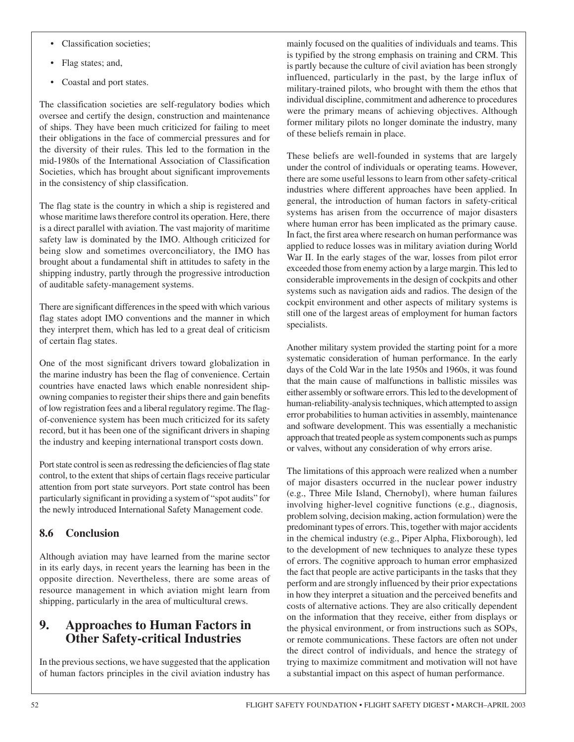- Classification societies;
- Flag states; and,
- Coastal and port states.

The classification societies are self-regulatory bodies which oversee and certify the design, construction and maintenance of ships. They have been much criticized for failing to meet their obligations in the face of commercial pressures and for the diversity of their rules. This led to the formation in the mid-1980s of the International Association of Classification Societies, which has brought about significant improvements in the consistency of ship classification.

The flag state is the country in which a ship is registered and whose maritime laws therefore control its operation. Here, there is a direct parallel with aviation. The vast majority of maritime safety law is dominated by the IMO. Although criticized for being slow and sometimes overconciliatory, the IMO has brought about a fundamental shift in attitudes to safety in the shipping industry, partly through the progressive introduction of auditable safety-management systems.

There are significant differences in the speed with which various flag states adopt IMO conventions and the manner in which they interpret them, which has led to a great deal of criticism of certain flag states.

One of the most significant drivers toward globalization in the marine industry has been the flag of convenience. Certain countries have enacted laws which enable nonresident shipowning companies to register their ships there and gain benefits of low registration fees and a liberal regulatory regime. The flagof-convenience system has been much criticized for its safety record, but it has been one of the significant drivers in shaping the industry and keeping international transport costs down.

Port state control is seen as redressing the deficiencies of flag state control, to the extent that ships of certain flags receive particular attention from port state surveyors. Port state control has been particularly significant in providing a system of "spot audits" for the newly introduced International Safety Management code.

## **8.6 Conclusion**

Although aviation may have learned from the marine sector in its early days, in recent years the learning has been in the opposite direction. Nevertheless, there are some areas of resource management in which aviation might learn from shipping, particularly in the area of multicultural crews.

## **9. Approaches to Human Factors in Other Safety-critical Industries**

In the previous sections, we have suggested that the application of human factors principles in the civil aviation industry has mainly focused on the qualities of individuals and teams. This is typified by the strong emphasis on training and CRM. This is partly because the culture of civil aviation has been strongly influenced, particularly in the past, by the large influx of military-trained pilots, who brought with them the ethos that individual discipline, commitment and adherence to procedures were the primary means of achieving objectives. Although former military pilots no longer dominate the industry, many of these beliefs remain in place.

These beliefs are well-founded in systems that are largely under the control of individuals or operating teams. However, there are some useful lessons to learn from other safety-critical industries where different approaches have been applied. In general, the introduction of human factors in safety-critical systems has arisen from the occurrence of major disasters where human error has been implicated as the primary cause. In fact, the first area where research on human performance was applied to reduce losses was in military aviation during World War II. In the early stages of the war, losses from pilot error exceeded those from enemy action by a large margin. This led to considerable improvements in the design of cockpits and other systems such as navigation aids and radios. The design of the cockpit environment and other aspects of military systems is still one of the largest areas of employment for human factors specialists.

Another military system provided the starting point for a more systematic consideration of human performance. In the early days of the Cold War in the late 1950s and 1960s, it was found that the main cause of malfunctions in ballistic missiles was either assembly or software errors. This led to the development of human-reliability-analysis techniques, which attempted to assign error probabilities to human activities in assembly, maintenance and software development. This was essentially a mechanistic approach that treated people as system components such as pumps or valves, without any consideration of why errors arise.

The limitations of this approach were realized when a number of major disasters occurred in the nuclear power industry (e.g., Three Mile Island, Chernobyl), where human failures involving higher-level cognitive functions (e.g., diagnosis, problem solving, decision making, action formulation) were the predominant types of errors. This, together with major accidents in the chemical industry (e.g., Piper Alpha, Flixborough), led to the development of new techniques to analyze these types of errors. The cognitive approach to human error emphasized the fact that people are active participants in the tasks that they perform and are strongly influenced by their prior expectations in how they interpret a situation and the perceived benefits and costs of alternative actions. They are also critically dependent on the information that they receive, either from displays or the physical environment, or from instructions such as SOPs, or remote communications. These factors are often not under the direct control of individuals, and hence the strategy of trying to maximize commitment and motivation will not have a substantial impact on this aspect of human performance.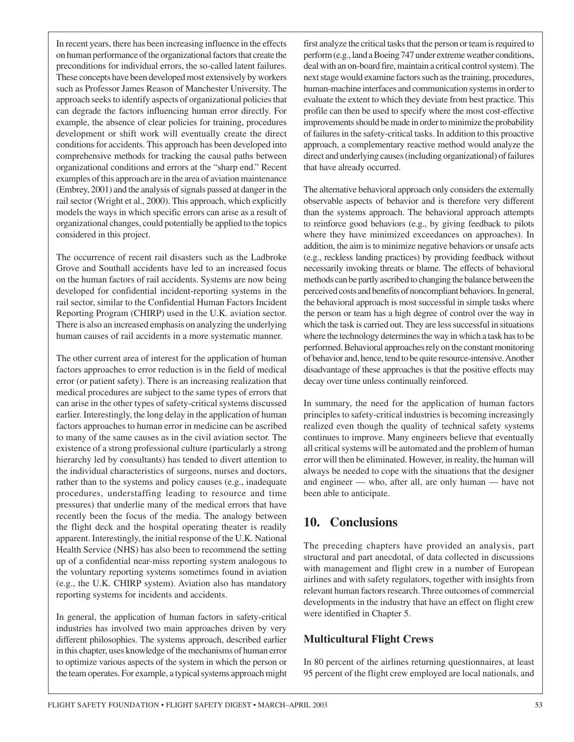In recent years, there has been increasing influence in the effects on human performance of the organizational factors that create the preconditions for individual errors, the so-called latent failures. These concepts have been developed most extensively by workers such as Professor James Reason of Manchester University. The approach seeks to identify aspects of organizational policies that can degrade the factors influencing human error directly. For example, the absence of clear policies for training, procedures development or shift work will eventually create the direct conditions for accidents. This approach has been developed into comprehensive methods for tracking the causal paths between organizational conditions and errors at the "sharp end." Recent examples of this approach are in the area of aviation maintenance (Embrey, 2001) and the analysis of signals passed at danger in the rail sector (Wright et al., 2000). This approach, which explicitly models the ways in which specific errors can arise as a result of organizational changes, could potentially be applied to the topics considered in this project.

The occurrence of recent rail disasters such as the Ladbroke Grove and Southall accidents have led to an increased focus on the human factors of rail accidents. Systems are now being developed for confidential incident-reporting systems in the rail sector, similar to the Confidential Human Factors Incident Reporting Program (CHIRP) used in the U.K. aviation sector. There is also an increased emphasis on analyzing the underlying human causes of rail accidents in a more systematic manner.

The other current area of interest for the application of human factors approaches to error reduction is in the field of medical error (or patient safety). There is an increasing realization that medical procedures are subject to the same types of errors that can arise in the other types of safety-critical systems discussed earlier. Interestingly, the long delay in the application of human factors approaches to human error in medicine can be ascribed to many of the same causes as in the civil aviation sector. The existence of a strong professional culture (particularly a strong hierarchy led by consultants) has tended to divert attention to the individual characteristics of surgeons, nurses and doctors, rather than to the systems and policy causes (e.g., inadequate procedures, understaffing leading to resource and time pressures) that underlie many of the medical errors that have recently been the focus of the media. The analogy between the flight deck and the hospital operating theater is readily apparent. Interestingly, the initial response of the U.K. National Health Service (NHS) has also been to recommend the setting up of a confidential near-miss reporting system analogous to the voluntary reporting systems sometimes found in aviation (e.g., the U.K. CHIRP system). Aviation also has mandatory reporting systems for incidents and accidents.

In general, the application of human factors in safety-critical industries has involved two main approaches driven by very different philosophies. The systems approach, described earlier in this chapter, uses knowledge of the mechanisms of human error to optimize various aspects of the system in which the person or the team operates. For example, a typical systems approach might

first analyze the critical tasks that the person or team is required to perform (e.g., land a Boeing 747 under extreme weather conditions, deal with an on-board fire, maintain a critical control system). The next stage would examine factors such as the training, procedures, human-machine interfaces and communication systems in order to evaluate the extent to which they deviate from best practice. This profile can then be used to specify where the most cost-effective improvements should be made in order to minimize the probability of failures in the safety-critical tasks. In addition to this proactive approach, a complementary reactive method would analyze the direct and underlying causes (including organizational) of failures that have already occurred.

The alternative behavioral approach only considers the externally observable aspects of behavior and is therefore very different than the systems approach. The behavioral approach attempts to reinforce good behaviors (e.g., by giving feedback to pilots where they have minimized exceedances on approaches). In addition, the aim is to minimize negative behaviors or unsafe acts (e.g., reckless landing practices) by providing feedback without necessarily invoking threats or blame. The effects of behavioral methods can be partly ascribed to changing the balance between the perceived costs and benefits of noncompliant behaviors. In general, the behavioral approach is most successful in simple tasks where the person or team has a high degree of control over the way in which the task is carried out. They are less successful in situations where the technology determines the way in which a task has to be performed. Behavioral approaches rely on the constant monitoring of behavior and, hence, tend to be quite resource-intensive. Another disadvantage of these approaches is that the positive effects may decay over time unless continually reinforced.

In summary, the need for the application of human factors principles to safety-critical industries is becoming increasingly realized even though the quality of technical safety systems continues to improve. Many engineers believe that eventually all critical systems will be automated and the problem of human error will then be eliminated. However, in reality, the human will always be needed to cope with the situations that the designer and engineer — who, after all, are only human — have not been able to anticipate.

# **10. Conclusions**

The preceding chapters have provided an analysis, part structural and part anecdotal, of data collected in discussions with management and flight crew in a number of European airlines and with safety regulators, together with insights from relevant human factors research. Three outcomes of commercial developments in the industry that have an effect on flight crew were identified in Chapter 5.

## **Multicultural Flight Crews**

In 80 percent of the airlines returning questionnaires, at least 95 percent of the flight crew employed are local nationals, and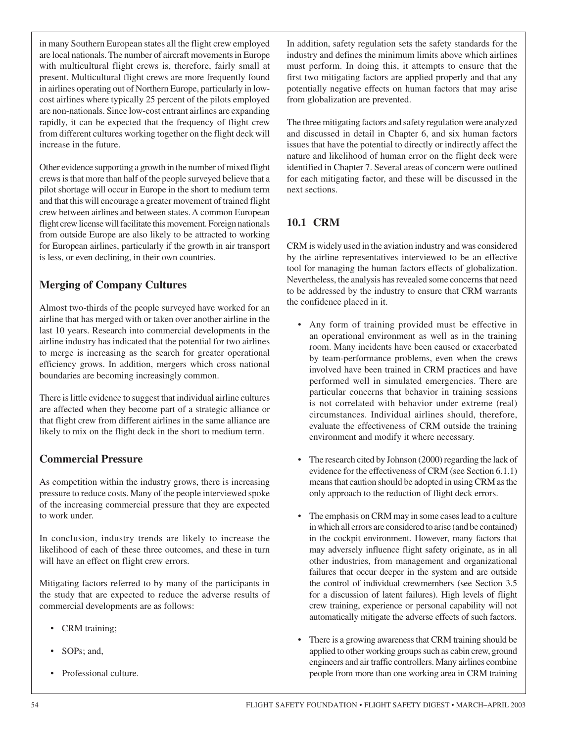in many Southern European states all the flight crew employed are local nationals. The number of aircraft movements in Europe with multicultural flight crews is, therefore, fairly small at present. Multicultural flight crews are more frequently found in airlines operating out of Northern Europe, particularly in lowcost airlines where typically 25 percent of the pilots employed are non-nationals. Since low-cost entrant airlines are expanding rapidly, it can be expected that the frequency of flight crew from different cultures working together on the flight deck will increase in the future.

Other evidence supporting a growth in the number of mixed flight crews is that more than half of the people surveyed believe that a pilot shortage will occur in Europe in the short to medium term and that this will encourage a greater movement of trained flight crew between airlines and between states. A common European flight crew license will facilitate this movement. Foreign nationals from outside Europe are also likely to be attracted to working for European airlines, particularly if the growth in air transport is less, or even declining, in their own countries.

## **Merging of Company Cultures**

Almost two-thirds of the people surveyed have worked for an airline that has merged with or taken over another airline in the last 10 years. Research into commercial developments in the airline industry has indicated that the potential for two airlines to merge is increasing as the search for greater operational efficiency grows. In addition, mergers which cross national boundaries are becoming increasingly common.

There is little evidence to suggest that individual airline cultures are affected when they become part of a strategic alliance or that flight crew from different airlines in the same alliance are likely to mix on the flight deck in the short to medium term.

## **Commercial Pressure**

As competition within the industry grows, there is increasing pressure to reduce costs. Many of the people interviewed spoke of the increasing commercial pressure that they are expected to work under.

In conclusion, industry trends are likely to increase the likelihood of each of these three outcomes, and these in turn will have an effect on flight crew errors.

Mitigating factors referred to by many of the participants in the study that are expected to reduce the adverse results of commercial developments are as follows:

- CRM training;
- SOPs; and,
- Professional culture.

In addition, safety regulation sets the safety standards for the industry and defines the minimum limits above which airlines must perform. In doing this, it attempts to ensure that the first two mitigating factors are applied properly and that any potentially negative effects on human factors that may arise from globalization are prevented.

The three mitigating factors and safety regulation were analyzed and discussed in detail in Chapter 6, and six human factors issues that have the potential to directly or indirectly affect the nature and likelihood of human error on the flight deck were identified in Chapter 7. Several areas of concern were outlined for each mitigating factor, and these will be discussed in the next sections.

## **10.1 CRM**

CRM is widely used in the aviation industry and was considered by the airline representatives interviewed to be an effective tool for managing the human factors effects of globalization. Nevertheless, the analysis has revealed some concerns that need to be addressed by the industry to ensure that CRM warrants the confidence placed in it.

- Any form of training provided must be effective in an operational environment as well as in the training room. Many incidents have been caused or exacerbated by team-performance problems, even when the crews involved have been trained in CRM practices and have performed well in simulated emergencies. There are particular concerns that behavior in training sessions is not correlated with behavior under extreme (real) circumstances. Individual airlines should, therefore, evaluate the effectiveness of CRM outside the training environment and modify it where necessary.
- The research cited by Johnson (2000) regarding the lack of evidence for the effectiveness of CRM (see Section 6.1.1) means that caution should be adopted in using CRM as the only approach to the reduction of flight deck errors.
- The emphasis on CRM may in some cases lead to a culture in which all errors are considered to arise (and be contained) in the cockpit environment. However, many factors that may adversely influence flight safety originate, as in all other industries, from management and organizational failures that occur deeper in the system and are outside the control of individual crewmembers (see Section 3.5 for a discussion of latent failures). High levels of flight crew training, experience or personal capability will not automatically mitigate the adverse effects of such factors.
- There is a growing awareness that CRM training should be applied to other working groups such as cabin crew, ground engineers and air traffic controllers. Many airlines combine people from more than one working area in CRM training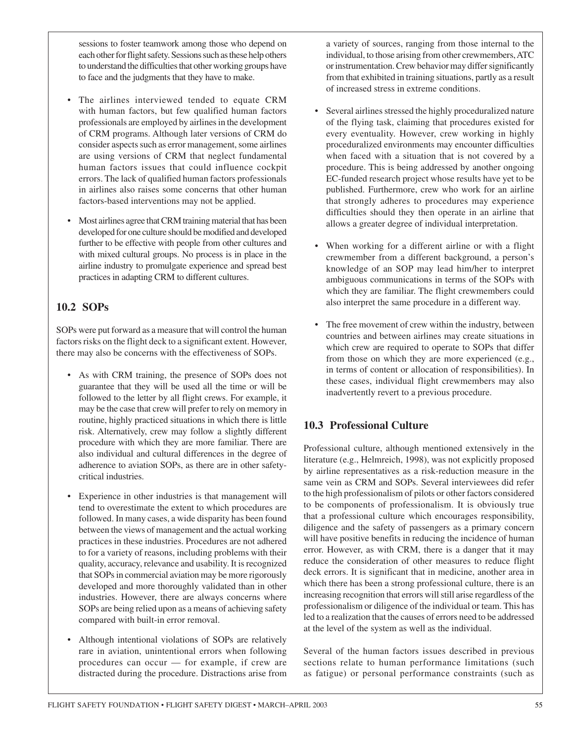sessions to foster teamwork among those who depend on each other for flight safety. Sessions such as these help others to understand the difficulties that other working groups have to face and the judgments that they have to make.

- The airlines interviewed tended to equate CRM with human factors, but few qualified human factors professionals are employed by airlines in the development of CRM programs. Although later versions of CRM do consider aspects such as error management, some airlines are using versions of CRM that neglect fundamental human factors issues that could influence cockpit errors. The lack of qualified human factors professionals in airlines also raises some concerns that other human factors-based interventions may not be applied.
- Most airlines agree that CRM training material that has been developed for one culture should be modified and developed further to be effective with people from other cultures and with mixed cultural groups. No process is in place in the airline industry to promulgate experience and spread best practices in adapting CRM to different cultures.

## **10.2 SOPs**

SOPs were put forward as a measure that will control the human factors risks on the flight deck to a significant extent. However, there may also be concerns with the effectiveness of SOPs.

- As with CRM training, the presence of SOPs does not guarantee that they will be used all the time or will be followed to the letter by all flight crews. For example, it may be the case that crew will prefer to rely on memory in routine, highly practiced situations in which there is little risk. Alternatively, crew may follow a slightly different procedure with which they are more familiar. There are also individual and cultural differences in the degree of adherence to aviation SOPs, as there are in other safetycritical industries.
- Experience in other industries is that management will tend to overestimate the extent to which procedures are followed. In many cases, a wide disparity has been found between the views of management and the actual working practices in these industries. Procedures are not adhered to for a variety of reasons, including problems with their quality, accuracy, relevance and usability. It is recognized that SOPs in commercial aviation may be more rigorously developed and more thoroughly validated than in other industries. However, there are always concerns where SOPs are being relied upon as a means of achieving safety compared with built-in error removal.
- Although intentional violations of SOPs are relatively rare in aviation, unintentional errors when following procedures can occur — for example, if crew are distracted during the procedure. Distractions arise from

a variety of sources, ranging from those internal to the individual, to those arising from other crewmembers, ATC or instrumentation. Crew behavior may differ significantly from that exhibited in training situations, partly as a result of increased stress in extreme conditions.

- Several airlines stressed the highly proceduralized nature of the flying task, claiming that procedures existed for every eventuality. However, crew working in highly proceduralized environments may encounter difficulties when faced with a situation that is not covered by a procedure. This is being addressed by another ongoing EC-funded research project whose results have yet to be published. Furthermore, crew who work for an airline that strongly adheres to procedures may experience difficulties should they then operate in an airline that allows a greater degree of individual interpretation.
- When working for a different airline or with a flight crewmember from a different background, a person's knowledge of an SOP may lead him/her to interpret ambiguous communications in terms of the SOPs with which they are familiar. The flight crewmembers could also interpret the same procedure in a different way.
- The free movement of crew within the industry, between countries and between airlines may create situations in which crew are required to operate to SOPs that differ from those on which they are more experienced (e.g., in terms of content or allocation of responsibilities). In these cases, individual flight crewmembers may also inadvertently revert to a previous procedure.

## **10.3 Professional Culture**

Professional culture, although mentioned extensively in the literature (e.g., Helmreich, 1998), was not explicitly proposed by airline representatives as a risk-reduction measure in the same vein as CRM and SOPs. Several interviewees did refer to the high professionalism of pilots or other factors considered to be components of professionalism. It is obviously true that a professional culture which encourages responsibility, diligence and the safety of passengers as a primary concern will have positive benefits in reducing the incidence of human error. However, as with CRM, there is a danger that it may reduce the consideration of other measures to reduce flight deck errors. It is significant that in medicine, another area in which there has been a strong professional culture, there is an increasing recognition that errors will still arise regardless of the professionalism or diligence of the individual or team. This has led to a realization that the causes of errors need to be addressed at the level of the system as well as the individual.

Several of the human factors issues described in previous sections relate to human performance limitations (such as fatigue) or personal performance constraints (such as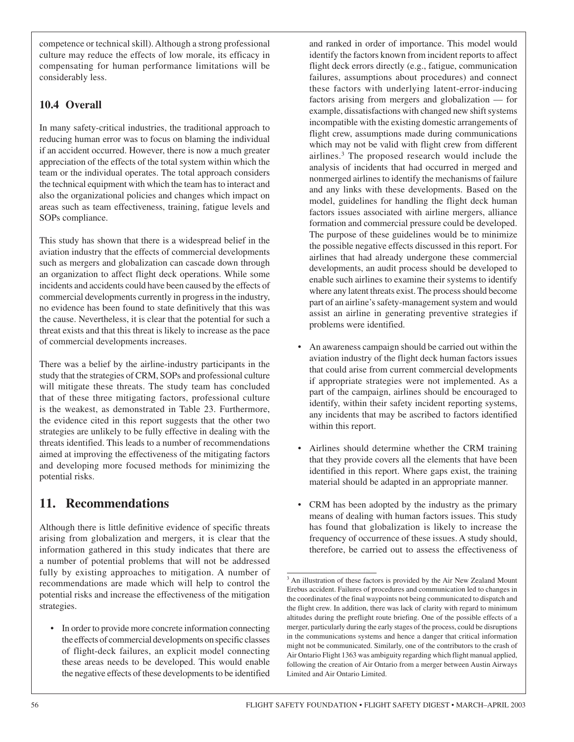competence or technical skill). Although a strong professional culture may reduce the effects of low morale, its efficacy in compensating for human performance limitations will be considerably less.

## **10.4 Overall**

In many safety-critical industries, the traditional approach to reducing human error was to focus on blaming the individual if an accident occurred. However, there is now a much greater appreciation of the effects of the total system within which the team or the individual operates. The total approach considers the technical equipment with which the team has to interact and also the organizational policies and changes which impact on areas such as team effectiveness, training, fatigue levels and SOPs compliance.

This study has shown that there is a widespread belief in the aviation industry that the effects of commercial developments such as mergers and globalization can cascade down through an organization to affect flight deck operations. While some incidents and accidents could have been caused by the effects of commercial developments currently in progress in the industry, no evidence has been found to state definitively that this was the cause. Nevertheless, it is clear that the potential for such a threat exists and that this threat is likely to increase as the pace of commercial developments increases.

There was a belief by the airline-industry participants in the study that the strategies of CRM, SOPs and professional culture will mitigate these threats. The study team has concluded that of these three mitigating factors, professional culture is the weakest, as demonstrated in Table 23. Furthermore, the evidence cited in this report suggests that the other two strategies are unlikely to be fully effective in dealing with the threats identified. This leads to a number of recommendations aimed at improving the effectiveness of the mitigating factors and developing more focused methods for minimizing the potential risks.

## **11. Recommendations**

Although there is little definitive evidence of specific threats arising from globalization and mergers, it is clear that the information gathered in this study indicates that there are a number of potential problems that will not be addressed fully by existing approaches to mitigation. A number of recommendations are made which will help to control the potential risks and increase the effectiveness of the mitigation strategies.

• In order to provide more concrete information connecting the effects of commercial developments on specific classes of flight-deck failures, an explicit model connecting these areas needs to be developed. This would enable the negative effects of these developments to be identified and ranked in order of importance. This model would identify the factors known from incident reports to affect flight deck errors directly (e.g., fatigue, communication failures, assumptions about procedures) and connect these factors with underlying latent-error-inducing factors arising from mergers and globalization — for example, dissatisfactions with changed new shift systems incompatible with the existing domestic arrangements of flight crew, assumptions made during communications which may not be valid with flight crew from different airlines.3 The proposed research would include the analysis of incidents that had occurred in merged and nonmerged airlines to identify the mechanisms of failure and any links with these developments. Based on the model, guidelines for handling the flight deck human factors issues associated with airline mergers, alliance formation and commercial pressure could be developed. The purpose of these guidelines would be to minimize the possible negative effects discussed in this report. For airlines that had already undergone these commercial developments, an audit process should be developed to enable such airlines to examine their systems to identify where any latent threats exist. The process should become part of an airline's safety-management system and would assist an airline in generating preventive strategies if problems were identified.

- An awareness campaign should be carried out within the aviation industry of the flight deck human factors issues that could arise from current commercial developments if appropriate strategies were not implemented. As a part of the campaign, airlines should be encouraged to identify, within their safety incident reporting systems, any incidents that may be ascribed to factors identified within this report.
- Airlines should determine whether the CRM training that they provide covers all the elements that have been identified in this report. Where gaps exist, the training material should be adapted in an appropriate manner.
- CRM has been adopted by the industry as the primary means of dealing with human factors issues. This study has found that globalization is likely to increase the frequency of occurrence of these issues. A study should, therefore, be carried out to assess the effectiveness of

<sup>&</sup>lt;sup>3</sup> An illustration of these factors is provided by the Air New Zealand Mount Erebus accident. Failures of procedures and communication led to changes in the coordinates of the final waypoints not being communicated to dispatch and the flight crew. In addition, there was lack of clarity with regard to minimum altitudes during the preflight route briefing. One of the possible effects of a merger, particularly during the early stages of the process, could be disruptions in the communications systems and hence a danger that critical information might not be communicated. Similarly, one of the contributors to the crash of Air Ontario Flight 1363 was ambiguity regarding which flight manual applied, following the creation of Air Ontario from a merger between Austin Airways Limited and Air Ontario Limited.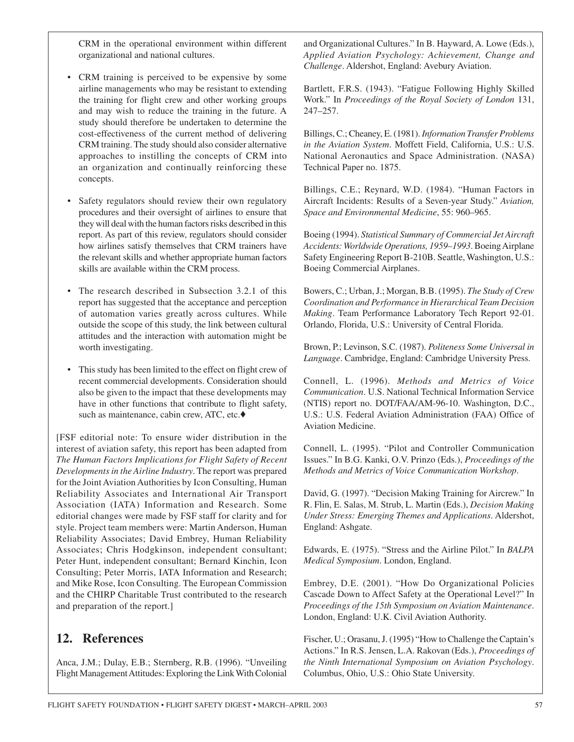CRM in the operational environment within different organizational and national cultures.

- CRM training is perceived to be expensive by some airline managements who may be resistant to extending the training for flight crew and other working groups and may wish to reduce the training in the future. A study should therefore be undertaken to determine the cost-effectiveness of the current method of delivering CRM training. The study should also consider alternative approaches to instilling the concepts of CRM into an organization and continually reinforcing these concepts.
- Safety regulators should review their own regulatory procedures and their oversight of airlines to ensure that they will deal with the human factors risks described in this report. As part of this review, regulators should consider how airlines satisfy themselves that CRM trainers have the relevant skills and whether appropriate human factors skills are available within the CRM process.
- The research described in Subsection 3.2.1 of this report has suggested that the acceptance and perception of automation varies greatly across cultures. While outside the scope of this study, the link between cultural attitudes and the interaction with automation might be worth investigating.
- This study has been limited to the effect on flight crew of recent commercial developments. Consideration should also be given to the impact that these developments may have in other functions that contribute to flight safety, such as maintenance, cabin crew, ATC, etc.♦

[FSF editorial note: To ensure wider distribution in the interest of aviation safety, this report has been adapted from *The Human Factors Implications for Flight Safety of Recent Developments in the Airline Industry*. The report was prepared for the Joint Aviation Authorities by Icon Consulting, Human Reliability Associates and International Air Transport Association (IATA) Information and Research. Some editorial changes were made by FSF staff for clarity and for style. Project team members were: Martin Anderson, Human Reliability Associates; David Embrey, Human Reliability Associates; Chris Hodgkinson, independent consultant; Peter Hunt, independent consultant; Bernard Kinchin, Icon Consulting; Peter Morris, IATA Information and Research; and Mike Rose, Icon Consulting. The European Commission and the CHIRP Charitable Trust contributed to the research and preparation of the report.]

## **12. References**

Anca, J.M.; Dulay, E.B.; Sternberg, R.B. (1996). "Unveiling Flight Management Attitudes: Exploring the Link With Colonial

and Organizational Cultures." In B. Hayward, A. Lowe (Eds.), *Applied Aviation Psychology: Achievement, Change and Challenge*. Aldershot, England: Avebury Aviation.

Bartlett, F.R.S. (1943). "Fatigue Following Highly Skilled Work." In *Proceedings of the Royal Society of London* 131, 247–257.

Billings, C.; Cheaney, E. (1981). *Information Transfer Problems in the Aviation System*. Moffett Field, California, U.S.: U.S. National Aeronautics and Space Administration. (NASA) Technical Paper no. 1875.

Billings, C.E.; Reynard, W.D. (1984). "Human Factors in Aircraft Incidents: Results of a Seven-year Study." *Aviation, Space and Environmental Medicine*, 55: 960–965.

Boeing (1994). *Statistical Summary of Commercial Jet Aircraft Accidents: Worldwide Operations, 1959–1993*. Boeing Airplane Safety Engineering Report B-210B. Seattle, Washington, U.S.: Boeing Commercial Airplanes.

Bowers, C.; Urban, J.; Morgan, B.B. (1995). *The Study of Crew Coordination and Performance in Hierarchical Team Decision Making*. Team Performance Laboratory Tech Report 92-01. Orlando, Florida, U.S.: University of Central Florida.

Brown, P.; Levinson, S.C. (1987). *Politeness Some Universal in Language*. Cambridge, England: Cambridge University Press.

Connell, L. (1996). *Methods and Metrics of Voice Communication*. U.S. National Technical Information Service (NTIS) report no. DOT/FAA/AM-96-10. Washington, D.C., U.S.: U.S. Federal Aviation Administration (FAA) Office of Aviation Medicine.

Connell, L. (1995). "Pilot and Controller Communication Issues." In B.G. Kanki, O.V. Prinzo (Eds.), *Proceedings of the Methods and Metrics of Voice Communication Workshop*.

David, G. (1997). "Decision Making Training for Aircrew." In R. Flin, E. Salas, M. Strub, L. Martin (Eds.), *Decision Making Under Stress: Emerging Themes and Applications*. Aldershot, England: Ashgate.

Edwards, E. (1975). "Stress and the Airline Pilot." In *BALPA Medical Symposium*. London, England.

Embrey, D.E. (2001). "How Do Organizational Policies Cascade Down to Affect Safety at the Operational Level?" In *Proceedings of the 15th Symposium on Aviation Maintenance*. London, England: U.K. Civil Aviation Authority.

Fischer, U.; Orasanu, J. (1995) "How to Challenge the Captain's Actions." In R.S. Jensen, L.A. Rakovan (Eds.), *Proceedings of the Ninth International Symposium on Aviation Psychology*. Columbus, Ohio, U.S.: Ohio State University.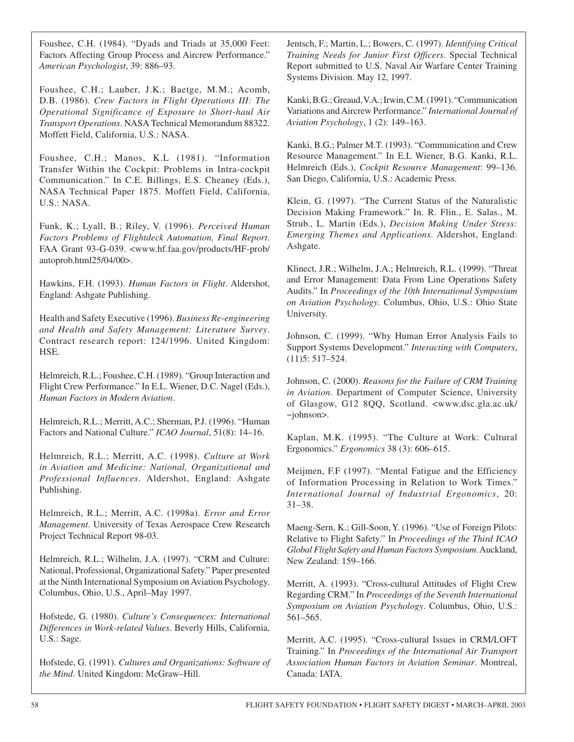Foushee, C.H. (1984). "Dyads and Triads at 35,000 Feet: Factors Affecting Group Process and Aircrew Performance." *American Psychologist*, 39: 886–93.

Foushee, C.H.; Lauber, J.K.; Baetge, M.M.; Acomb, D.B. (1986). *Crew Factors in Flight Operations III: The Operational Significance of Exposure to Short-haul Air Transport Operations*. NASA Technical Memorandum 88322. Moffett Field, California, U.S.: NASA.

Foushee, C.H.; Manos, K.L (1981). "Information Transfer Within the Cockpit: Problems in Intra-cockpit Communication." In C.E. Billings, E.S. Cheaney (Eds.), NASA Technical Paper 1875. Moffett Field, California, U.S.: NASA.

Funk, K.; Lyall, B.; Riley, V. (1996). *Perceived Human Factors Problems of Flightdeck Automation, Final Report*. FAA Grant 93-G-039. <www.hf.faa.gov/products/HF-prob/ autoprob.html25/04/00>.

Hawkins, F.H. (1993). *Human Factors in Flight*. Aldershot, England: Ashgate Publishing.

Health and Safety Executive (1996). *Business Re-engineering and Health and Safety Management: Literature Survey*. Contract research report: 124/1996. United Kingdom: HSE.

Helmreich, R.L.; Foushee, C.H. (1989). "Group Interaction and Flight Crew Performance." In E.L. Wiener, D.C. Nagel (Eds.), *Human Factors in Modern Aviation*.

Helmreich, R.L.; Merritt, A.C.; Sherman, P.J. (1996). "Human Factors and National Culture." *ICAO Journal*, 51(8): 14–16.

Helmreich, R.L.; Merritt, A.C. (1998). *Culture at Work in Aviation and Medicine: National, Organizational and Professional Influences*. Aldershot, England: Ashgate Publishing.

Helmreich, R.L.; Merritt, A.C. (1998a). *Error and Error Management*. University of Texas Aerospace Crew Research Project Technical Report 98-03.

Helmreich, R.L.; Wilhelm, J.A. (1997). "CRM and Culture: National, Professional, Organizational Safety." Paper presented at the Ninth International Symposium on Aviation Psychology. Columbus, Ohio, U.S., April–May 1997.

Hofstede, G. (1980). *Culture's Consequences: International Differences in Work-related Values*. Beverly Hills, California, U.S.: Sage.

Hofstede, G. (1991). *Cultures and Organizations: Software of the Mind*. United Kingdom: McGraw–Hill.

Jentsch, F.; Martin, L.; Bowers, C. (1997). *Identifying Critical Training Needs for Junior First Officers*. Special Technical Report submitted to U.S. Naval Air Warfare Center Training Systems Division. May 12, 1997.

Kanki, B.G.; Greaud, V.A.; Irwin, C.M. (1991). "Communication Variations and Aircrew Performance." *International Journal of Aviation Psychology*, 1 (2): 149–163.

Kanki, B.G.; Palmer M.T. (1993). "Communication and Crew Resource Management." In E.L Wiener, B.G. Kanki, R.L. Helmreich (Eds.), *Cockpit Resource Management*: 99–136. San Diego, California, U.S.: Academic Press.

Klein, G. (1997). "The Current Status of the Naturalistic Decision Making Framework." In. R. Flin., E. Salas., M. Strub., L. Martin (Eds.), *Decision Making Under Stress: Emerging Themes and Applications*. Aldershot, England: Ashgate.

Klinect, J.R.; Wilhelm, J.A.; Helmreich, R.L. (1999). "Threat and Error Management: Data From Line Operations Safety Audits." In *Proceedings of the 10th International Symposium on Aviation Psychology*. Columbus, Ohio, U.S.: Ohio State University.

Johnson, C. (1999). "Why Human Error Analysis Fails to Support Systems Development." *Interacting with Computers*, (11)5: 517–524.

Johnson, C. (2000). *Reasons for the Failure of CRM Training in Aviation*. Department of Computer Science, University of Glasgow, G12 8QQ, Scotland. <www.dsc.gla.ac.uk/ ~johnson>.

Kaplan, M.K. (1995). "The Culture at Work: Cultural Ergonomics." *Ergonomics* 38 (3): 606–615.

Meijmen, F.F (1997). "Mental Fatigue and the Efficiency of Information Processing in Relation to Work Times." *International Journal of Industrial Ergonomics*, 20: 31–38.

Maeng-Sern, K.; Gill-Soon, Y. (1996). "Use of Foreign Pilots: Relative to Flight Safety." In *Proceedings of the Third ICAO Global Flight Safety and Human Factors Symposium*. Auckland, New Zealand: 159–166.

Merritt, A. (1993). "Cross-cultural Attitudes of Flight Crew Regarding CRM." In *Proceedings of the Seventh International Symposium on Aviation Psychology*. Columbus, Ohio, U.S.: 561–565.

Merritt, A.C. (1995). "Cross-cultural Issues in CRM/LOFT Training." In *Proceedings of the International Air Transport Association Human Factors in Aviation Seminar*. Montreal, Canada: IATA.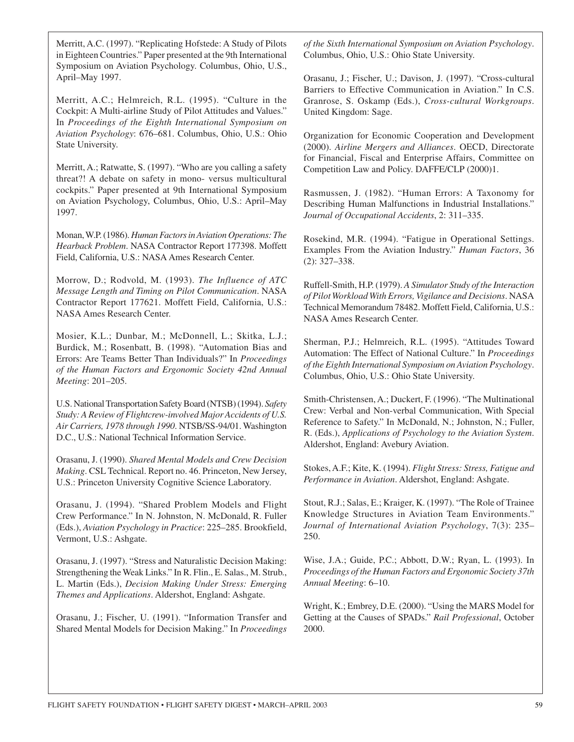Merritt, A.C. (1997). "Replicating Hofstede: A Study of Pilots in Eighteen Countries." Paper presented at the 9th International Symposium on Aviation Psychology. Columbus, Ohio, U.S., April–May 1997.

Merritt, A.C.; Helmreich, R.L. (1995). "Culture in the Cockpit: A Multi-airline Study of Pilot Attitudes and Values." In *Proceedings of the Eighth International Symposium on Aviation Psychology*: 676–681. Columbus, Ohio, U.S.: Ohio State University.

Merritt, A.; Ratwatte, S. (1997). "Who are you calling a safety threat?! A debate on safety in mono- versus multicultural cockpits." Paper presented at 9th International Symposium on Aviation Psychology, Columbus, Ohio, U.S.: April–May 1997.

Monan, W.P. (1986). *Human Factors in Aviation Operations: The Hearback Problem*. NASA Contractor Report 177398. Moffett Field, California, U.S.: NASA Ames Research Center.

Morrow, D.; Rodvold, M. (1993). *The Influence of ATC Message Length and Timing on Pilot Communication*. NASA Contractor Report 177621. Moffett Field, California, U.S.: NASA Ames Research Center.

Mosier, K.L.; Dunbar, M.; McDonnell, L.; Skitka, L.J.; Burdick, M.; Rosenbatt, B. (1998). "Automation Bias and Errors: Are Teams Better Than Individuals?" In *Proceedings of the Human Factors and Ergonomic Society 42nd Annual Meeting*: 201–205.

U.S. National Transportation Safety Board (NTSB) (1994). *Safety Study: A Review of Flightcrew-involved Major Accidents of U.S. Air Carriers, 1978 through 1990*. NTSB/SS-94/01. Washington D.C., U.S.: National Technical Information Service.

Orasanu, J. (1990). *Shared Mental Models and Crew Decision Making*. CSL Technical. Report no. 46. Princeton, New Jersey, U.S.: Princeton University Cognitive Science Laboratory.

Orasanu, J. (1994). "Shared Problem Models and Flight Crew Performance." In N. Johnston, N. McDonald, R. Fuller (Eds.), *Aviation Psychology in Practice*: 225–285. Brookfield, Vermont, U.S.: Ashgate.

Orasanu, J. (1997). "Stress and Naturalistic Decision Making: Strengthening the Weak Links." In R. Flin., E. Salas., M. Strub., L. Martin (Eds.), *Decision Making Under Stress: Emerging Themes and Applications*. Aldershot, England: Ashgate.

Orasanu, J.; Fischer, U. (1991). "Information Transfer and Shared Mental Models for Decision Making." In *Proceedings* 

*of the Sixth International Symposium on Aviation Psychology*. Columbus, Ohio, U.S.: Ohio State University.

Orasanu, J.; Fischer, U.; Davison, J. (1997). "Cross-cultural Barriers to Effective Communication in Aviation." In C.S. Granrose, S. Oskamp (Eds.), *Cross-cultural Workgroups*. United Kingdom: Sage.

Organization for Economic Cooperation and Development (2000). *Airline Mergers and Alliances*. OECD, Directorate for Financial, Fiscal and Enterprise Affairs, Committee on Competition Law and Policy. DAFFE/CLP (2000)1.

Rasmussen, J. (1982). "Human Errors: A Taxonomy for Describing Human Malfunctions in Industrial Installations." *Journal of Occupational Accidents*, 2: 311–335.

Rosekind, M.R. (1994). "Fatigue in Operational Settings. Examples From the Aviation Industry." *Human Factors*, 36 (2): 327–338.

Ruffell-Smith, H.P. (1979). *A Simulator Study of the Interaction of Pilot Workload With Errors, Vigilance and Decisions*. NASA Technical Memorandum 78482. Moffett Field, California, U.S.: NASA Ames Research Center.

Sherman, P.J.; Helmreich, R.L. (1995). "Attitudes Toward Automation: The Effect of National Culture." In *Proceedings of the Eighth International Symposium on Aviation Psychology*. Columbus, Ohio, U.S.: Ohio State University.

Smith-Christensen, A.; Duckert, F. (1996). "The Multinational Crew: Verbal and Non-verbal Communication, With Special Reference to Safety." In McDonald, N.; Johnston, N.; Fuller, R. (Eds.), *Applications of Psychology to the Aviation System*. Aldershot, England: Avebury Aviation.

Stokes, A.F.; Kite, K. (1994). *Flight Stress: Stress, Fatigue and Performance in Aviation*. Aldershot, England: Ashgate.

Stout, R.J.; Salas, E.; Kraiger, K. (1997). "The Role of Trainee Knowledge Structures in Aviation Team Environments." *Journal of International Aviation Psychology*, 7(3): 235– 250.

Wise, J.A.; Guide, P.C.; Abbott, D.W.; Ryan, L. (1993). In *Proceedings of the Human Factors and Ergonomic Society 37th Annual Meeting*: 6–10.

Wright, K.; Embrey, D.E. (2000). "Using the MARS Model for Getting at the Causes of SPADs." *Rail Professional*, October 2000.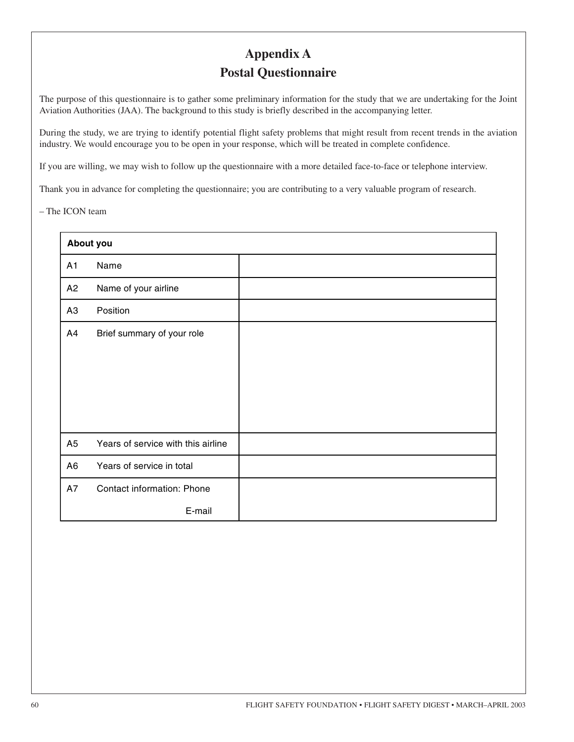# **Appendix A Postal Questionnaire**

The purpose of this questionnaire is to gather some preliminary information for the study that we are undertaking for the Joint Aviation Authorities (JAA). The background to this study is briefly described in the accompanying letter.

During the study, we are trying to identify potential flight safety problems that might result from recent trends in the aviation industry. We would encourage you to be open in your response, which will be treated in complete confidence.

If you are willing, we may wish to follow up the questionnaire with a more detailed face-to-face or telephone interview.

Thank you in advance for completing the questionnaire; you are contributing to a very valuable program of research.

– The ICON team

|                | About you                          |  |
|----------------|------------------------------------|--|
| A <sub>1</sub> | Name                               |  |
| A <sub>2</sub> | Name of your airline               |  |
| A <sub>3</sub> | Position                           |  |
| A4             | Brief summary of your role         |  |
|                |                                    |  |
|                |                                    |  |
|                |                                    |  |
|                |                                    |  |
| A <sub>5</sub> | Years of service with this airline |  |
| A <sub>6</sub> | Years of service in total          |  |
| A7             | Contact information: Phone         |  |
|                | E-mail                             |  |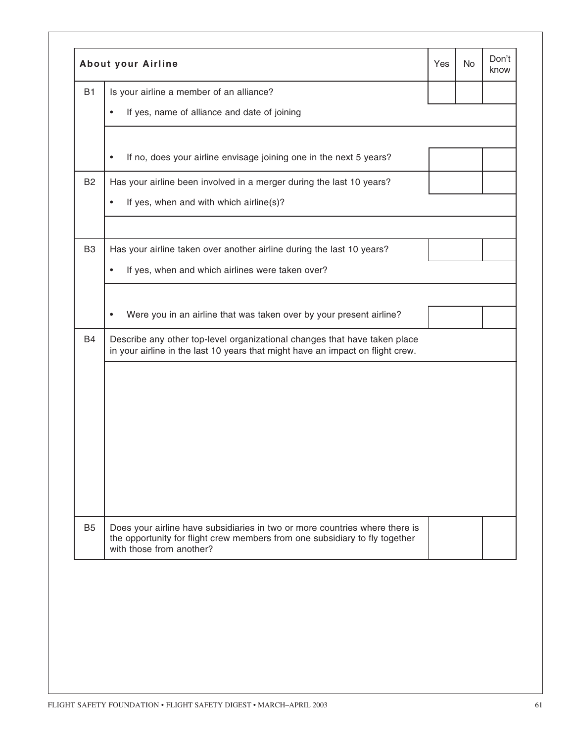|                |                                                                                                                                                                                        |  |  | know |  |  |
|----------------|----------------------------------------------------------------------------------------------------------------------------------------------------------------------------------------|--|--|------|--|--|
| <b>B1</b>      | Is your airline a member of an alliance?                                                                                                                                               |  |  |      |  |  |
|                | If yes, name of alliance and date of joining                                                                                                                                           |  |  |      |  |  |
|                | If no, does your airline envisage joining one in the next 5 years?                                                                                                                     |  |  |      |  |  |
| <b>B2</b>      | Has your airline been involved in a merger during the last 10 years?                                                                                                                   |  |  |      |  |  |
|                | If yes, when and with which airline(s)?                                                                                                                                                |  |  |      |  |  |
| B <sub>3</sub> | Has your airline taken over another airline during the last 10 years?                                                                                                                  |  |  |      |  |  |
|                | If yes, when and which airlines were taken over?                                                                                                                                       |  |  |      |  |  |
|                | Were you in an airline that was taken over by your present airline?                                                                                                                    |  |  |      |  |  |
| <b>B4</b>      | Describe any other top-level organizational changes that have taken place<br>in your airline in the last 10 years that might have an impact on flight crew.                            |  |  |      |  |  |
|                |                                                                                                                                                                                        |  |  |      |  |  |
|                |                                                                                                                                                                                        |  |  |      |  |  |
|                |                                                                                                                                                                                        |  |  |      |  |  |
|                |                                                                                                                                                                                        |  |  |      |  |  |
|                |                                                                                                                                                                                        |  |  |      |  |  |
|                |                                                                                                                                                                                        |  |  |      |  |  |
| <b>B5</b>      | Does your airline have subsidiaries in two or more countries where there is<br>the opportunity for flight crew members from one subsidiary to fly together<br>with those from another? |  |  |      |  |  |
|                |                                                                                                                                                                                        |  |  |      |  |  |
|                |                                                                                                                                                                                        |  |  |      |  |  |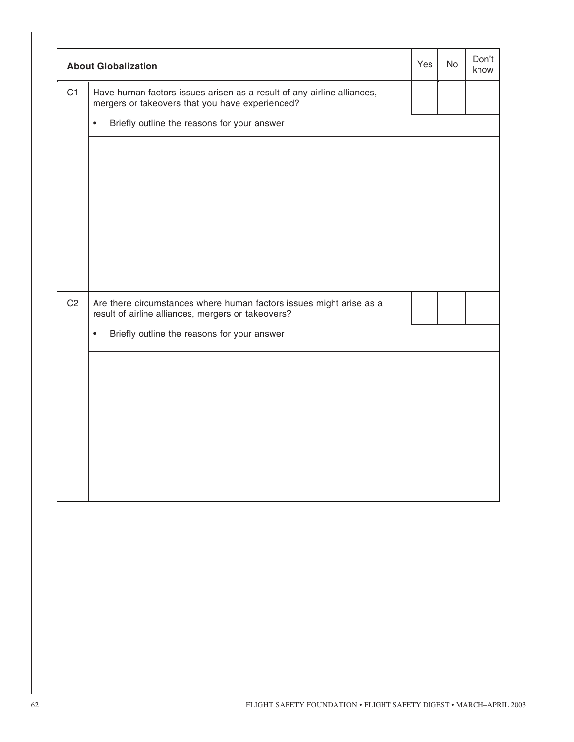|                | <b>About Globalization</b>                                                                                                | Yes | <b>No</b> | Don't<br>know |
|----------------|---------------------------------------------------------------------------------------------------------------------------|-----|-----------|---------------|
| C1             | Have human factors issues arisen as a result of any airline alliances,<br>mergers or takeovers that you have experienced? |     |           |               |
|                | Briefly outline the reasons for your answer<br>$\bullet$                                                                  |     |           |               |
|                |                                                                                                                           |     |           |               |
|                |                                                                                                                           |     |           |               |
|                |                                                                                                                           |     |           |               |
|                |                                                                                                                           |     |           |               |
|                |                                                                                                                           |     |           |               |
|                |                                                                                                                           |     |           |               |
| C <sub>2</sub> | Are there circumstances where human factors issues might arise as a result of airline alliances, mergers or takeovers?    |     |           |               |
|                | Briefly outline the reasons for your answer<br>$\bullet$                                                                  |     |           |               |
|                |                                                                                                                           |     |           |               |
|                |                                                                                                                           |     |           |               |
|                |                                                                                                                           |     |           |               |
|                |                                                                                                                           |     |           |               |
|                |                                                                                                                           |     |           |               |
|                |                                                                                                                           |     |           |               |
|                |                                                                                                                           |     |           |               |
|                |                                                                                                                           |     |           |               |
|                |                                                                                                                           |     |           |               |
|                |                                                                                                                           |     |           |               |
|                |                                                                                                                           |     |           |               |
|                |                                                                                                                           |     |           |               |
|                |                                                                                                                           |     |           |               |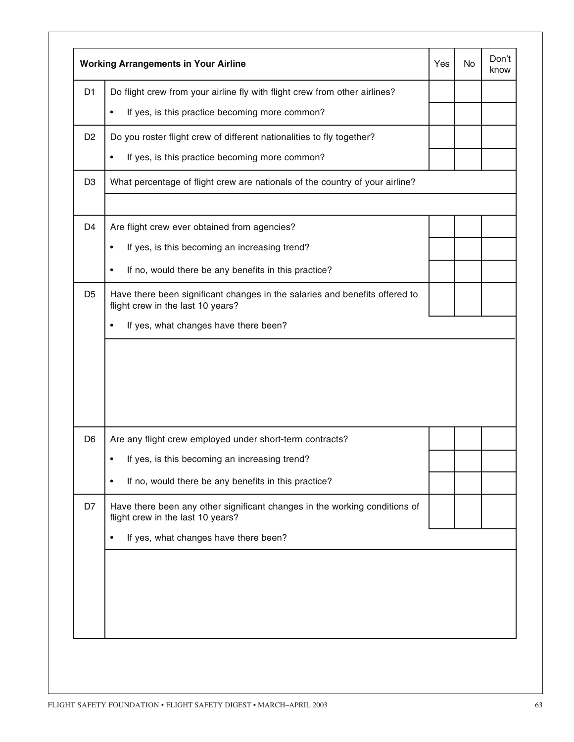|                | <b>Working Arrangements in Your Airline</b>                                                                      | Yes | No | Don't<br>know |
|----------------|------------------------------------------------------------------------------------------------------------------|-----|----|---------------|
| D <sub>1</sub> | Do flight crew from your airline fly with flight crew from other airlines?                                       |     |    |               |
|                | If yes, is this practice becoming more common?<br>٠                                                              |     |    |               |
| D <sub>2</sub> | Do you roster flight crew of different nationalities to fly together?                                            |     |    |               |
|                | If yes, is this practice becoming more common?<br>$\bullet$                                                      |     |    |               |
| D <sub>3</sub> | What percentage of flight crew are nationals of the country of your airline?                                     |     |    |               |
| D <sub>4</sub> | Are flight crew ever obtained from agencies?                                                                     |     |    |               |
|                | If yes, is this becoming an increasing trend?<br>٠                                                               |     |    |               |
|                | If no, would there be any benefits in this practice?<br>$\bullet$                                                |     |    |               |
| D <sub>5</sub> | Have there been significant changes in the salaries and benefits offered to<br>flight crew in the last 10 years? |     |    |               |
|                | If yes, what changes have there been?                                                                            |     |    |               |
|                |                                                                                                                  |     |    |               |
|                |                                                                                                                  |     |    |               |
| D <sub>6</sub> | Are any flight crew employed under short-term contracts?                                                         |     |    |               |
|                | If yes, is this becoming an increasing trend?                                                                    |     |    |               |
|                | If no, would there be any benefits in this practice?                                                             |     |    |               |
| D7             | Have there been any other significant changes in the working conditions of<br>flight crew in the last 10 years?  |     |    |               |
|                | If yes, what changes have there been?                                                                            |     |    |               |
|                |                                                                                                                  |     |    |               |
|                |                                                                                                                  |     |    |               |
|                |                                                                                                                  |     |    |               |
|                |                                                                                                                  |     |    |               |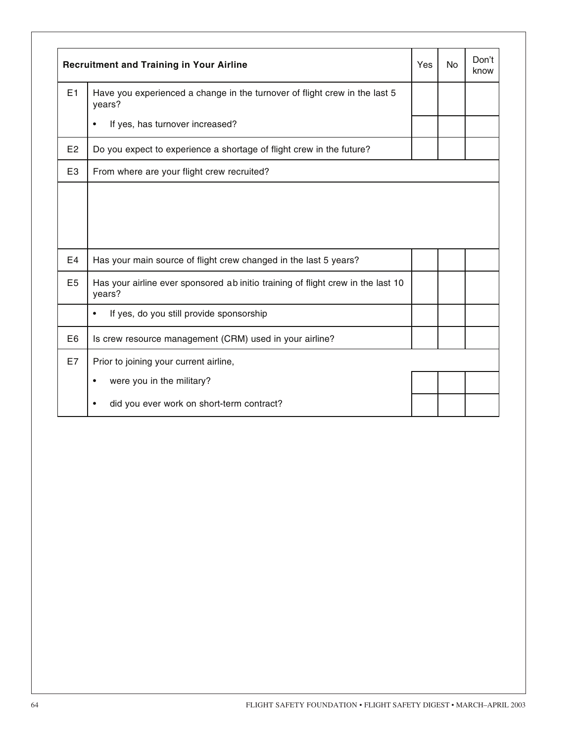|                | <b>Recruitment and Training in Your Airline</b>                                            | Yes | <b>No</b> | Don't<br>know |
|----------------|--------------------------------------------------------------------------------------------|-----|-----------|---------------|
| E1             | Have you experienced a change in the turnover of flight crew in the last 5<br>years?       |     |           |               |
|                | If yes, has turnover increased?                                                            |     |           |               |
| E <sub>2</sub> | Do you expect to experience a shortage of flight crew in the future?                       |     |           |               |
| E <sub>3</sub> | From where are your flight crew recruited?                                                 |     |           |               |
|                |                                                                                            |     |           |               |
|                |                                                                                            |     |           |               |
| E <sub>4</sub> |                                                                                            |     |           |               |
|                | Has your main source of flight crew changed in the last 5 years?                           |     |           |               |
| E <sub>5</sub> | Has your airline ever sponsored ab initio training of flight crew in the last 10<br>years? |     |           |               |
|                | If yes, do you still provide sponsorship<br>٠                                              |     |           |               |
| E6             | Is crew resource management (CRM) used in your airline?                                    |     |           |               |
| E7             | Prior to joining your current airline,                                                     |     |           |               |
|                | were you in the military?<br>٠                                                             |     |           |               |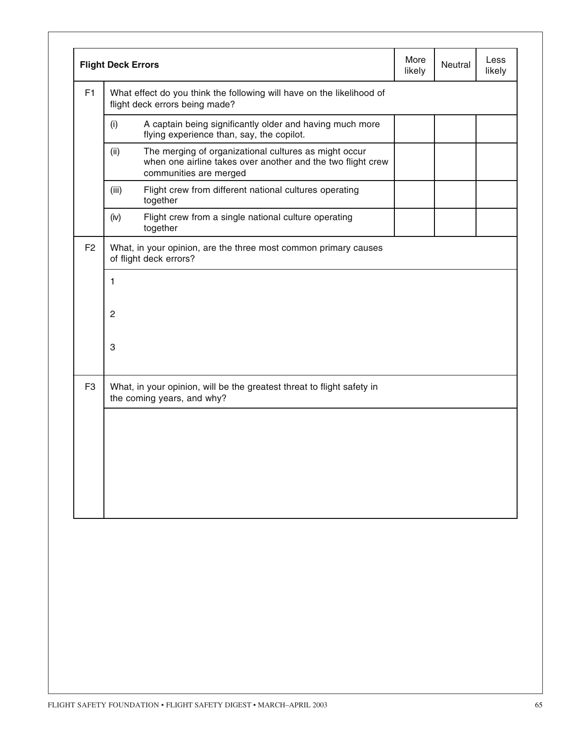|                | <b>Flight Deck Errors</b>                                                                               |                                                                                                                                                | More<br>likely | Neutral | Less<br>likely |  |
|----------------|---------------------------------------------------------------------------------------------------------|------------------------------------------------------------------------------------------------------------------------------------------------|----------------|---------|----------------|--|
| F1             | What effect do you think the following will have on the likelihood of<br>flight deck errors being made? |                                                                                                                                                |                |         |                |  |
|                | (i)                                                                                                     | A captain being significantly older and having much more<br>flying experience than, say, the copilot.                                          |                |         |                |  |
|                | (ii)                                                                                                    | The merging of organizational cultures as might occur<br>when one airline takes over another and the two flight crew<br>communities are merged |                |         |                |  |
|                | (iii)                                                                                                   | Flight crew from different national cultures operating<br>together                                                                             |                |         |                |  |
|                | (iv)                                                                                                    | Flight crew from a single national culture operating<br>together                                                                               |                |         |                |  |
| F <sub>2</sub> |                                                                                                         | What, in your opinion, are the three most common primary causes<br>of flight deck errors?                                                      |                |         |                |  |
|                | 1                                                                                                       |                                                                                                                                                |                |         |                |  |
|                | $\overline{2}$                                                                                          |                                                                                                                                                |                |         |                |  |
|                | 3                                                                                                       |                                                                                                                                                |                |         |                |  |
| F <sub>3</sub> |                                                                                                         | What, in your opinion, will be the greatest threat to flight safety in<br>the coming years, and why?                                           |                |         |                |  |
|                |                                                                                                         |                                                                                                                                                |                |         |                |  |
|                |                                                                                                         |                                                                                                                                                |                |         |                |  |
|                |                                                                                                         |                                                                                                                                                |                |         |                |  |
|                |                                                                                                         |                                                                                                                                                |                |         |                |  |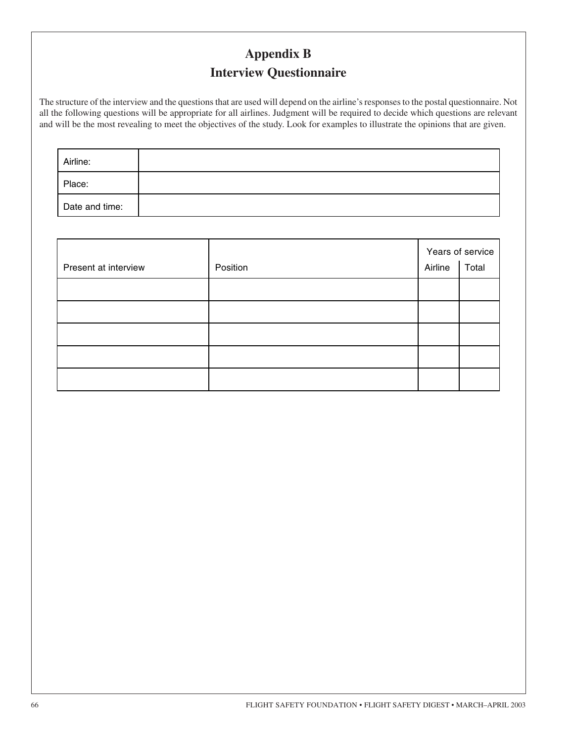# **Appendix B Interview Questionnaire**

The structure of the interview and the questions that are used will depend on the airline's responses to the postal questionnaire. Not all the following questions will be appropriate for all airlines. Judgment will be required to decide which questions are relevant and will be the most revealing to meet the objectives of the study. Look for examples to illustrate the opinions that are given.

| Airline:       |  |  |
|----------------|--|--|
| Place:         |  |  |
| Date and time: |  |  |

| Present at interview | Position | Airline | Years of service<br>Total |
|----------------------|----------|---------|---------------------------|
|                      |          |         |                           |
|                      |          |         |                           |
|                      |          |         |                           |
|                      |          |         |                           |
|                      |          |         |                           |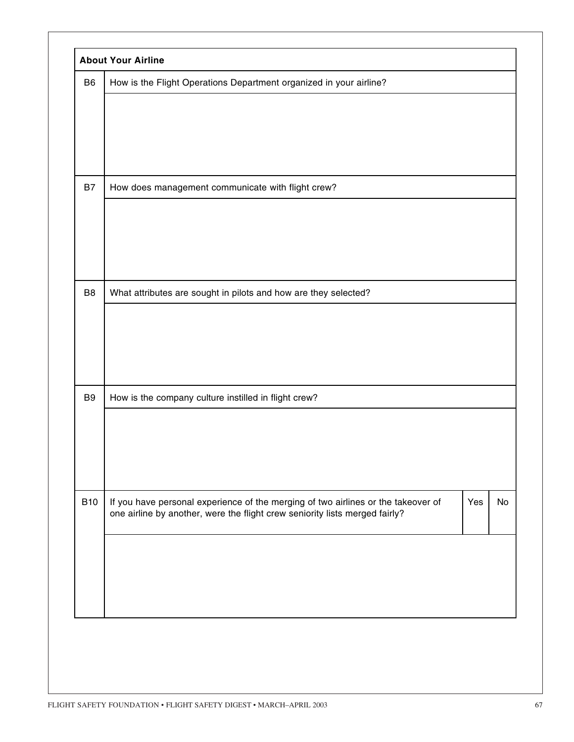| B <sub>6</sub> | How is the Flight Operations Department organized in your airline?                                                                                               |     |    |
|----------------|------------------------------------------------------------------------------------------------------------------------------------------------------------------|-----|----|
|                |                                                                                                                                                                  |     |    |
|                |                                                                                                                                                                  |     |    |
| <b>B7</b>      | How does management communicate with flight crew?                                                                                                                |     |    |
|                |                                                                                                                                                                  |     |    |
|                |                                                                                                                                                                  |     |    |
| B <sub>8</sub> | What attributes are sought in pilots and how are they selected?                                                                                                  |     |    |
|                |                                                                                                                                                                  |     |    |
|                |                                                                                                                                                                  |     |    |
| B <sub>9</sub> | How is the company culture instilled in flight crew?                                                                                                             |     |    |
|                |                                                                                                                                                                  |     |    |
|                |                                                                                                                                                                  |     |    |
| <b>B10</b>     | If you have personal experience of the merging of two airlines or the takeover of<br>one airline by another, were the flight crew seniority lists merged fairly? | Yes | No |
|                |                                                                                                                                                                  |     |    |
|                |                                                                                                                                                                  |     |    |
|                |                                                                                                                                                                  |     |    |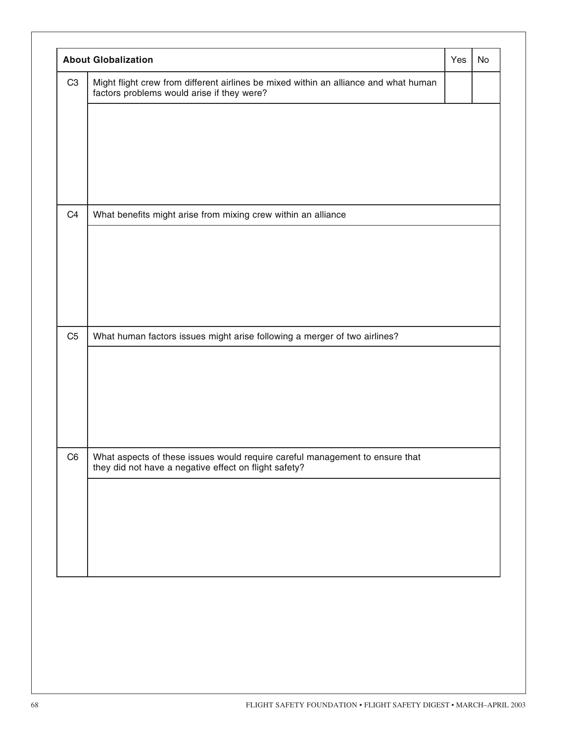|                | <b>About Globalization</b>                                                                                                         | Yes | <b>No</b> |
|----------------|------------------------------------------------------------------------------------------------------------------------------------|-----|-----------|
| C <sub>3</sub> | Might flight crew from different airlines be mixed within an alliance and what human<br>factors problems would arise if they were? |     |           |
| C <sub>4</sub> | What benefits might arise from mixing crew within an alliance                                                                      |     |           |
| C <sub>5</sub> | What human factors issues might arise following a merger of two airlines?                                                          |     |           |
|                |                                                                                                                                    |     |           |
| C <sub>6</sub> | What aspects of these issues would require careful management to ensure that they did not have a negative effect on flight safety? |     |           |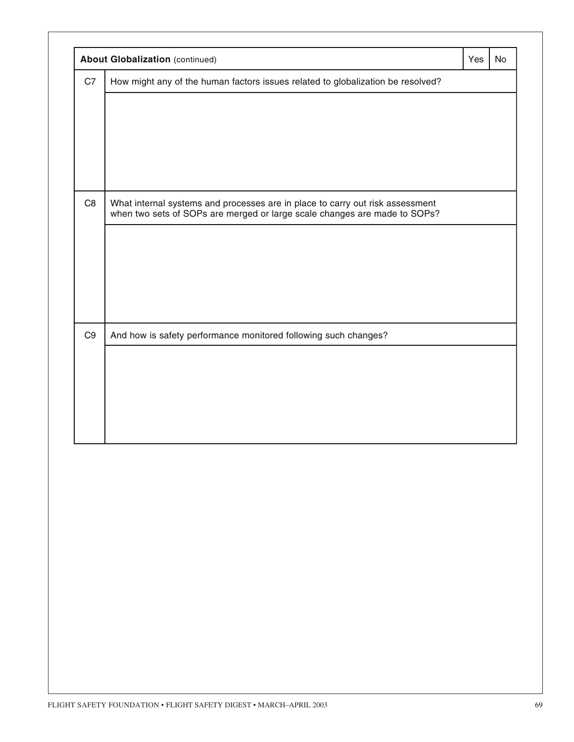|                | <b>About Globalization (continued)</b>                                                                                                                     | Yes | <b>No</b> |
|----------------|------------------------------------------------------------------------------------------------------------------------------------------------------------|-----|-----------|
| C7             | How might any of the human factors issues related to globalization be resolved?                                                                            |     |           |
|                |                                                                                                                                                            |     |           |
| C <sub>8</sub> | What internal systems and processes are in place to carry out risk assessment<br>when two sets of SOPs are merged or large scale changes are made to SOPs? |     |           |
|                |                                                                                                                                                            |     |           |
|                |                                                                                                                                                            |     |           |
| C <sub>9</sub> | And how is safety performance monitored following such changes?                                                                                            |     |           |
|                |                                                                                                                                                            |     |           |
|                |                                                                                                                                                            |     |           |
|                |                                                                                                                                                            |     |           |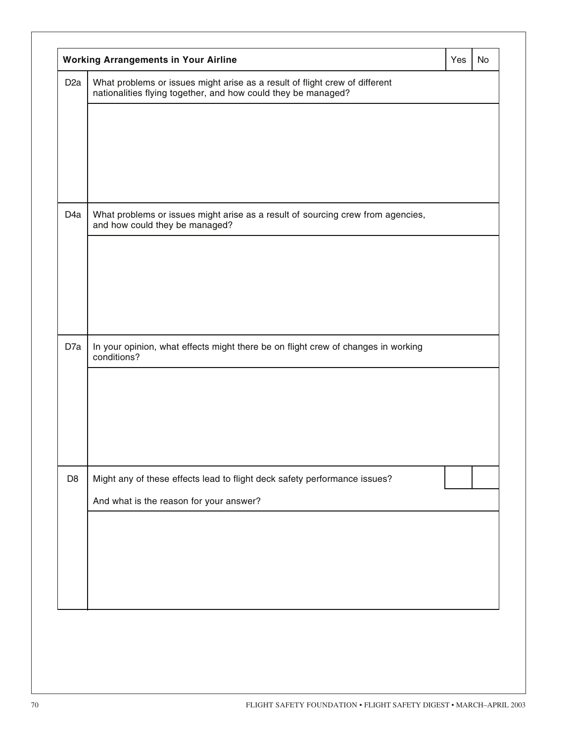| D <sub>2</sub> a | What problems or issues might arise as a result of flight crew of different<br>nationalities flying together, and how could they be managed? |  |  |
|------------------|----------------------------------------------------------------------------------------------------------------------------------------------|--|--|
|                  |                                                                                                                                              |  |  |
|                  |                                                                                                                                              |  |  |
| D <sub>4</sub> a | What problems or issues might arise as a result of sourcing crew from agencies,<br>and how could they be managed?                            |  |  |
|                  |                                                                                                                                              |  |  |
|                  |                                                                                                                                              |  |  |
| D7a              | In your opinion, what effects might there be on flight crew of changes in working<br>conditions?                                             |  |  |
|                  |                                                                                                                                              |  |  |
|                  |                                                                                                                                              |  |  |
| D <sub>8</sub>   | Might any of these effects lead to flight deck safety performance issues?                                                                    |  |  |
|                  | And what is the reason for your answer?                                                                                                      |  |  |
|                  |                                                                                                                                              |  |  |
|                  |                                                                                                                                              |  |  |
|                  |                                                                                                                                              |  |  |
|                  |                                                                                                                                              |  |  |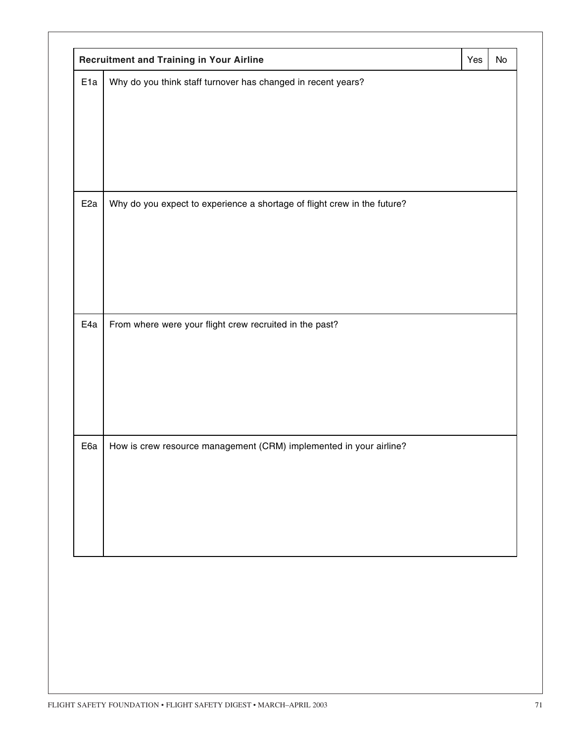| E <sub>1a</sub> | Why do you think staff turnover has changed in recent years?             |  |
|-----------------|--------------------------------------------------------------------------|--|
|                 |                                                                          |  |
|                 |                                                                          |  |
|                 |                                                                          |  |
|                 |                                                                          |  |
|                 |                                                                          |  |
|                 |                                                                          |  |
|                 |                                                                          |  |
| E <sub>2a</sub> | Why do you expect to experience a shortage of flight crew in the future? |  |
|                 |                                                                          |  |
|                 |                                                                          |  |
|                 |                                                                          |  |
|                 |                                                                          |  |
|                 |                                                                          |  |
|                 |                                                                          |  |
|                 |                                                                          |  |
| E4a             | From where were your flight crew recruited in the past?                  |  |
|                 |                                                                          |  |
|                 |                                                                          |  |
|                 |                                                                          |  |
|                 |                                                                          |  |
|                 |                                                                          |  |
|                 |                                                                          |  |
|                 |                                                                          |  |
| E6a             | How is crew resource management (CRM) implemented in your airline?       |  |
|                 |                                                                          |  |
|                 |                                                                          |  |
|                 |                                                                          |  |
|                 |                                                                          |  |
|                 |                                                                          |  |
|                 |                                                                          |  |
|                 |                                                                          |  |
|                 |                                                                          |  |
|                 |                                                                          |  |
|                 |                                                                          |  |
|                 |                                                                          |  |
|                 |                                                                          |  |
|                 |                                                                          |  |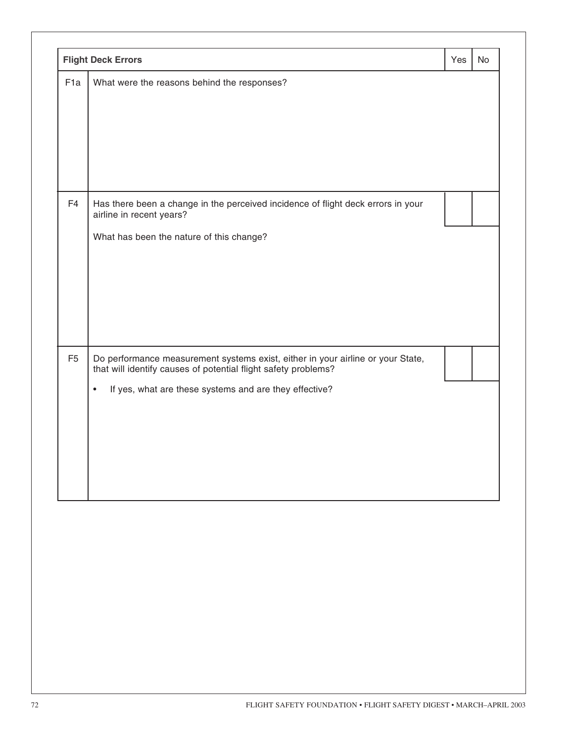|                 | <b>Flight Deck Errors</b>                                                                                                                                                                                                | Yes | No |
|-----------------|--------------------------------------------------------------------------------------------------------------------------------------------------------------------------------------------------------------------------|-----|----|
| F <sub>1a</sub> | What were the reasons behind the responses?                                                                                                                                                                              |     |    |
| F <sub>4</sub>  | Has there been a change in the perceived incidence of flight deck errors in your<br>airline in recent years?<br>What has been the nature of this change?                                                                 |     |    |
| F <sub>5</sub>  | Do performance measurement systems exist, either in your airline or your State,<br>that will identify causes of potential flight safety problems?<br>If yes, what are these systems and are they effective?<br>$\bullet$ |     |    |
|                 |                                                                                                                                                                                                                          |     |    |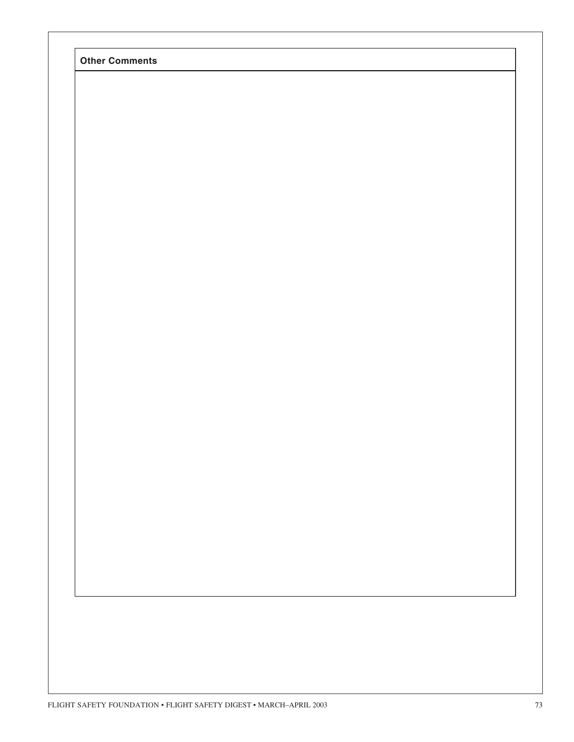|  | <b>Other Comments</b> |
|--|-----------------------|
|--|-----------------------|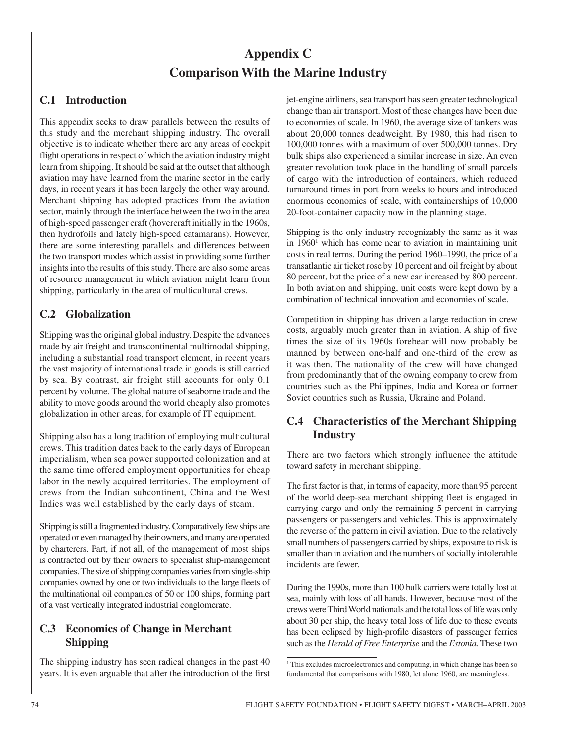# **Appendix C Comparison With the Marine Industry**

#### **C.1 Introduction**

This appendix seeks to draw parallels between the results of this study and the merchant shipping industry. The overall objective is to indicate whether there are any areas of cockpit flight operations in respect of which the aviation industry might learn from shipping. It should be said at the outset that although aviation may have learned from the marine sector in the early days, in recent years it has been largely the other way around. Merchant shipping has adopted practices from the aviation sector, mainly through the interface between the two in the area of high-speed passenger craft (hovercraft initially in the 1960s, then hydrofoils and lately high-speed catamarans). However, there are some interesting parallels and differences between the two transport modes which assist in providing some further insights into the results of this study. There are also some areas of resource management in which aviation might learn from shipping, particularly in the area of multicultural crews.

#### **C.2 Globalization**

Shipping was the original global industry. Despite the advances made by air freight and transcontinental multimodal shipping, including a substantial road transport element, in recent years the vast majority of international trade in goods is still carried by sea. By contrast, air freight still accounts for only 0.1 percent by volume. The global nature of seaborne trade and the ability to move goods around the world cheaply also promotes globalization in other areas, for example of IT equipment.

Shipping also has a long tradition of employing multicultural crews. This tradition dates back to the early days of European imperialism, when sea power supported colonization and at the same time offered employment opportunities for cheap labor in the newly acquired territories. The employment of crews from the Indian subcontinent, China and the West Indies was well established by the early days of steam.

Shipping is still a fragmented industry. Comparatively few ships are operated or even managed by their owners, and many are operated by charterers. Part, if not all, of the management of most ships is contracted out by their owners to specialist ship-management companies. The size of shipping companies varies from single-ship companies owned by one or two individuals to the large fleets of the multinational oil companies of 50 or 100 ships, forming part of a vast vertically integrated industrial conglomerate.

#### **C.3 Economics of Change in Merchant Shipping**

The shipping industry has seen radical changes in the past 40 years. It is even arguable that after the introduction of the first jet-engine airliners, sea transport has seen greater technological change than air transport. Most of these changes have been due to economies of scale. In 1960, the average size of tankers was about 20,000 tonnes deadweight. By 1980, this had risen to 100,000 tonnes with a maximum of over 500,000 tonnes. Dry bulk ships also experienced a similar increase in size. An even greater revolution took place in the handling of small parcels of cargo with the introduction of containers, which reduced turnaround times in port from weeks to hours and introduced enormous economies of scale, with containerships of 10,000 20-foot-container capacity now in the planning stage.

Shipping is the only industry recognizably the same as it was in  $1960<sup>1</sup>$  which has come near to aviation in maintaining unit costs in real terms. During the period 1960–1990, the price of a transatlantic air ticket rose by 10 percent and oil freight by about 80 percent, but the price of a new car increased by 800 percent. In both aviation and shipping, unit costs were kept down by a combination of technical innovation and economies of scale.

Competition in shipping has driven a large reduction in crew costs, arguably much greater than in aviation. A ship of five times the size of its 1960s forebear will now probably be manned by between one-half and one-third of the crew as it was then. The nationality of the crew will have changed from predominantly that of the owning company to crew from countries such as the Philippines, India and Korea or former Soviet countries such as Russia, Ukraine and Poland.

#### **C.4 Characteristics of the Merchant Shipping Industry**

There are two factors which strongly influence the attitude toward safety in merchant shipping.

The first factor is that, in terms of capacity, more than 95 percent of the world deep-sea merchant shipping fleet is engaged in carrying cargo and only the remaining 5 percent in carrying passengers or passengers and vehicles. This is approximately the reverse of the pattern in civil aviation. Due to the relatively small numbers of passengers carried by ships, exposure to risk is smaller than in aviation and the numbers of socially intolerable incidents are fewer.

During the 1990s, more than 100 bulk carriers were totally lost at sea, mainly with loss of all hands. However, because most of the crews were Third World nationals and the total loss of life was only about 30 per ship, the heavy total loss of life due to these events has been eclipsed by high-profile disasters of passenger ferries such as the *Herald of Free Enterprise* and the *Estonia*. These two

<sup>&</sup>lt;sup>1</sup> This excludes microelectronics and computing, in which change has been so fundamental that comparisons with 1980, let alone 1960, are meaningless.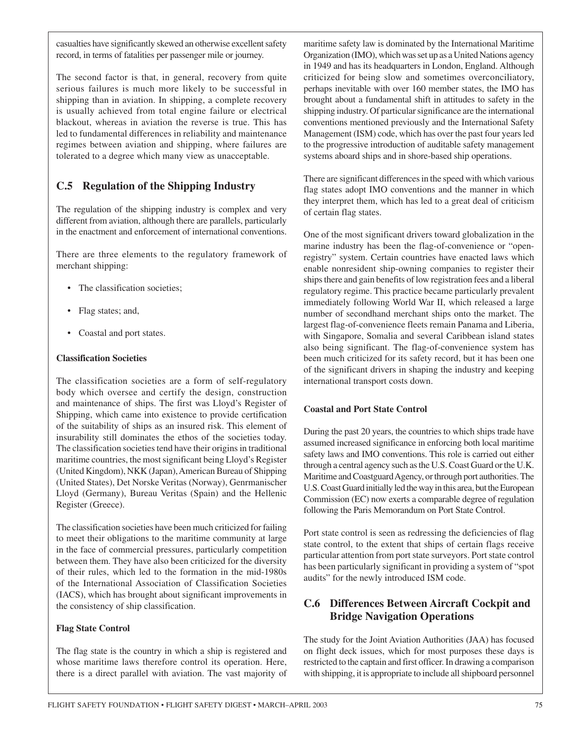casualties have significantly skewed an otherwise excellent safety record, in terms of fatalities per passenger mile or journey.

The second factor is that, in general, recovery from quite serious failures is much more likely to be successful in shipping than in aviation. In shipping, a complete recovery is usually achieved from total engine failure or electrical blackout, whereas in aviation the reverse is true. This has led to fundamental differences in reliability and maintenance regimes between aviation and shipping, where failures are tolerated to a degree which many view as unacceptable.

#### **C.5 Regulation of the Shipping Industry**

The regulation of the shipping industry is complex and very different from aviation, although there are parallels, particularly in the enactment and enforcement of international conventions.

There are three elements to the regulatory framework of merchant shipping:

- The classification societies;
- Flag states; and,
- Coastal and port states.

#### **Classification Societies**

The classification societies are a form of self-regulatory body which oversee and certify the design, construction and maintenance of ships. The first was Lloyd's Register of Shipping, which came into existence to provide certification of the suitability of ships as an insured risk. This element of insurability still dominates the ethos of the societies today. The classification societies tend have their origins in traditional maritime countries, the most significant being Lloyd's Register (United Kingdom), NKK (Japan), American Bureau of Shipping (United States), Det Norske Veritas (Norway), Genrmanischer Lloyd (Germany), Bureau Veritas (Spain) and the Hellenic Register (Greece).

The classification societies have been much criticized for failing to meet their obligations to the maritime community at large in the face of commercial pressures, particularly competition between them. They have also been criticized for the diversity of their rules, which led to the formation in the mid-1980s of the International Association of Classification Societies (IACS), which has brought about significant improvements in the consistency of ship classification.

#### **Flag State Control**

The flag state is the country in which a ship is registered and whose maritime laws therefore control its operation. Here, there is a direct parallel with aviation. The vast majority of maritime safety law is dominated by the International Maritime Organization (IMO), which was set up as a United Nations agency in 1949 and has its headquarters in London, England. Although criticized for being slow and sometimes overconciliatory, perhaps inevitable with over 160 member states, the IMO has brought about a fundamental shift in attitudes to safety in the shipping industry. Of particular significance are the international conventions mentioned previously and the International Safety Management (ISM) code, which has over the past four years led to the progressive introduction of auditable safety management systems aboard ships and in shore-based ship operations.

There are significant differences in the speed with which various flag states adopt IMO conventions and the manner in which they interpret them, which has led to a great deal of criticism of certain flag states.

One of the most significant drivers toward globalization in the marine industry has been the flag-of-convenience or "openregistry" system. Certain countries have enacted laws which enable nonresident ship-owning companies to register their ships there and gain benefits of low registration fees and a liberal regulatory regime. This practice became particularly prevalent immediately following World War II, which released a large number of secondhand merchant ships onto the market. The largest flag-of-convenience fleets remain Panama and Liberia, with Singapore, Somalia and several Caribbean island states also being significant. The flag-of-convenience system has been much criticized for its safety record, but it has been one of the significant drivers in shaping the industry and keeping international transport costs down.

#### **Coastal and Port State Control**

During the past 20 years, the countries to which ships trade have assumed increased significance in enforcing both local maritime safety laws and IMO conventions. This role is carried out either through a central agency such as the U.S. Coast Guard or the U.K. Maritime and Coastguard Agency, or through port authorities. The U.S. Coast Guard initially led the way in this area, but the European Commission (EC) now exerts a comparable degree of regulation following the Paris Memorandum on Port State Control.

Port state control is seen as redressing the deficiencies of flag state control, to the extent that ships of certain flags receive particular attention from port state surveyors. Port state control has been particularly significant in providing a system of "spot audits" for the newly introduced ISM code.

#### **C.6 Differences Between Aircraft Cockpit and Bridge Navigation Operations**

The study for the Joint Aviation Authorities (JAA) has focused on flight deck issues, which for most purposes these days is restricted to the captain and first officer. In drawing a comparison with shipping, it is appropriate to include all shipboard personnel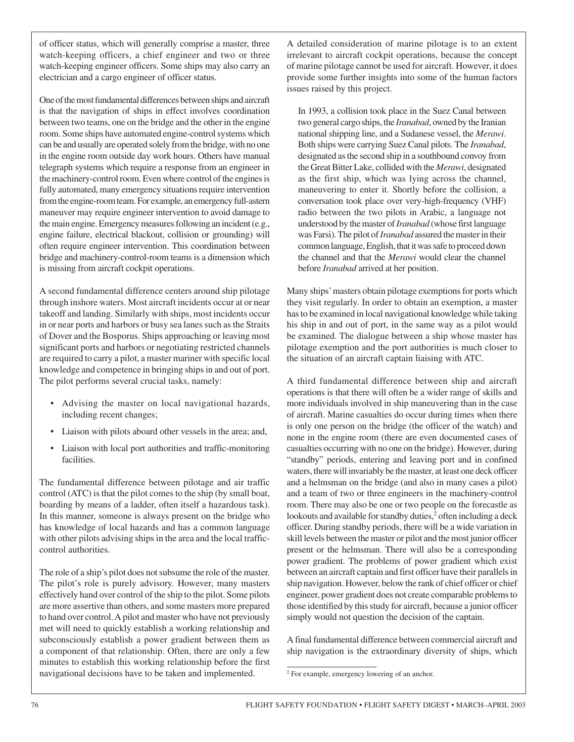of officer status, which will generally comprise a master, three watch-keeping officers, a chief engineer and two or three watch-keeping engineer officers. Some ships may also carry an electrician and a cargo engineer of officer status.

One of the most fundamental differences between ships and aircraft is that the navigation of ships in effect involves coordination between two teams, one on the bridge and the other in the engine room. Some ships have automated engine-control systems which can be and usually are operated solely from the bridge, with no one in the engine room outside day work hours. Others have manual telegraph systems which require a response from an engineer in the machinery-control room. Even where control of the engines is fully automated, many emergency situations require intervention from the engine-room team. For example, an emergency full-astern maneuver may require engineer intervention to avoid damage to the main engine. Emergency measures following an incident (e.g., engine failure, electrical blackout, collision or grounding) will often require engineer intervention. This coordination between bridge and machinery-control-room teams is a dimension which is missing from aircraft cockpit operations.

A second fundamental difference centers around ship pilotage through inshore waters. Most aircraft incidents occur at or near takeoff and landing. Similarly with ships, most incidents occur in or near ports and harbors or busy sea lanes such as the Straits of Dover and the Bosporus. Ships approaching or leaving most significant ports and harbors or negotiating restricted channels are required to carry a pilot, a master mariner with specific local knowledge and competence in bringing ships in and out of port. The pilot performs several crucial tasks, namely:

- Advising the master on local navigational hazards, including recent changes;
- Liaison with pilots aboard other vessels in the area; and,
- Liaison with local port authorities and traffic-monitoring facilities.

The fundamental difference between pilotage and air traffic control (ATC) is that the pilot comes to the ship (by small boat, boarding by means of a ladder, often itself a hazardous task). In this manner, someone is always present on the bridge who has knowledge of local hazards and has a common language with other pilots advising ships in the area and the local trafficcontrol authorities.

The role of a ship's pilot does not subsume the role of the master. The pilot's role is purely advisory. However, many masters effectively hand over control of the ship to the pilot. Some pilots are more assertive than others, and some masters more prepared to hand over control. A pilot and master who have not previously met will need to quickly establish a working relationship and subconsciously establish a power gradient between them as a component of that relationship. Often, there are only a few minutes to establish this working relationship before the first navigational decisions have to be taken and implemented.

A detailed consideration of marine pilotage is to an extent irrelevant to aircraft cockpit operations, because the concept of marine pilotage cannot be used for aircraft. However, it does provide some further insights into some of the human factors issues raised by this project.

In 1993, a collision took place in the Suez Canal between two general cargo ships, the *Iranabad*, owned by the Iranian national shipping line, and a Sudanese vessel, the *Merawi*. Both ships were carrying Suez Canal pilots. The *Iranabad*, designated as the second ship in a southbound convoy from the Great Bitter Lake, collided with the *Merawi*, designated as the first ship, which was lying across the channel, maneuvering to enter it. Shortly before the collision, a conversation took place over very-high-frequency (VHF) radio between the two pilots in Arabic, a language not understood by the master of *Iranabad* (whose first language was Farsi). The pilot of *Iranabad* assured the master in their common language, English, that it was safe to proceed down the channel and that the *Merawi* would clear the channel before *Iranabad* arrived at her position.

Many ships' masters obtain pilotage exemptions for ports which they visit regularly. In order to obtain an exemption, a master has to be examined in local navigational knowledge while taking his ship in and out of port, in the same way as a pilot would be examined. The dialogue between a ship whose master has pilotage exemption and the port authorities is much closer to the situation of an aircraft captain liaising with ATC.

A third fundamental difference between ship and aircraft operations is that there will often be a wider range of skills and more individuals involved in ship maneuvering than in the case of aircraft. Marine casualties do occur during times when there is only one person on the bridge (the officer of the watch) and none in the engine room (there are even documented cases of casualties occurring with no one on the bridge). However, during "standby" periods, entering and leaving port and in confined waters, there will invariably be the master, at least one deck officer and a helmsman on the bridge (and also in many cases a pilot) and a team of two or three engineers in the machinery-control room. There may also be one or two people on the forecastle as lookouts and available for standby duties,<sup>2</sup> often including a deck officer. During standby periods, there will be a wide variation in skill levels between the master or pilot and the most junior officer present or the helmsman. There will also be a corresponding power gradient. The problems of power gradient which exist between an aircraft captain and first officer have their parallels in ship navigation. However, below the rank of chief officer or chief engineer, power gradient does not create comparable problems to those identified by this study for aircraft, because a junior officer simply would not question the decision of the captain.

A final fundamental difference between commercial aircraft and ship navigation is the extraordinary diversity of ships, which

<sup>2</sup> For example, emergency lowering of an anchor.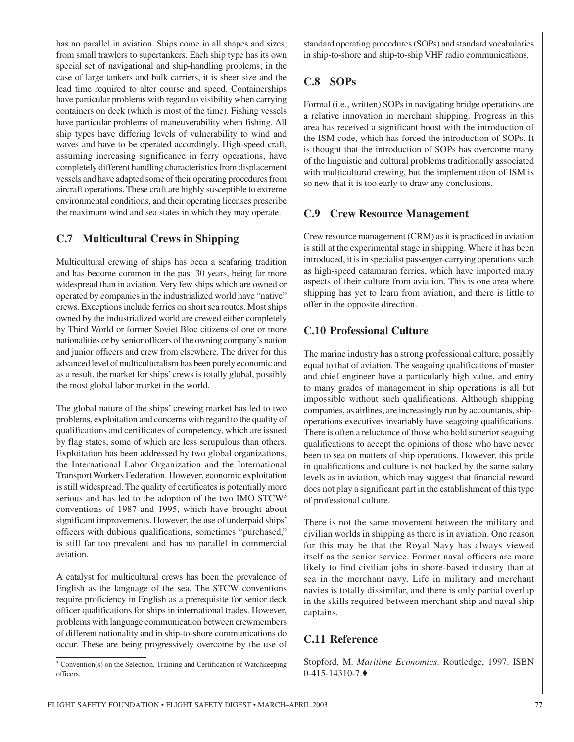has no parallel in aviation. Ships come in all shapes and sizes, from small trawlers to supertankers. Each ship type has its own special set of navigational and ship-handling problems; in the case of large tankers and bulk carriers, it is sheer size and the lead time required to alter course and speed. Containerships have particular problems with regard to visibility when carrying containers on deck (which is most of the time). Fishing vessels have particular problems of maneuverability when fishing. All ship types have differing levels of vulnerability to wind and waves and have to be operated accordingly. High-speed craft, assuming increasing significance in ferry operations, have completely different handling characteristics from displacement vessels and have adapted some of their operating procedures from aircraft operations. These craft are highly susceptible to extreme environmental conditions, and their operating licenses prescribe the maximum wind and sea states in which they may operate.

#### **C.7 Multicultural Crews in Shipping**

Multicultural crewing of ships has been a seafaring tradition and has become common in the past 30 years, being far more widespread than in aviation. Very few ships which are owned or operated by companies in the industrialized world have "native" crews. Exceptions include ferries on short sea routes. Most ships owned by the industrialized world are crewed either completely by Third World or former Soviet Bloc citizens of one or more nationalities or by senior officers of the owning company's nation and junior officers and crew from elsewhere. The driver for this advanced level of multiculturalism has been purely economic and as a result, the market for ships' crews is totally global, possibly the most global labor market in the world.

The global nature of the ships' crewing market has led to two problems, exploitation and concerns with regard to the quality of qualifications and certificates of competency, which are issued by flag states, some of which are less scrupulous than others. Exploitation has been addressed by two global organizations, the International Labor Organization and the International Transport Workers Federation. However, economic exploitation is still widespread. The quality of certificates is potentially more serious and has led to the adoption of the two IMO STCW3 conventions of 1987 and 1995, which have brought about significant improvements. However, the use of underpaid ships' officers with dubious qualifications, sometimes "purchased," is still far too prevalent and has no parallel in commercial aviation.

A catalyst for multicultural crews has been the prevalence of English as the language of the sea. The STCW conventions require proficiency in English as a prerequisite for senior deck officer qualifications for ships in international trades. However, problems with language communication between crewmembers of different nationality and in ship-to-shore communications do occur. These are being progressively overcome by the use of

<sup>3</sup> Convention(s) on the Selection, Training and Certification of Watchkeeping officers.

standard operating procedures (SOPs) and standard vocabularies in ship-to-shore and ship-to-ship VHF radio communications.

#### **C.8 SOPs**

Formal (i.e., written) SOPs in navigating bridge operations are a relative innovation in merchant shipping. Progress in this area has received a significant boost with the introduction of the ISM code, which has forced the introduction of SOPs. It is thought that the introduction of SOPs has overcome many of the linguistic and cultural problems traditionally associated with multicultural crewing, but the implementation of ISM is so new that it is too early to draw any conclusions.

#### **C.9 Crew Resource Management**

Crew resource management (CRM) as it is practiced in aviation is still at the experimental stage in shipping. Where it has been introduced, it is in specialist passenger-carrying operations such as high-speed catamaran ferries, which have imported many aspects of their culture from aviation. This is one area where shipping has yet to learn from aviation, and there is little to offer in the opposite direction.

#### **C.10 Professional Culture**

The marine industry has a strong professional culture, possibly equal to that of aviation. The seagoing qualifications of master and chief engineer have a particularly high value, and entry to many grades of management in ship operations is all but impossible without such qualifications. Although shipping companies, as airlines, are increasingly run by accountants, shipoperations executives invariably have seagoing qualifications. There is often a reluctance of those who hold superior seagoing qualifications to accept the opinions of those who have never been to sea on matters of ship operations. However, this pride in qualifications and culture is not backed by the same salary levels as in aviation, which may suggest that financial reward does not play a significant part in the establishment of this type of professional culture.

There is not the same movement between the military and civilian worlds in shipping as there is in aviation. One reason for this may be that the Royal Navy has always viewed itself as the senior service. Former naval officers are more likely to find civilian jobs in shore-based industry than at sea in the merchant navy. Life in military and merchant navies is totally dissimilar, and there is only partial overlap in the skills required between merchant ship and naval ship captains.

#### **C.11 Reference**

Stopford, M. *Maritime Economics*. Routledge, 1997. ISBN 0-415-14310-7.♦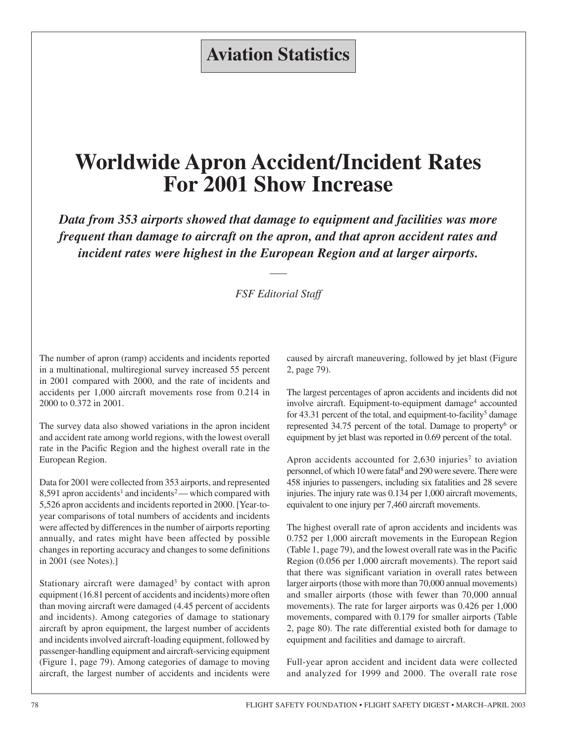# **Aviation Statistics**

# **Worldwide Apron Accident/Incident Rates For 2001 Show Increase**

*Data from 353 airports showed that damage to equipment and facilities was more frequent than damage to aircraft on the apron, and that apron accident rates and incident rates were highest in the European Region and at larger airports.*

#### *FSF Editorial Staff*

The number of apron (ramp) accidents and incidents reported in a multinational, multiregional survey increased 55 percent in 2001 compared with 2000, and the rate of incidents and accidents per 1,000 aircraft movements rose from 0.214 in 2000 to 0.372 in 2001.

The survey data also showed variations in the apron incident and accident rate among world regions, with the lowest overall rate in the Pacific Region and the highest overall rate in the European Region.

Data for 2001 were collected from 353 airports, and represented 8,591 apron accidents<sup>1</sup> and incidents<sup>2</sup> — which compared with 5,526 apron accidents and incidents reported in 2000. [Year-toyear comparisons of total numbers of accidents and incidents were affected by differences in the number of airports reporting annually, and rates might have been affected by possible changes in reporting accuracy and changes to some definitions in 2001 (see Notes).]

Stationary aircraft were damaged<sup>3</sup> by contact with apron equipment (16.81 percent of accidents and incidents) more often than moving aircraft were damaged (4.45 percent of accidents and incidents). Among categories of damage to stationary aircraft by apron equipment, the largest number of accidents and incidents involved aircraft-loading equipment, followed by passenger-handling equipment and aircraft-servicing equipment (Figure 1, page 79). Among categories of damage to moving aircraft, the largest number of accidents and incidents were caused by aircraft maneuvering, followed by jet blast (Figure 2, page 79).

The largest percentages of apron accidents and incidents did not involve aircraft. Equipment-to-equipment damage<sup>4</sup> accounted for 43.31 percent of the total, and equipment-to-facility<sup>5</sup> damage represented 34.75 percent of the total. Damage to property<sup>6</sup> or equipment by jet blast was reported in 0.69 percent of the total.

Apron accidents accounted for  $2,630$  injuries<sup>7</sup> to aviation personnel, of which 10 were fatal<sup>8</sup> and 290 were severe. There were 458 injuries to passengers, including six fatalities and 28 severe injuries. The injury rate was 0.134 per 1,000 aircraft movements, equivalent to one injury per 7,460 aircraft movements.

The highest overall rate of apron accidents and incidents was 0.752 per 1,000 aircraft movements in the European Region (Table 1, page 79), and the lowest overall rate was in the Pacific Region (0.056 per 1,000 aircraft movements). The report said that there was significant variation in overall rates between larger airports (those with more than 70,000 annual movements) and smaller airports (those with fewer than 70,000 annual movements). The rate for larger airports was 0.426 per 1,000 movements, compared with 0.179 for smaller airports (Table 2, page 80). The rate differential existed both for damage to equipment and facilities and damage to aircraft.

Full-year apron accident and incident data were collected and analyzed for 1999 and 2000. The overall rate rose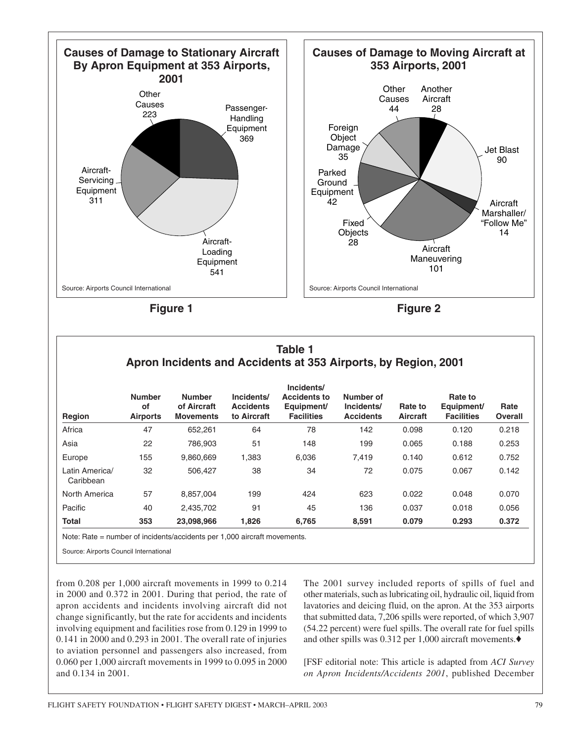

**Figure 1**

**Figure 2**

| Table 1<br>Apron Incidents and Accidents at 353 Airports, by Region, 2001 |                                        |                                                  |                                               |                                                                      |                                             |                            |                                            |                        |
|---------------------------------------------------------------------------|----------------------------------------|--------------------------------------------------|-----------------------------------------------|----------------------------------------------------------------------|---------------------------------------------|----------------------------|--------------------------------------------|------------------------|
| Region                                                                    | <b>Number</b><br>οf<br><b>Airports</b> | <b>Number</b><br>of Aircraft<br><b>Movements</b> | Incidents/<br><b>Accidents</b><br>to Aircraft | Incidents/<br><b>Accidents to</b><br>Equipment/<br><b>Facilities</b> | Number of<br>Incidents/<br><b>Accidents</b> | Rate to<br><b>Aircraft</b> | Rate to<br>Equipment/<br><b>Facilities</b> | Rate<br><b>Overall</b> |
| Africa                                                                    | 47                                     | 652.261                                          | 64                                            | 78                                                                   | 142                                         | 0.098                      | 0.120                                      | 0.218                  |
| Asia                                                                      | 22                                     | 786,903                                          | 51                                            | 148                                                                  | 199                                         | 0.065                      | 0.188                                      | 0.253                  |
| Europe                                                                    | 155                                    | 9,860,669                                        | 1,383                                         | 6,036                                                                | 7,419                                       | 0.140                      | 0.612                                      | 0.752                  |
| Latin America/<br>Caribbean                                               | 32                                     | 506,427                                          | 38                                            | 34                                                                   | 72                                          | 0.075                      | 0.067                                      | 0.142                  |
| North America                                                             | 57                                     | 8,857,004                                        | 199                                           | 424                                                                  | 623                                         | 0.022                      | 0.048                                      | 0.070                  |
| Pacific                                                                   | 40                                     | 2,435,702                                        | 91                                            | 45                                                                   | 136                                         | 0.037                      | 0.018                                      | 0.056                  |
| Total                                                                     | 353                                    | 23,098,966                                       | 1,826                                         | 6,765                                                                | 8,591                                       | 0.079                      | 0.293                                      | 0.372                  |

Note: Rate = number of incidents/accidents per 1,000 aircraft movements.

Source: Airports Council International

from 0.208 per 1,000 aircraft movements in 1999 to 0.214 in 2000 and 0.372 in 2001. During that period, the rate of apron accidents and incidents involving aircraft did not change significantly, but the rate for accidents and incidents involving equipment and facilities rose from 0.129 in 1999 to 0.141 in 2000 and 0.293 in 2001. The overall rate of injuries to aviation personnel and passengers also increased, from 0.060 per 1,000 aircraft movements in 1999 to 0.095 in 2000 and 0.134 in 2001.

The 2001 survey included reports of spills of fuel and other materials, such as lubricating oil, hydraulic oil, liquid from lavatories and deicing fluid, on the apron. At the 353 airports that submitted data, 7,206 spills were reported, of which 3,907 (54.22 percent) were fuel spills. The overall rate for fuel spills and other spills was 0.312 per 1,000 aircraft movements.♦

[FSF editorial note: This article is adapted from *ACI Survey on Apron Incidents/Accidents 2001*, published December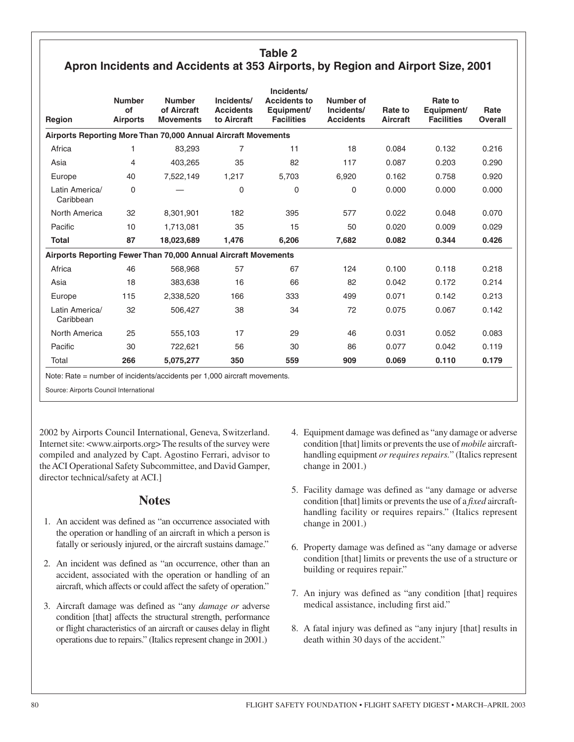#### **Table 2 Apron Incidents and Accidents at 353 Airports, by Region and Airport Size, 2001**

|                                                                | <b>Number</b>         | <b>Number</b>                   | Incidents/                      | Incidents/<br><b>Accidents to</b> | Number of                      |                     | Rate to                         |                        |
|----------------------------------------------------------------|-----------------------|---------------------------------|---------------------------------|-----------------------------------|--------------------------------|---------------------|---------------------------------|------------------------|
| Region                                                         | of<br><b>Airports</b> | of Aircraft<br><b>Movements</b> | <b>Accidents</b><br>to Aircraft | Equipment/<br><b>Facilities</b>   | Incidents/<br><b>Accidents</b> | Rate to<br>Aircraft | Equipment/<br><b>Facilities</b> | Rate<br><b>Overall</b> |
| Airports Reporting More Than 70,000 Annual Aircraft Movements  |                       |                                 |                                 |                                   |                                |                     |                                 |                        |
| Africa                                                         | 1                     | 83,293                          | 7                               | 11                                | 18                             | 0.084               | 0.132                           | 0.216                  |
| Asia                                                           | 4                     | 403,265                         | 35                              | 82                                | 117                            | 0.087               | 0.203                           | 0.290                  |
| Europe                                                         | 40                    | 7,522,149                       | 1,217                           | 5,703                             | 6,920                          | 0.162               | 0.758                           | 0.920                  |
| Latin America/<br>Caribbean                                    | $\mathbf 0$           |                                 | $\mathbf 0$                     | 0                                 | 0                              | 0.000               | 0.000                           | 0.000                  |
| North America                                                  | 32                    | 8,301,901                       | 182                             | 395                               | 577                            | 0.022               | 0.048                           | 0.070                  |
| Pacific                                                        | 10                    | 1,713,081                       | 35                              | 15                                | 50                             | 0.020               | 0.009                           | 0.029                  |
| <b>Total</b>                                                   | 87                    | 18,023,689                      | 1,476                           | 6,206                             | 7,682                          | 0.082               | 0.344                           | 0.426                  |
| Airports Reporting Fewer Than 70,000 Annual Aircraft Movements |                       |                                 |                                 |                                   |                                |                     |                                 |                        |
| Africa                                                         | 46                    | 568.968                         | 57                              | 67                                | 124                            | 0.100               | 0.118                           | 0.218                  |
| Asia                                                           | 18                    | 383,638                         | 16                              | 66                                | 82                             | 0.042               | 0.172                           | 0.214                  |
| Europe                                                         | 115                   | 2,338,520                       | 166                             | 333                               | 499                            | 0.071               | 0.142                           | 0.213                  |
| Latin America/<br>Caribbean                                    | 32                    | 506.427                         | 38                              | 34                                | 72                             | 0.075               | 0.067                           | 0.142                  |
| North America                                                  | 25                    | 555,103                         | 17                              | 29                                | 46                             | 0.031               | 0.052                           | 0.083                  |
| Pacific                                                        | 30                    | 722,621                         | 56                              | 30                                | 86                             | 0.077               | 0.042                           | 0.119                  |
| Total                                                          | 266                   | 5,075,277                       | 350                             | 559                               | 909                            | 0.069               | 0.110                           | 0.179                  |

Note: Rate = number of incidents/accidents per 1,000 aircraft movements.

Source: Airports Council International

2002 by Airports Council International, Geneva, Switzerland. Internet site: <www.airports.org> The results of the survey were compiled and analyzed by Capt. Agostino Ferrari, advisor to the ACI Operational Safety Subcommittee, and David Gamper, director technical/safety at ACI.]

#### **Notes**

- 1. An accident was defined as "an occurrence associated with the operation or handling of an aircraft in which a person is fatally or seriously injured, or the aircraft sustains damage."
- 2. An incident was defined as "an occurrence, other than an accident, associated with the operation or handling of an aircraft, which affects or could affect the safety of operation."
- 3. Aircraft damage was defined as "any *damage or* adverse condition [that] affects the structural strength, performance or flight characteristics of an aircraft or causes delay in flight operations due to repairs." (Italics represent change in 2001.)
- 4. Equipment damage was defined as "any damage or adverse condition [that] limits or prevents the use of *mobile* aircrafthandling equipment *or requires repairs.*" (Italics represent change in 2001.)
- 5. Facility damage was defined as "any damage or adverse condition [that] limits or prevents the use of a *fixed* aircrafthandling facility or requires repairs." (Italics represent change in 2001.)
- 6. Property damage was defined as "any damage or adverse condition [that] limits or prevents the use of a structure or building or requires repair."
- 7. An injury was defined as "any condition [that] requires medical assistance, including first aid."
- 8. A fatal injury was defined as "any injury [that] results in death within 30 days of the accident."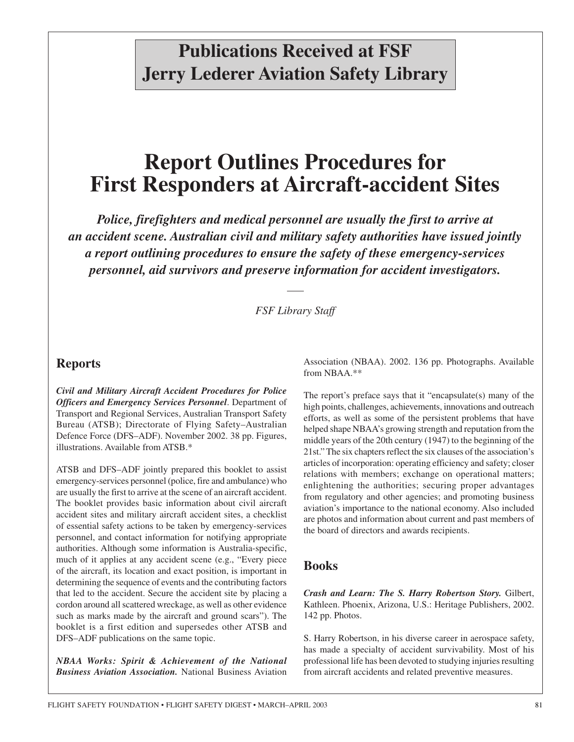# **Publications Received at FSF Jerry Lederer Aviation Safety Library**

# **Report Outlines Procedures for First Responders at Aircraft-accident Sites**

*Police, firefighters and medical personnel are usually the first to arrive at an accident scene. Australian civil and military safety authorities have issued jointly a report outlining procedures to ensure the safety of these emergency-services personnel, aid survivors and preserve information for accident investigators.*

*FSF Library Staff*

#### **Reports**

*Civil and Military Aircraft Accident Procedures for Police Officers and Emergency Services Personnel*. Department of Transport and Regional Services, Australian Transport Safety Bureau (ATSB); Directorate of Flying Safety–Australian Defence Force (DFS–ADF). November 2002. 38 pp. Figures, illustrations. Available from ATSB.\*

ATSB and DFS–ADF jointly prepared this booklet to assist emergency-services personnel (police, fire and ambulance) who are usually the first to arrive at the scene of an aircraft accident. The booklet provides basic information about civil aircraft accident sites and military aircraft accident sites, a checklist of essential safety actions to be taken by emergency-services personnel, and contact information for notifying appropriate authorities. Although some information is Australia-specific, much of it applies at any accident scene (e.g., "Every piece of the aircraft, its location and exact position, is important in determining the sequence of events and the contributing factors that led to the accident. Secure the accident site by placing a cordon around all scattered wreckage, as well as other evidence such as marks made by the aircraft and ground scars"). The booklet is a first edition and supersedes other ATSB and DFS–ADF publications on the same topic.

*NBAA Works: Spirit & Achievement of the National Business Aviation Association.* National Business Aviation

Association (NBAA). 2002. 136 pp. Photographs. Available from NBAA.\*\*

The report's preface says that it "encapsulate(s) many of the high points, challenges, achievements, innovations and outreach efforts, as well as some of the persistent problems that have helped shape NBAA's growing strength and reputation from the middle years of the 20th century (1947) to the beginning of the 21st." The six chapters reflect the six clauses of the association's articles of incorporation: operating efficiency and safety; closer relations with members; exchange on operational matters; enlightening the authorities; securing proper advantages from regulatory and other agencies; and promoting business aviation's importance to the national economy. Also included are photos and information about current and past members of the board of directors and awards recipients.

#### **Books**

*Crash and Learn: The S. Harry Robertson Story.* Gilbert, Kathleen. Phoenix, Arizona, U.S.: Heritage Publishers, 2002. 142 pp. Photos.

S. Harry Robertson, in his diverse career in aerospace safety, has made a specialty of accident survivability. Most of his professional life has been devoted to studying injuries resulting from aircraft accidents and related preventive measures.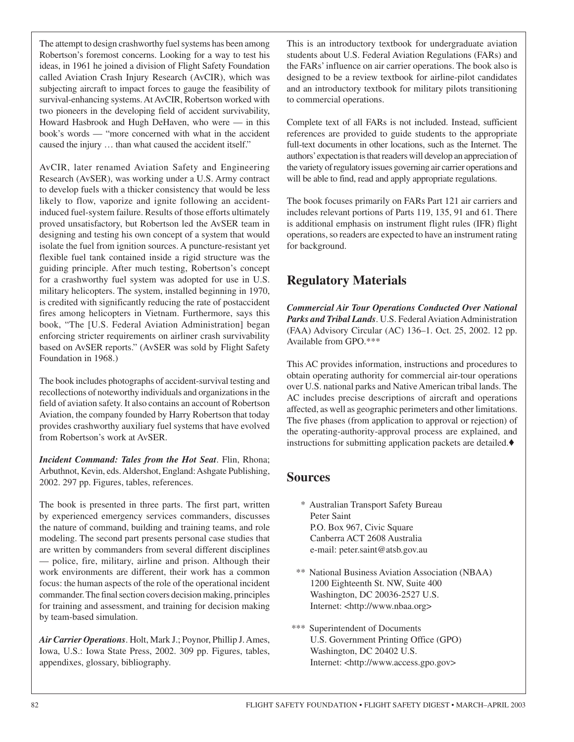The attempt to design crashworthy fuel systems has been among Robertson's foremost concerns. Looking for a way to test his ideas, in 1961 he joined a division of Flight Safety Foundation called Aviation Crash Injury Research (AvCIR), which was subjecting aircraft to impact forces to gauge the feasibility of survival-enhancing systems. At AvCIR, Robertson worked with two pioneers in the developing field of accident survivability, Howard Hasbrook and Hugh DeHaven, who were — in this book's words — "more concerned with what in the accident caused the injury … than what caused the accident itself."

AvCIR, later renamed Aviation Safety and Engineering Research (AvSER), was working under a U.S. Army contract to develop fuels with a thicker consistency that would be less likely to flow, vaporize and ignite following an accidentinduced fuel-system failure. Results of those efforts ultimately proved unsatisfactory, but Robertson led the AvSER team in designing and testing his own concept of a system that would isolate the fuel from ignition sources. A puncture-resistant yet flexible fuel tank contained inside a rigid structure was the guiding principle. After much testing, Robertson's concept for a crashworthy fuel system was adopted for use in U.S. military helicopters. The system, installed beginning in 1970, is credited with significantly reducing the rate of postaccident fires among helicopters in Vietnam. Furthermore, says this book, "The [U.S. Federal Aviation Administration] began enforcing stricter requirements on airliner crash survivability based on AvSER reports." (AvSER was sold by Flight Safety Foundation in 1968.)

The book includes photographs of accident-survival testing and recollections of noteworthy individuals and organizations in the field of aviation safety. It also contains an account of Robertson Aviation, the company founded by Harry Robertson that today provides crashworthy auxiliary fuel systems that have evolved from Robertson's work at AvSER.

*Incident Command: Tales from the Hot Seat*. Flin, Rhona; Arbuthnot, Kevin, eds. Aldershot, England: Ashgate Publishing, 2002. 297 pp. Figures, tables, references.

The book is presented in three parts. The first part, written by experienced emergency services commanders, discusses the nature of command, building and training teams, and role modeling. The second part presents personal case studies that are written by commanders from several different disciplines — police, fire, military, airline and prison. Although their work environments are different, their work has a common focus: the human aspects of the role of the operational incident commander. The final section covers decision making, principles for training and assessment, and training for decision making by team-based simulation.

*Air Carrier Operations*. Holt, Mark J.; Poynor, Phillip J. Ames, Iowa, U.S.: Iowa State Press, 2002. 309 pp. Figures, tables, appendixes, glossary, bibliography.

This is an introductory textbook for undergraduate aviation students about U.S. Federal Aviation Regulations (FARs) and the FARs' influence on air carrier operations. The book also is designed to be a review textbook for airline-pilot candidates and an introductory textbook for military pilots transitioning to commercial operations.

Complete text of all FARs is not included. Instead, sufficient references are provided to guide students to the appropriate full-text documents in other locations, such as the Internet. The authors' expectation is that readers will develop an appreciation of the variety of regulatory issues governing air carrier operations and will be able to find, read and apply appropriate regulations.

The book focuses primarily on FARs Part 121 air carriers and includes relevant portions of Parts 119, 135, 91 and 61. There is additional emphasis on instrument flight rules (IFR) flight operations, so readers are expected to have an instrument rating for background.

# **Regulatory Materials**

*Commercial Air Tour Operations Conducted Over National Parks and Tribal Lands*. U.S. Federal Aviation Administration (FAA) Advisory Circular (AC) 136–1. Oct. 25, 2002. 12 pp. Available from GPO.\*\*\*

This AC provides information, instructions and procedures to obtain operating authority for commercial air-tour operations over U.S. national parks and Native American tribal lands. The AC includes precise descriptions of aircraft and operations affected, as well as geographic perimeters and other limitations. The five phases (from application to approval or rejection) of the operating-authority-approval process are explained, and instructions for submitting application packets are detailed.♦

#### **Sources**

- \* Australian Transport Safety Bureau Peter Saint P.O. Box 967, Civic Square Canberra ACT 2608 Australia e-mail: peter.saint@atsb.gov.au
- \*\* National Business Aviation Association (NBAA) 1200 Eighteenth St. NW, Suite 400 Washington, DC 20036-2527 U.S. Internet: <http://www.nbaa.org>
- \*\*\* Superintendent of Documents U.S. Government Printing Office (GPO) Washington, DC 20402 U.S. Internet: <http://www.access.gpo.gov>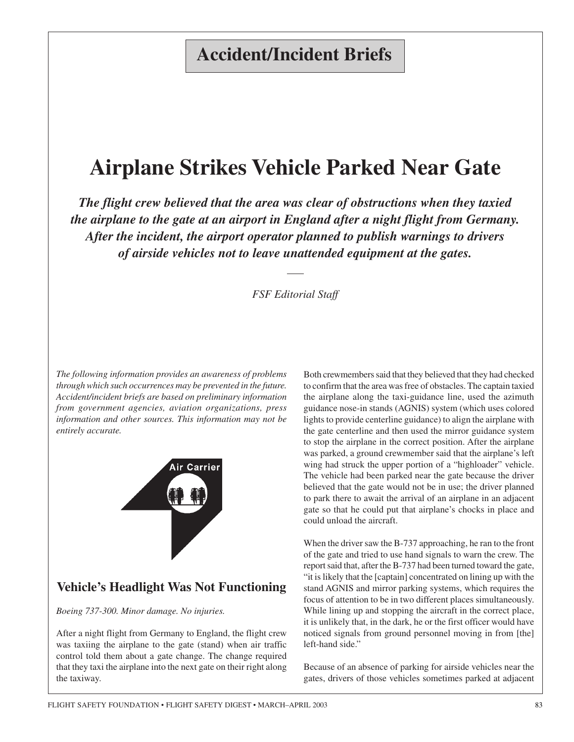# **Accident/Incident Briefs**

# **Airplane Strikes Vehicle Parked Near Gate**

*The flight crew believed that the area was clear of obstructions when they taxied the airplane to the gate at an airport in England after a night flight from Germany. After the incident, the airport operator planned to publish warnings to drivers of airside vehicles not to leave unattended equipment at the gates.*

*FSF Editorial Staff*

*The following information provides an awareness of problems through which such occurrences may be prevented in the future. Accident/incident briefs are based on preliminary information from government agencies, aviation organizations, press information and other sources. This information may not be entirely accurate.*



## **Vehicle's Headlight Was Not Functioning**

*Boeing 737-300. Minor damage. No injuries.*

After a night flight from Germany to England, the flight crew was taxiing the airplane to the gate (stand) when air traffic control told them about a gate change. The change required that they taxi the airplane into the next gate on their right along the taxiway.

Both crewmembers said that they believed that they had checked to confirm that the area was free of obstacles. The captain taxied the airplane along the taxi-guidance line, used the azimuth guidance nose-in stands (AGNIS) system (which uses colored lights to provide centerline guidance) to align the airplane with the gate centerline and then used the mirror guidance system to stop the airplane in the correct position. After the airplane was parked, a ground crewmember said that the airplane's left wing had struck the upper portion of a "highloader" vehicle. The vehicle had been parked near the gate because the driver believed that the gate would not be in use; the driver planned to park there to await the arrival of an airplane in an adjacent gate so that he could put that airplane's chocks in place and could unload the aircraft.

When the driver saw the B-737 approaching, he ran to the front of the gate and tried to use hand signals to warn the crew. The report said that, after the B-737 had been turned toward the gate, "it is likely that the [captain] concentrated on lining up with the stand AGNIS and mirror parking systems, which requires the focus of attention to be in two different places simultaneously. While lining up and stopping the aircraft in the correct place, it is unlikely that, in the dark, he or the first officer would have noticed signals from ground personnel moving in from [the] left-hand side."

Because of an absence of parking for airside vehicles near the gates, drivers of those vehicles sometimes parked at adjacent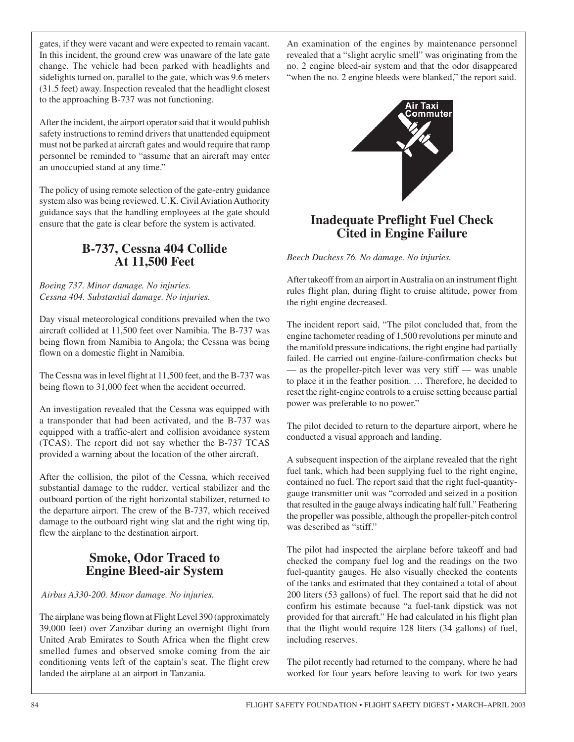gates, if they were vacant and were expected to remain vacant. In this incident, the ground crew was unaware of the late gate change. The vehicle had been parked with headlights and sidelights turned on, parallel to the gate, which was 9.6 meters (31.5 feet) away. Inspection revealed that the headlight closest to the approaching B-737 was not functioning.

After the incident, the airport operator said that it would publish safety instructions to remind drivers that unattended equipment must not be parked at aircraft gates and would require that ramp personnel be reminded to "assume that an aircraft may enter an unoccupied stand at any time."

The policy of using remote selection of the gate-entry guidance system also was being reviewed. U.K. Civil Aviation Authority guidance says that the handling employees at the gate should ensure that the gate is clear before the system is activated.

#### **B-737, Cessna 404 Collide At 11,500 Feet**

*Boeing 737. Minor damage. No injuries. Cessna 404. Substantial damage. No injuries.*

Day visual meteorological conditions prevailed when the two aircraft collided at 11,500 feet over Namibia. The B-737 was being flown from Namibia to Angola; the Cessna was being flown on a domestic flight in Namibia.

The Cessna was in level flight at 11,500 feet, and the B-737 was being flown to 31,000 feet when the accident occurred.

An investigation revealed that the Cessna was equipped with a transponder that had been activated, and the B-737 was equipped with a traffic-alert and collision avoidance system (TCAS). The report did not say whether the B-737 TCAS provided a warning about the location of the other aircraft.

After the collision, the pilot of the Cessna, which received substantial damage to the rudder, vertical stabilizer and the outboard portion of the right horizontal stabilizer, returned to the departure airport. The crew of the B-737, which received damage to the outboard right wing slat and the right wing tip, flew the airplane to the destination airport.

## **Smoke, Odor Traced to Engine Bleed-air System**

*Airbus A330-200. Minor damage. No injuries.*

The airplane was being flown at Flight Level 390 (approximately 39,000 feet) over Zanzibar during an overnight flight from United Arab Emirates to South Africa when the flight crew smelled fumes and observed smoke coming from the air conditioning vents left of the captain's seat. The flight crew landed the airplane at an airport in Tanzania.

An examination of the engines by maintenance personnel revealed that a "slight acrylic smell" was originating from the no. 2 engine bleed-air system and that the odor disappeared "when the no. 2 engine bleeds were blanked," the report said.



## **Inadequate Preflight Fuel Check Cited in Engine Failure**

*Beech Duchess 76. No damage. No injuries.*

After takeoff from an airport in Australia on an instrument flight rules flight plan, during flight to cruise altitude, power from the right engine decreased.

The incident report said, "The pilot concluded that, from the engine tachometer reading of 1,500 revolutions per minute and the manifold pressure indications, the right engine had partially failed. He carried out engine-failure-confirmation checks but — as the propeller-pitch lever was very stiff — was unable to place it in the feather position. … Therefore, he decided to reset the right-engine controls to a cruise setting because partial power was preferable to no power."

The pilot decided to return to the departure airport, where he conducted a visual approach and landing.

A subsequent inspection of the airplane revealed that the right fuel tank, which had been supplying fuel to the right engine, contained no fuel. The report said that the right fuel-quantitygauge transmitter unit was "corroded and seized in a position that resulted in the gauge always indicating half full." Feathering the propeller was possible, although the propeller-pitch control was described as "stiff."

The pilot had inspected the airplane before takeoff and had checked the company fuel log and the readings on the two fuel-quantity gauges. He also visually checked the contents of the tanks and estimated that they contained a total of about 200 liters (53 gallons) of fuel. The report said that he did not confirm his estimate because "a fuel-tank dipstick was not provided for that aircraft." He had calculated in his flight plan that the flight would require 128 liters (34 gallons) of fuel, including reserves.

The pilot recently had returned to the company, where he had worked for four years before leaving to work for two years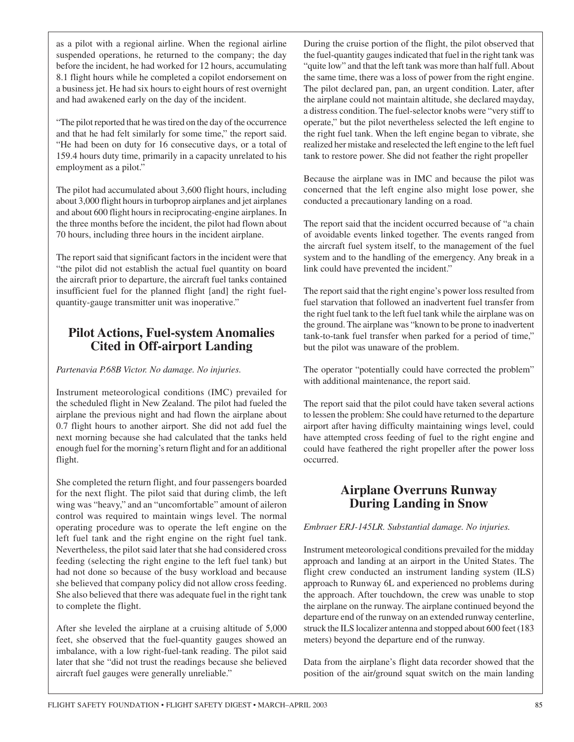as a pilot with a regional airline. When the regional airline suspended operations, he returned to the company; the day before the incident, he had worked for 12 hours, accumulating 8.1 flight hours while he completed a copilot endorsement on a business jet. He had six hours to eight hours of rest overnight and had awakened early on the day of the incident.

"The pilot reported that he was tired on the day of the occurrence and that he had felt similarly for some time," the report said. "He had been on duty for 16 consecutive days, or a total of 159.4 hours duty time, primarily in a capacity unrelated to his employment as a pilot."

The pilot had accumulated about 3,600 flight hours, including about 3,000 flight hours in turboprop airplanes and jet airplanes and about 600 flight hours in reciprocating-engine airplanes. In the three months before the incident, the pilot had flown about 70 hours, including three hours in the incident airplane.

The report said that significant factors in the incident were that "the pilot did not establish the actual fuel quantity on board the aircraft prior to departure, the aircraft fuel tanks contained insufficient fuel for the planned flight [and] the right fuelquantity-gauge transmitter unit was inoperative."

## **Pilot Actions, Fuel-system Anomalies Cited in Off-airport Landing**

#### *Partenavia P.68B Victor. No damage. No injuries.*

Instrument meteorological conditions (IMC) prevailed for the scheduled flight in New Zealand. The pilot had fueled the airplane the previous night and had flown the airplane about 0.7 flight hours to another airport. She did not add fuel the next morning because she had calculated that the tanks held enough fuel for the morning's return flight and for an additional flight.

She completed the return flight, and four passengers boarded for the next flight. The pilot said that during climb, the left wing was "heavy," and an "uncomfortable" amount of aileron control was required to maintain wings level. The normal operating procedure was to operate the left engine on the left fuel tank and the right engine on the right fuel tank. Nevertheless, the pilot said later that she had considered cross feeding (selecting the right engine to the left fuel tank) but had not done so because of the busy workload and because she believed that company policy did not allow cross feeding. She also believed that there was adequate fuel in the right tank to complete the flight.

After she leveled the airplane at a cruising altitude of 5,000 feet, she observed that the fuel-quantity gauges showed an imbalance, with a low right-fuel-tank reading. The pilot said later that she "did not trust the readings because she believed aircraft fuel gauges were generally unreliable."

During the cruise portion of the flight, the pilot observed that the fuel-quantity gauges indicated that fuel in the right tank was "quite low" and that the left tank was more than half full. About the same time, there was a loss of power from the right engine. The pilot declared pan, pan, an urgent condition. Later, after the airplane could not maintain altitude, she declared mayday, a distress condition. The fuel-selector knobs were "very stiff to operate," but the pilot nevertheless selected the left engine to the right fuel tank. When the left engine began to vibrate, she realized her mistake and reselected the left engine to the left fuel tank to restore power. She did not feather the right propeller

Because the airplane was in IMC and because the pilot was concerned that the left engine also might lose power, she conducted a precautionary landing on a road.

The report said that the incident occurred because of "a chain of avoidable events linked together. The events ranged from the aircraft fuel system itself, to the management of the fuel system and to the handling of the emergency. Any break in a link could have prevented the incident."

The report said that the right engine's power loss resulted from fuel starvation that followed an inadvertent fuel transfer from the right fuel tank to the left fuel tank while the airplane was on the ground. The airplane was "known to be prone to inadvertent tank-to-tank fuel transfer when parked for a period of time," but the pilot was unaware of the problem.

The operator "potentially could have corrected the problem" with additional maintenance, the report said.

The report said that the pilot could have taken several actions to lessen the problem: She could have returned to the departure airport after having difficulty maintaining wings level, could have attempted cross feeding of fuel to the right engine and could have feathered the right propeller after the power loss occurred.

## **Airplane Overruns Runway During Landing in Snow**

*Embraer ERJ-145LR. Substantial damage. No injuries.*

Instrument meteorological conditions prevailed for the midday approach and landing at an airport in the United States. The flight crew conducted an instrument landing system (ILS) approach to Runway 6L and experienced no problems during the approach. After touchdown, the crew was unable to stop the airplane on the runway. The airplane continued beyond the departure end of the runway on an extended runway centerline, struck the ILS localizer antenna and stopped about 600 feet (183 meters) beyond the departure end of the runway.

Data from the airplane's flight data recorder showed that the position of the air/ground squat switch on the main landing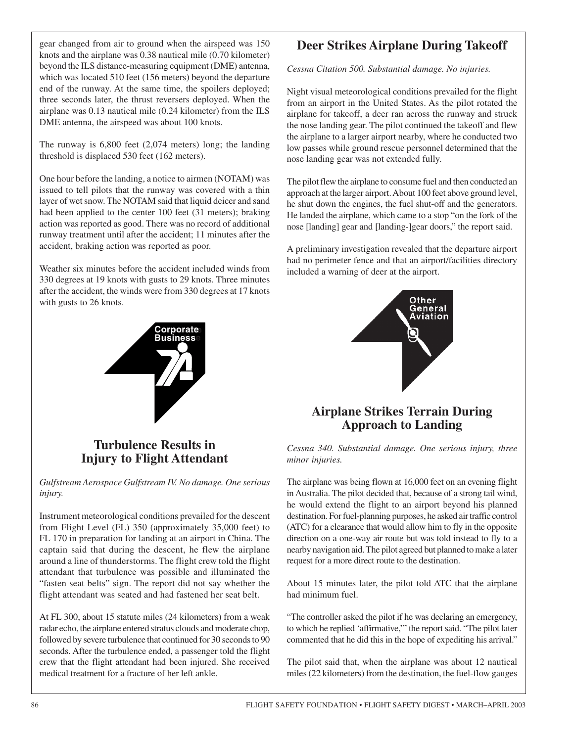gear changed from air to ground when the airspeed was 150 knots and the airplane was 0.38 nautical mile (0.70 kilometer) beyond the ILS distance-measuring equipment (DME) antenna, which was located 510 feet (156 meters) beyond the departure end of the runway. At the same time, the spoilers deployed; three seconds later, the thrust reversers deployed. When the airplane was 0.13 nautical mile (0.24 kilometer) from the ILS DME antenna, the airspeed was about 100 knots.

The runway is 6,800 feet (2,074 meters) long; the landing threshold is displaced 530 feet (162 meters).

One hour before the landing, a notice to airmen (NOTAM) was issued to tell pilots that the runway was covered with a thin layer of wet snow. The NOTAM said that liquid deicer and sand had been applied to the center 100 feet (31 meters); braking action was reported as good. There was no record of additional runway treatment until after the accident; 11 minutes after the accident, braking action was reported as poor.

Weather six minutes before the accident included winds from 330 degrees at 19 knots with gusts to 29 knots. Three minutes after the accident, the winds were from 330 degrees at 17 knots with gusts to 26 knots.



## **Turbulence Results in Injury to Flight Attendant**

*Gulfstream Aerospace Gulfstream IV. No damage. One serious injury.*

Instrument meteorological conditions prevailed for the descent from Flight Level (FL) 350 (approximately 35,000 feet) to FL 170 in preparation for landing at an airport in China. The captain said that during the descent, he flew the airplane around a line of thunderstorms. The flight crew told the flight attendant that turbulence was possible and illuminated the "fasten seat belts" sign. The report did not say whether the flight attendant was seated and had fastened her seat belt.

At FL 300, about 15 statute miles (24 kilometers) from a weak radar echo, the airplane entered stratus clouds and moderate chop, followed by severe turbulence that continued for 30 seconds to 90 seconds. After the turbulence ended, a passenger told the flight crew that the flight attendant had been injured. She received medical treatment for a fracture of her left ankle.

## **Deer Strikes Airplane During Takeoff**

*Cessna Citation 500. Substantial damage. No injuries.*

Night visual meteorological conditions prevailed for the flight from an airport in the United States. As the pilot rotated the airplane for takeoff, a deer ran across the runway and struck the nose landing gear. The pilot continued the takeoff and flew the airplane to a larger airport nearby, where he conducted two low passes while ground rescue personnel determined that the nose landing gear was not extended fully.

The pilot flew the airplane to consume fuel and then conducted an approach at the larger airport. About 100 feet above ground level, he shut down the engines, the fuel shut-off and the generators. He landed the airplane, which came to a stop "on the fork of the nose [landing] gear and [landing-]gear doors," the report said.

A preliminary investigation revealed that the departure airport had no perimeter fence and that an airport/facilities directory included a warning of deer at the airport.



## **Airplane Strikes Terrain During Approach to Landing**

*Cessna 340. Substantial damage. One serious injury, three minor injuries.*

The airplane was being flown at 16,000 feet on an evening flight in Australia. The pilot decided that, because of a strong tail wind, he would extend the flight to an airport beyond his planned destination. For fuel-planning purposes, he asked air traffic control (ATC) for a clearance that would allow him to fly in the opposite direction on a one-way air route but was told instead to fly to a nearby navigation aid. The pilot agreed but planned to make a later request for a more direct route to the destination.

About 15 minutes later, the pilot told ATC that the airplane had minimum fuel.

"The controller asked the pilot if he was declaring an emergency, to which he replied 'affirmative,'" the report said. "The pilot later commented that he did this in the hope of expediting his arrival."

The pilot said that, when the airplane was about 12 nautical miles (22 kilometers) from the destination, the fuel-flow gauges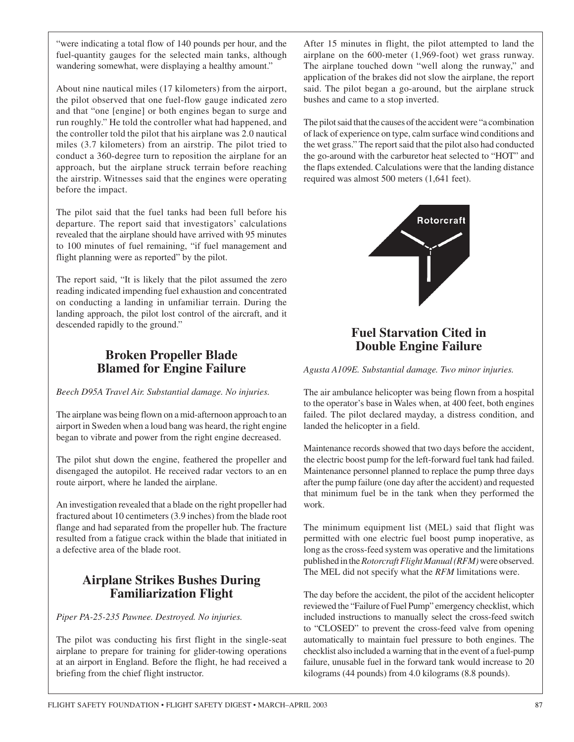"were indicating a total flow of 140 pounds per hour, and the fuel-quantity gauges for the selected main tanks, although wandering somewhat, were displaying a healthy amount."

About nine nautical miles (17 kilometers) from the airport, the pilot observed that one fuel-flow gauge indicated zero and that "one [engine] or both engines began to surge and run roughly." He told the controller what had happened, and the controller told the pilot that his airplane was 2.0 nautical miles (3.7 kilometers) from an airstrip. The pilot tried to conduct a 360-degree turn to reposition the airplane for an approach, but the airplane struck terrain before reaching the airstrip. Witnesses said that the engines were operating before the impact.

The pilot said that the fuel tanks had been full before his departure. The report said that investigators' calculations revealed that the airplane should have arrived with 95 minutes to 100 minutes of fuel remaining, "if fuel management and flight planning were as reported" by the pilot.

The report said, "It is likely that the pilot assumed the zero reading indicated impending fuel exhaustion and concentrated on conducting a landing in unfamiliar terrain. During the landing approach, the pilot lost control of the aircraft, and it descended rapidly to the ground."

#### **Broken Propeller Blade Blamed for Engine Failure**

*Beech D95A Travel Air. Substantial damage. No injuries.*

The airplane was being flown on a mid-afternoon approach to an airport in Sweden when a loud bang was heard, the right engine began to vibrate and power from the right engine decreased.

The pilot shut down the engine, feathered the propeller and disengaged the autopilot. He received radar vectors to an en route airport, where he landed the airplane.

An investigation revealed that a blade on the right propeller had fractured about 10 centimeters (3.9 inches) from the blade root flange and had separated from the propeller hub. The fracture resulted from a fatigue crack within the blade that initiated in a defective area of the blade root.

## **Airplane Strikes Bushes During Familiarization Flight**

*Piper PA-25-235 Pawnee. Destroyed. No injuries.*

The pilot was conducting his first flight in the single-seat airplane to prepare for training for glider-towing operations at an airport in England. Before the flight, he had received a briefing from the chief flight instructor.

After 15 minutes in flight, the pilot attempted to land the airplane on the 600-meter (1,969-foot) wet grass runway. The airplane touched down "well along the runway," and application of the brakes did not slow the airplane, the report said. The pilot began a go-around, but the airplane struck bushes and came to a stop inverted.

The pilot said that the causes of the accident were "a combination of lack of experience on type, calm surface wind conditions and the wet grass." The report said that the pilot also had conducted the go-around with the carburetor heat selected to "HOT" and the flaps extended. Calculations were that the landing distance required was almost 500 meters (1,641 feet).



#### **Fuel Starvation Cited in Double Engine Failure**

*Agusta A109E. Substantial damage. Two minor injuries.*

The air ambulance helicopter was being flown from a hospital to the operator's base in Wales when, at 400 feet, both engines failed. The pilot declared mayday, a distress condition, and landed the helicopter in a field.

Maintenance records showed that two days before the accident, the electric boost pump for the left-forward fuel tank had failed. Maintenance personnel planned to replace the pump three days after the pump failure (one day after the accident) and requested that minimum fuel be in the tank when they performed the work.

The minimum equipment list (MEL) said that flight was permitted with one electric fuel boost pump inoperative, as long as the cross-feed system was operative and the limitations published in the *Rotorcraft Flight Manual* (RFM) were observed. The MEL did not specify what the *RFM* limitations were.

The day before the accident, the pilot of the accident helicopter reviewed the "Failure of Fuel Pump" emergency checklist, which included instructions to manually select the cross-feed switch to "CLOSED" to prevent the cross-feed valve from opening automatically to maintain fuel pressure to both engines. The checklist also included a warning that in the event of a fuel-pump failure, unusable fuel in the forward tank would increase to 20 kilograms (44 pounds) from 4.0 kilograms (8.8 pounds).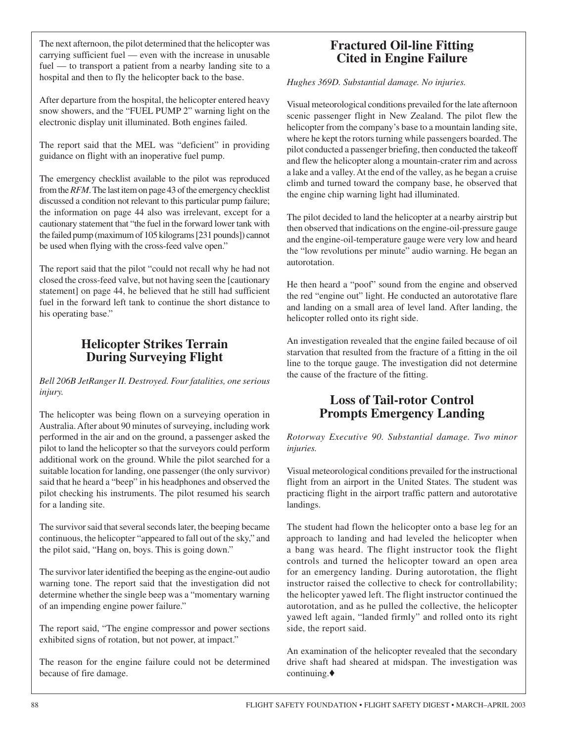The next afternoon, the pilot determined that the helicopter was carrying sufficient fuel — even with the increase in unusable fuel — to transport a patient from a nearby landing site to a hospital and then to fly the helicopter back to the base.

After departure from the hospital, the helicopter entered heavy snow showers, and the "FUEL PUMP 2" warning light on the electronic display unit illuminated. Both engines failed.

The report said that the MEL was "deficient" in providing guidance on flight with an inoperative fuel pump.

The emergency checklist available to the pilot was reproduced from the *RFM*. The last item on page 43 of the emergency checklist discussed a condition not relevant to this particular pump failure; the information on page 44 also was irrelevant, except for a cautionary statement that "the fuel in the forward lower tank with the failed pump (maximum of 105 kilograms [231 pounds]) cannot be used when flying with the cross-feed valve open."

The report said that the pilot "could not recall why he had not closed the cross-feed valve, but not having seen the [cautionary statement] on page 44, he believed that he still had sufficient fuel in the forward left tank to continue the short distance to his operating base."

## **Helicopter Strikes Terrain During Surveying Flight**

*Bell 206B JetRanger II. Destroyed. Four fatalities, one serious injury.*

The helicopter was being flown on a surveying operation in Australia. After about 90 minutes of surveying, including work performed in the air and on the ground, a passenger asked the pilot to land the helicopter so that the surveyors could perform additional work on the ground. While the pilot searched for a suitable location for landing, one passenger (the only survivor) said that he heard a "beep" in his headphones and observed the pilot checking his instruments. The pilot resumed his search for a landing site.

The survivor said that several seconds later, the beeping became continuous, the helicopter "appeared to fall out of the sky," and the pilot said, "Hang on, boys. This is going down."

The survivor later identified the beeping as the engine-out audio warning tone. The report said that the investigation did not determine whether the single beep was a "momentary warning of an impending engine power failure."

The report said, "The engine compressor and power sections exhibited signs of rotation, but not power, at impact."

The reason for the engine failure could not be determined because of fire damage.

#### **Fractured Oil-line Fitting Cited in Engine Failure**

*Hughes 369D. Substantial damage. No injuries.*

Visual meteorological conditions prevailed for the late afternoon scenic passenger flight in New Zealand. The pilot flew the helicopter from the company's base to a mountain landing site, where he kept the rotors turning while passengers boarded. The pilot conducted a passenger briefing, then conducted the takeoff and flew the helicopter along a mountain-crater rim and across a lake and a valley. At the end of the valley, as he began a cruise climb and turned toward the company base, he observed that the engine chip warning light had illuminated.

The pilot decided to land the helicopter at a nearby airstrip but then observed that indications on the engine-oil-pressure gauge and the engine-oil-temperature gauge were very low and heard the "low revolutions per minute" audio warning. He began an autorotation.

He then heard a "poof" sound from the engine and observed the red "engine out" light. He conducted an autorotative flare and landing on a small area of level land. After landing, the helicopter rolled onto its right side.

An investigation revealed that the engine failed because of oil starvation that resulted from the fracture of a fitting in the oil line to the torque gauge. The investigation did not determine the cause of the fracture of the fitting.

## **Loss of Tail-rotor Control Prompts Emergency Landing**

*Rotorway Executive 90. Substantial damage. Two minor injuries.*

Visual meteorological conditions prevailed for the instructional flight from an airport in the United States. The student was practicing flight in the airport traffic pattern and autorotative landings.

The student had flown the helicopter onto a base leg for an approach to landing and had leveled the helicopter when a bang was heard. The flight instructor took the flight controls and turned the helicopter toward an open area for an emergency landing. During autorotation, the flight instructor raised the collective to check for controllability; the helicopter yawed left. The flight instructor continued the autorotation, and as he pulled the collective, the helicopter yawed left again, "landed firmly" and rolled onto its right side, the report said.

An examination of the helicopter revealed that the secondary drive shaft had sheared at midspan. The investigation was continuing.♦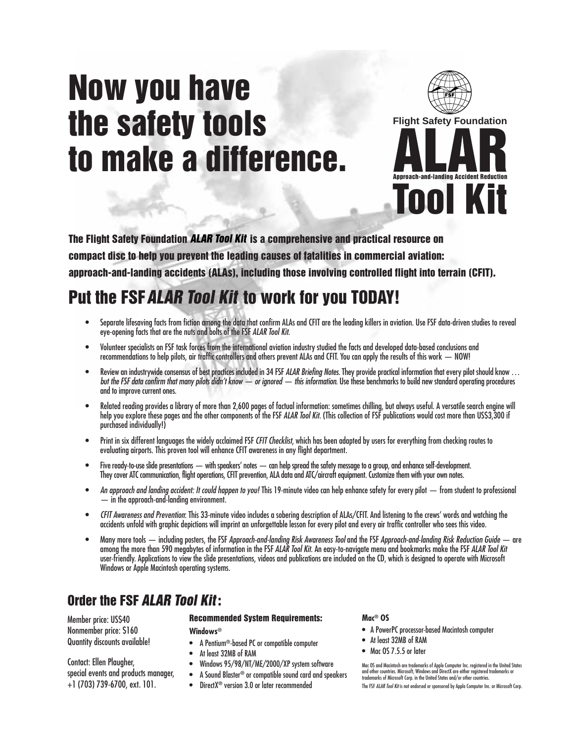# **Now you have the safety tools to make a difference.**



**The Flight Safety Foundation ALAR Tool Kit is a comprehensive and practical resource on compact disc to help you prevent the leading causes of fatalities in commercial aviation: approach-and-landing accidents (ALAs), including those involving controlled flight into terrain (CFIT).**

# **Put the FSF ALAR Tool Kit to work for you TODAY!**

- Separate lifesaving facts from fiction among the data that confirm ALAs and CFIT are the leading killers in aviation. Use FSF data-driven studies to reveal eye-opening facts that are the nuts and bolts of the FSF ALAR Tool Kit.
- Volunteer specialists on FSF task forces from the international aviation industry studied the facts and developed data-based conclusions and recommendations to help pilots, air traffic controllers and others prevent ALAs and CFIT. You can apply the results of this work — NOW!
- Review an industrywide consensus of best practices included in 34 FSF ALAR Briefing Notes. They provide practical information that every pilot should know ... but the FSF data confirm that many pilots didn't know — or ignored — this information. Use these benchmarks to build new standard operating procedures and to improve current ones.
- Related reading provides a library of more than 2,600 pages of factual information: sometimes chilling, but always useful. A versatile search engine will help you explore these pages and the other components of the FSF ALAR Tool Kit. (This collection of FSF publications would cost more than US\$3,300 if purchased individually!)
- Print in six different languages the widely acclaimed FSF CFIT Checklist, which has been adapted by users for everything from checking routes to evaluating airports. This proven tool will enhance CFIT awareness in any flight department.
- Five ready-to-use slide presentations with speakers' notes can help spread the safety message to a group, and enhance self-development. They cover ATC communication, flight operations, CFIT prevention, ALA data and ATC/aircraft equipment. Customize them with your own notes.
- An approach and landing accident: It could happen to you! This 19-minute video can help enhance safety for every pilot from student to professional — in the approach-and-landing environment.
- CFIT Awareness and Prevention: This 33-minute video includes a sobering description of ALAs/CFIT. And listening to the crews' words and watching the accidents unfold with graphic depictions will imprint an unforgettable lesson for every pilot and every air traffic controller who sees this video.
- Many more tools including posters, the FSF Approach-and-landing Risk Awareness Tool and the FSF Approach-and-landing Risk Reduction Guide are among the more than 590 megabytes of information in the FSF ALAR Tool Kit. An easy-to-navigate menu and bookmarks make the FSF ALAR Tool Kit user-friendly. Applications to view the slide presentations, videos and publications are included on the CD, which is designed to operate with Microsoft Windows or Apple Macintosh operating systems.

# **Order the FSF ALAR Tool Kit:**

Member price: US\$40 Nonmember price: \$160 Quantity discounts available!

Contact: Ellen Plaugher, special events and products manager, +1 (703) 739-6700, ext. 101.

#### **Recommended System Requirements:**

**Windows®**

- A Pentium**®**-based PC or compatible computer
- At least 32MB of RAM
- Windows 95/98/NT/ME/2000/XP system software
- A Sound Blaster**®** or compatible sound card and speakers
- DirectX**®** version 3.0 or later recommended

#### **Mac® OS**

- A PowerPC processor-based Macintosh computer
- At least 32MB of RAM
- Mac 0S 7.5.5 or later

Mac OS and Macintosh are trademarks of Apple Computer Inc. registered in the United States<br>and other countries. Microsoft, Windows and DirectX are either registered trademarks or<br>trademarks of Microsoft Corp. in the United The FSF ALAR Tool Kit is not endorsed or sponsored by Apple Computer Inc. or Microsoft Corp.